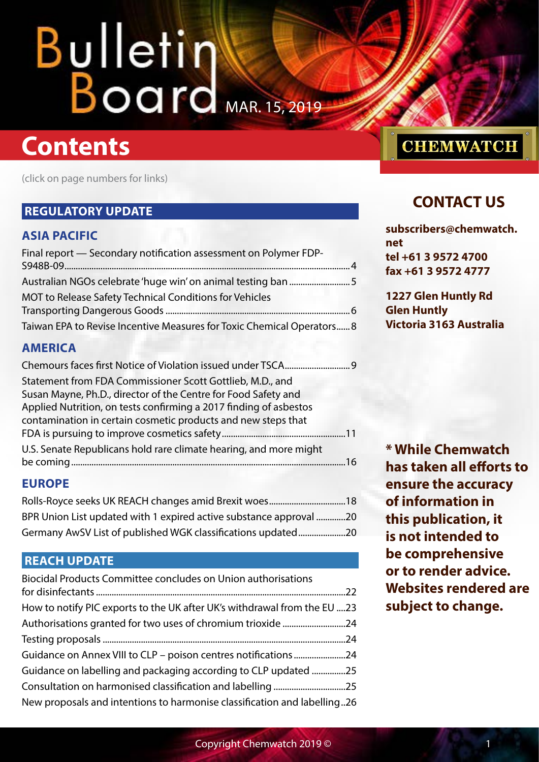## Bulletin War. 15, 2019

## **Contents**

(click on page numbers for links)

## **[REGULATORY UPDATE](#page-3-0)**

### **[ASIA PACIFIC](#page-3-0)**

| Final report - Secondary notification assessment on Polymer FDP-       |  |
|------------------------------------------------------------------------|--|
| Australian NGOs celebrate 'huge win' on animal testing ban 5           |  |
| <b>MOT to Release Safety Technical Conditions for Vehicles</b>         |  |
|                                                                        |  |
| Taiwan EPA to Revise Incentive Measures for Toxic Chemical Operators 8 |  |

### **[AMERICA](#page-8-0)**

### **[EUROPE](#page-17-0)**

| BPR Union List updated with 1 expired active substance approval 20 |  |
|--------------------------------------------------------------------|--|
| Germany AwSV List of published WGK classifications updated20       |  |

## **[REACH UPDATE](#page-21-0)**

| Biocidal Products Committee concludes on Union authorisations            |  |
|--------------------------------------------------------------------------|--|
|                                                                          |  |
| How to notify PIC exports to the UK after UK's withdrawal from the EU 23 |  |
|                                                                          |  |
|                                                                          |  |
| Guidance on Annex VIII to CLP - poison centres notifications24           |  |
| Guidance on labelling and packaging according to CLP updated 25          |  |
|                                                                          |  |
| New proposals and intentions to harmonise classification and labelling26 |  |

## **CHEMWATCH**

## **CONTACT US**

**[subscribers@chemwatch.](mailto:subscribers@chemwatch.net) [net](mailto:subscribers@chemwatch.net) tel +61 3 9572 4700 fax +61 3 9572 4777**

**1227 Glen Huntly Rd Glen Huntly Victoria 3163 Australia**

**\* While Chemwatch has taken all efforts to ensure the accuracy of information in this publication, it is not intended to be comprehensive or to render advice. Websites rendered are subject to change.**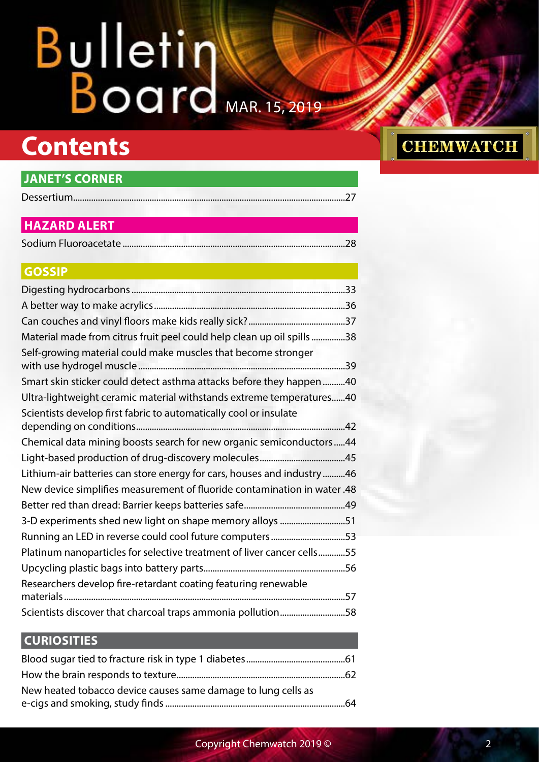## **Contents**

| <b>JANET'S CORNER</b> |  |
|-----------------------|--|
|                       |  |
|                       |  |

## **[HAZARD ALERT](#page-27-0)**

## **[GOSSIP](#page-32-0)**

| Material made from citrus fruit peel could help clean up oil spills38    |  |
|--------------------------------------------------------------------------|--|
| Self-growing material could make muscles that become stronger            |  |
| Smart skin sticker could detect asthma attacks before they happen40      |  |
| Ultra-lightweight ceramic material withstands extreme temperatures40     |  |
| Scientists develop first fabric to automatically cool or insulate        |  |
| Chemical data mining boosts search for new organic semiconductors44      |  |
|                                                                          |  |
| Lithium-air batteries can store energy for cars, houses and industry46   |  |
| New device simplifies measurement of fluoride contamination in water .48 |  |
|                                                                          |  |
| 3-D experiments shed new light on shape memory alloys 51                 |  |
| Running an LED in reverse could cool future computers53                  |  |
| Platinum nanoparticles for selective treatment of liver cancer cells55   |  |
|                                                                          |  |
| Researchers develop fire-retardant coating featuring renewable           |  |
|                                                                          |  |
| 5858 Scientists discover that charcoal traps ammonia pollution58         |  |

### **[CURIOSITIES](#page-60-0)**

| New heated tobacco device causes same damage to lung cells as |  |
|---------------------------------------------------------------|--|
|                                                               |  |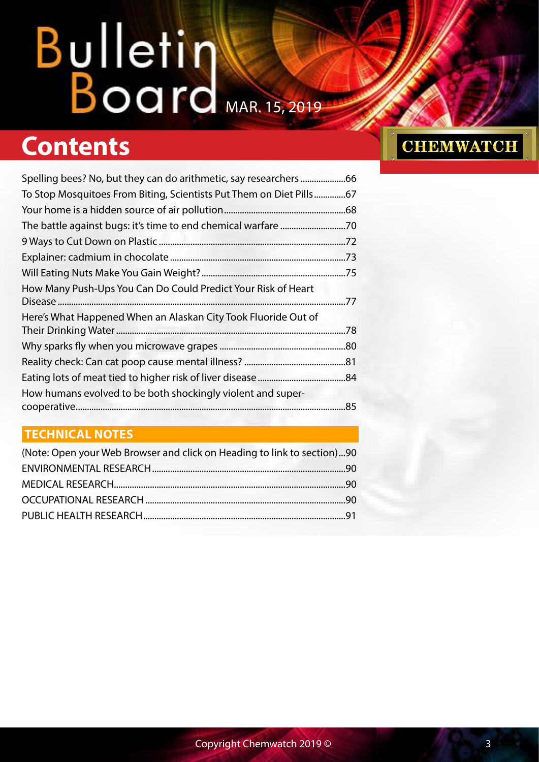## Bulletin War. 15, 2019

## **Contents**

| Spelling bees? No, but they can do arithmetic, say researchers           | .66 |
|--------------------------------------------------------------------------|-----|
| To Stop Mosquitoes From Biting, Scientists Put Them on Diet Pills67      |     |
|                                                                          | .68 |
| The battle against bugs: it's time to end chemical warfare               | .70 |
|                                                                          | .72 |
|                                                                          | .73 |
|                                                                          | .75 |
| How Many Push-Ups You Can Do Could Predict Your Risk of Heart<br>Disease | 77  |
| Here's What Happened When an Alaskan City Took Fluoride Out of           | .78 |
|                                                                          | .80 |
|                                                                          | .81 |
|                                                                          | .84 |
| How humans evolved to be both shockingly violent and super-              |     |
|                                                                          | .85 |

## **[TECHNICAL NOTES](#page-89-0)**

| (Note: Open your Web Browser and click on Heading to link to section)90 |  |
|-------------------------------------------------------------------------|--|
|                                                                         |  |
|                                                                         |  |
|                                                                         |  |
|                                                                         |  |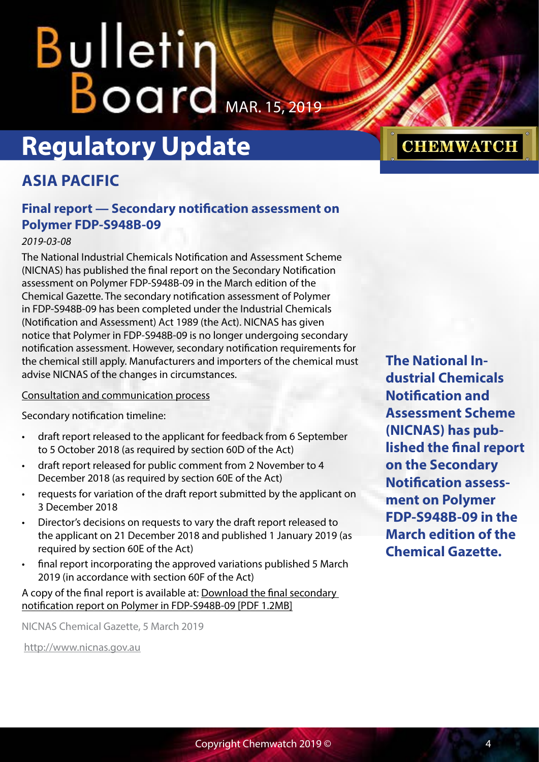## <span id="page-3-0"></span>**Regulatory Update**

## **CHEMWATCH**

## **ASIA PACIFIC**

## **Final report — Secondary notification assessment on Polymer FDP-S948B-09**

### *2019-03-08*

The National Industrial Chemicals Notification and Assessment Scheme (NICNAS) has published the final report on the Secondary Notification assessment on Polymer FDP-S948B-09 in the March edition of the Chemical Gazette. The secondary notification assessment of Polymer in FDP-S948B-09 has been completed under the Industrial Chemicals (Notification and Assessment) Act 1989 (the Act). NICNAS has given notice that Polymer in FDP-S948B-09 is no longer undergoing secondary notification assessment. However, secondary notification requirements for the chemical still apply. Manufacturers and importers of the chemical must advise NICNAS of the changes in circumstances.

#### Consultation and communication process

Secondary notification timeline:

- draft report released to the applicant for feedback from 6 September to 5 October 2018 (as required by section 60D of the Act)
- draft report released for public comment from 2 November to 4 December 2018 (as required by section 60E of the Act)
- requests for variation of the draft report submitted by the applicant on 3 December 2018
- Director's decisions on requests to vary the draft report released to the applicant on 21 December 2018 and published 1 January 2019 (as required by section 60E of the Act)
- final report incorporating the approved variations published 5 March 2019 (in accordance with section 60F of the Act)

A copy of the final report is available at: [Download the final secondary](https://www.nicnas.gov.au/__data/assets/pdf_file/0011/85646/Polymer-in-FDP-S948B-09-Secondary-Notification-Assessment.pdf)  [notification report on Polymer in FDP-S948B-09 \[PDF 1.2MB\]](https://www.nicnas.gov.au/__data/assets/pdf_file/0011/85646/Polymer-in-FDP-S948B-09-Secondary-Notification-Assessment.pdf)

NICNAS Chemical Gazette, 5 March 2019

<http://www.nicnas.gov.au>

**The National Industrial Chemicals Notification and Assessment Scheme (NICNAS) has published the final report on the Secondary Notification assessment on Polymer FDP-S948B-09 in the March edition of the Chemical Gazette.**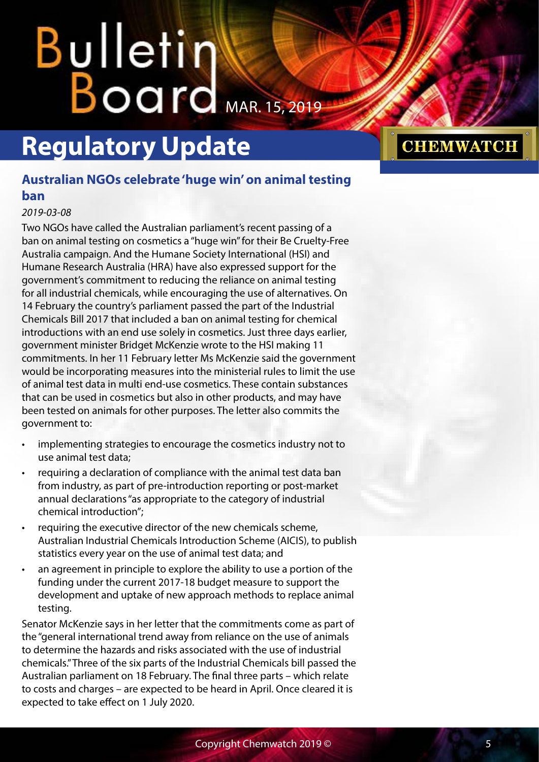## <span id="page-4-0"></span>Bulletin Board MAR. 15, 2019

## **Regulatory Update**

## **Australian NGOs celebrate 'huge win' on animal testing ban**

### *2019-03-08*

Two NGOs have called the Australian parliament's recent passing of a ban on animal testing on cosmetics a "huge win" for their Be Cruelty-Free Australia campaign. And the Humane Society International (HSI) and Humane Research Australia (HRA) have also expressed support for the government's commitment to reducing the reliance on animal testing for all industrial chemicals, while encouraging the use of alternatives. On 14 February the country's parliament passed the part of the Industrial Chemicals Bill 2017 that included a ban on animal testing for chemical introductions with an end use solely in cosmetics. Just three days earlier, government minister Bridget McKenzie wrote to the HSI making 11 commitments. In her 11 February letter Ms McKenzie said the government would be incorporating measures into the ministerial rules to limit the use of animal test data in multi end-use cosmetics. These contain substances that can be used in cosmetics but also in other products, and may have been tested on animals for other purposes. The letter also commits the government to:

- implementing strategies to encourage the cosmetics industry not to use animal test data;
- requiring a declaration of compliance with the animal test data ban from industry, as part of pre-introduction reporting or post-market annual declarations "as appropriate to the category of industrial chemical introduction";
- requiring the executive director of the new chemicals scheme, Australian Industrial Chemicals Introduction Scheme (AICIS), to publish statistics every year on the use of animal test data; and
- an agreement in principle to explore the ability to use a portion of the funding under the current 2017-18 budget measure to support the development and uptake of new approach methods to replace animal testing.

Senator McKenzie says in her letter that the commitments come as part of the "general international trend away from reliance on the use of animals to determine the hazards and risks associated with the use of industrial chemicals." Three of the six parts of the Industrial Chemicals bill passed the Australian parliament on 18 February. The final three parts – which relate to costs and charges – are expected to be heard in April. Once cleared it is expected to take effect on 1 July 2020.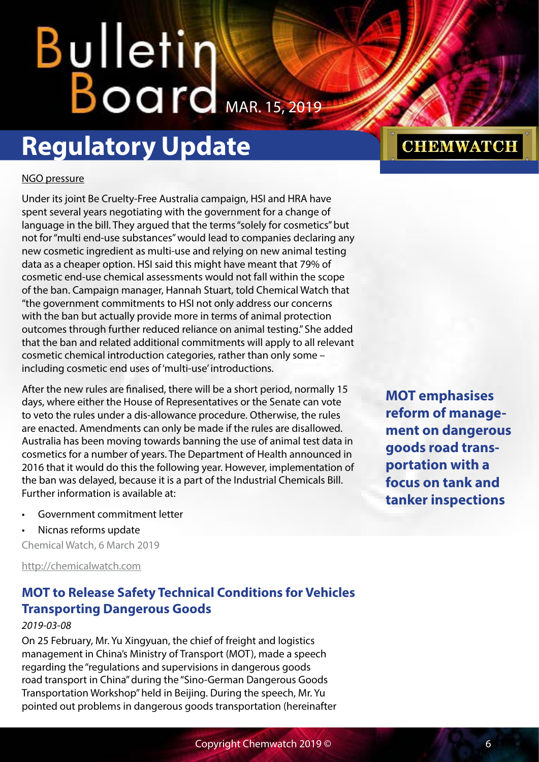## <span id="page-5-0"></span>**Regulatory Update**

### NGO pressure

Under its joint Be Cruelty-Free Australia campaign, HSI and HRA have spent several years negotiating with the government for a change of language in the bill. They argued that the terms "solely for cosmetics" but not for "multi end-use substances" would lead to companies declaring any new cosmetic ingredient as multi-use and relying on new animal testing data as a cheaper option. HSI said this might have meant that 79% of cosmetic end-use chemical assessments would not fall within the scope of the ban. Campaign manager, Hannah Stuart, told Chemical Watch that "the government commitments to HSI not only address our concerns with the ban but actually provide more in terms of animal protection outcomes through further reduced reliance on animal testing." She added that the ban and related additional commitments will apply to all relevant cosmetic chemical introduction categories, rather than only some – including cosmetic end uses of 'multi-use' introductions.

After the new rules are finalised, there will be a short period, normally 15 days, where either the House of Representatives or the Senate can vote to veto the rules under a dis-allowance procedure. Otherwise, the rules are enacted. Amendments can only be made if the rules are disallowed. Australia has been moving towards banning the use of animal test data in cosmetics for a number of years. The Department of Health announced in 2016 that it would do this the following year. However, implementation of the ban was delayed, because it is a part of the Industrial Chemicals Bill. Further information is available at:

- [Government commitment letter](https://hsi.org.au/uploads/ckfinder/userfiles/files/Signed%20Letter%20to%20Humane%20Society%20International%20-%2011%20Feb%2019.pdf)
- [Nicnas reforms update](https://www.nicnas.gov.au/news-and-events/news-and-notices/news-and-notices-content/reforms-update-passage-of-bills-through-both-houses-of-parliament)

Chemical Watch, 6 March 2019

<http://chemicalwatch.com>

## **MOT to Release Safety Technical Conditions for Vehicles Transporting Dangerous Goods**

*2019-03-08*

On 25 February, Mr. Yu Xingyuan, the chief of freight and logistics management in China's Ministry of Transport (MOT), made a speech regarding the "regulations and supervisions in dangerous goods road transport in China" during the "Sino-German Dangerous Goods Transportation Workshop" held in Beijing. During the speech, Mr. Yu pointed out problems in dangerous goods transportation (hereinafter

## **CHEMWATCH**

**MOT emphasises reform of management on dangerous goods road transportation with a focus on tank and tanker inspections**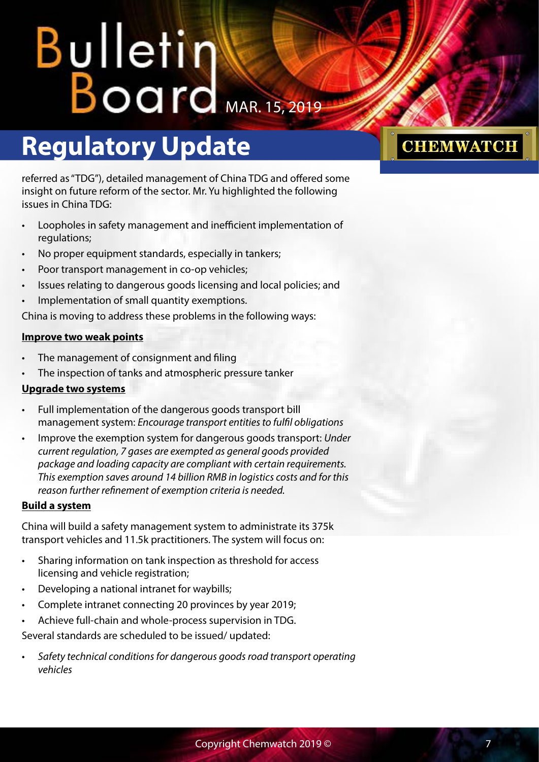## **Regulatory Update**

referred as "TDG"), detailed management of China TDG and offered some insight on future reform of the sector. Mr. Yu highlighted the following issues in China TDG:

- Loopholes in safety management and inefficient implementation of regulations;
- No proper equipment standards, especially in tankers;
- Poor transport management in co-op vehicles;
- Issues relating to dangerous goods licensing and local policies; and
- Implementation of small quantity exemptions.

China is moving to address these problems in the following ways:

#### **Improve two weak points**

- The management of consignment and filing
- The inspection of tanks and atmospheric pressure tanker

#### **Upgrade two systems**

- Full implementation of the dangerous goods transport bill management system: *Encourage transport entities to fulfil obligations*
- Improve the exemption system for dangerous goods transport: *Under current regulation, 7 gases are exempted as general goods provided package and loading capacity are compliant with certain requirements. This exemption saves around 14 billion RMB in logistics costs and for this reason further refinement of exemption criteria is needed.*

#### **Build a system**

China will build a safety management system to administrate its 375k transport vehicles and 11.5k practitioners. The system will focus on:

- Sharing information on tank inspection as threshold for access licensing and vehicle registration;
- Developing a national intranet for waybills;
- Complete intranet connecting 20 provinces by year 2019;
- Achieve full-chain and whole-process supervision in TDG.

Several standards are scheduled to be issued/ updated:

• *Safety technical conditions for dangerous goods road transport operating vehicles*

### Copyright Chemwatch 2019 © 7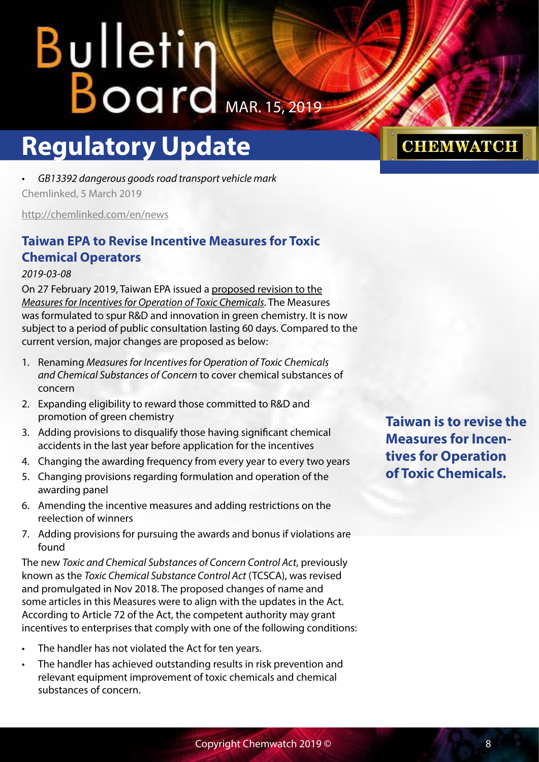## <span id="page-7-0"></span>**Regulatory Update**

• *GB13392 dangerous goods road transport vehicle mark*

Chemlinked, 5 March 2019

<http://chemlinked.com/en/news>

## **Taiwan EPA to Revise Incentive Measures for Toxic Chemical Operators**

#### *2019-03-08*

On 27 February 2019, Taiwan EPA issued a [proposed revision to the](https://doc.epa.gov.tw/IFDEWebBBS_EPA/ExternalBBS.aspx) *[Measures for Incentives for Operation of Toxic Chemicals](https://doc.epa.gov.tw/IFDEWebBBS_EPA/ExternalBBS.aspx)*. The Measures was formulated to spur R&D and innovation in green chemistry. It is now subject to a period of public consultation lasting 60 days. Compared to the current version, major changes are proposed as below:

- 1. Renaming *Measures for Incentives for Operation of Toxic Chemicals and Chemical Substances of Concern* to cover chemical substances of concern
- 2. Expanding eligibility to reward those committed to R&D and promotion of green chemistry
- 3. Adding provisions to disqualify those having significant chemical accidents in the last year before application for the incentives
- 4. Changing the awarding frequency from every year to every two years
- 5. Changing provisions regarding formulation and operation of the awarding panel
- 6. Amending the incentive measures and adding restrictions on the reelection of winners
- 7. Adding provisions for pursuing the awards and bonus if violations are found

The new *Toxic and Chemical Substances of Concern Control Act*, previously known as the *Toxic Chemical Substance Control Act* (TCSCA), was revised and promulgated in Nov 2018. The proposed changes of name and some articles in this Measures were to align with the updates in the Act. According to Article 72 of the Act, the competent authority may grant incentives to enterprises that comply with one of the following conditions:

- The handler has not violated the Act for ten years.
- The handler has achieved outstanding results in risk prevention and relevant equipment improvement of toxic chemicals and chemical substances of concern.

**Taiwan is to revise the Measures for Incentives for Operation of Toxic Chemicals.**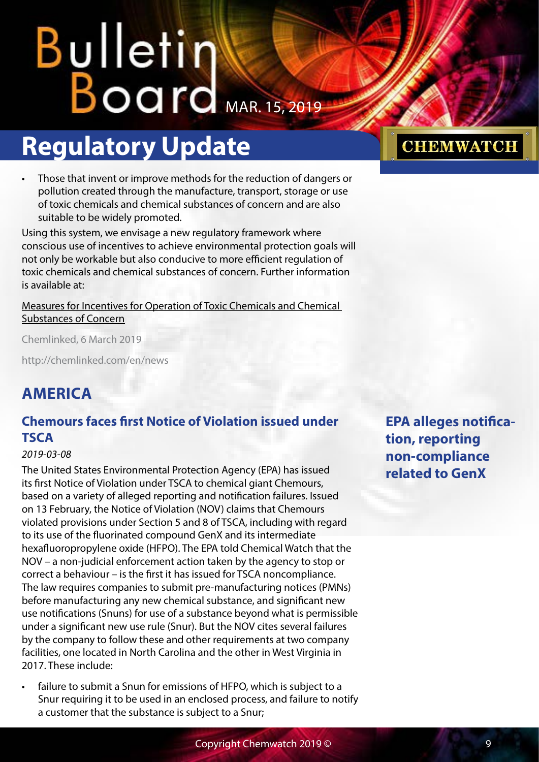## <span id="page-8-0"></span>**Regulatory Update**

• Those that invent or improve methods for the reduction of dangers or pollution created through the manufacture, transport, storage or use of toxic chemicals and chemical substances of concern and are also suitable to be widely promoted.

Using this system, we envisage a new regulatory framework where conscious use of incentives to achieve environmental protection goals will not only be workable but also conducive to more efficient regulation of toxic chemicals and chemical substances of concern. Further information is available at:

[Measures for Incentives for Operation of Toxic Chemicals and Chemical](https://doc.epa.gov.tw/IFDEWebBBS_EPA/ExternalBBS.aspx)  [Substances of Concern](https://doc.epa.gov.tw/IFDEWebBBS_EPA/ExternalBBS.aspx)

Chemlinked, 6 March 2019

<http://chemlinked.com/en/news>

## **AMERICA**

## **Chemours faces first Notice of Violation issued under TSCA**

#### *2019-03-08*

The United States Environmental Protection Agency (EPA) has issued its first Notice of Violation under TSCA to chemical giant Chemours, based on a variety of alleged reporting and notification failures. Issued on 13 February, the Notice of Violation (NOV) claims that Chemours violated provisions under Section 5 and 8 of TSCA, including with regard to its use of the fluorinated compound GenX and its intermediate hexafluoropropylene oxide (HFPO). The EPA told Chemical Watch that the NOV – a non-judicial enforcement action taken by the agency to stop or correct a behaviour – is the first it has issued for TSCA noncompliance. The law requires companies to submit pre-manufacturing notices (PMNs) before manufacturing any new chemical substance, and significant new use notifications (Snuns) for use of a substance beyond what is permissible under a significant new use rule (Snur). But the NOV cites several failures by the company to follow these and other requirements at two company facilities, one located in North Carolina and the other in West Virginia in 2017. These include:

failure to submit a Snun for emissions of HFPO, which is subject to a Snur requiring it to be used in an enclosed process, and failure to notify a customer that the substance is subject to a Snur;

**EPA alleges notification, reporting non-compliance related to GenX**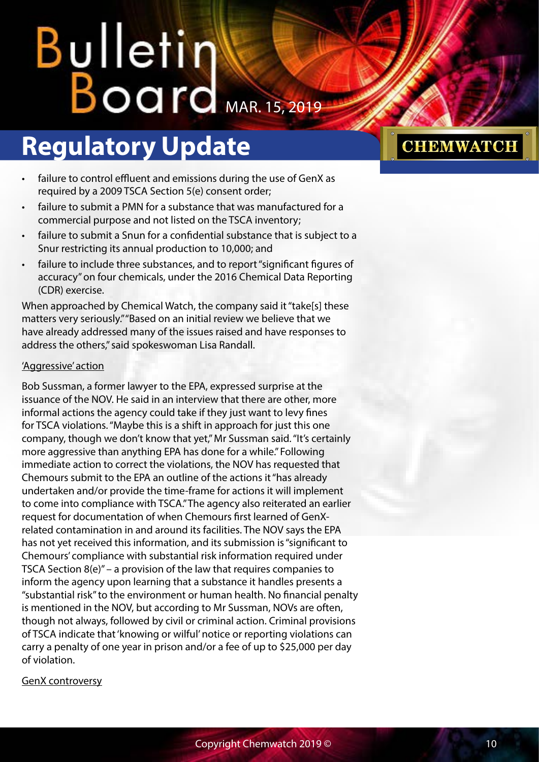## **Bulletin** Board MAR. 15, 2019

## **Regulatory Update**

- failure to control effluent and emissions during the use of GenX as required by a 2009 TSCA Section 5(e) consent order;
- failure to submit a PMN for a substance that was manufactured for a commercial purpose and not listed on the TSCA inventory;
- failure to submit a Snun for a confidential substance that is subject to a Snur restricting its annual production to 10,000; and
- failure to include three substances, and to report "significant figures of accuracy" on four chemicals, under the 2016 Chemical Data Reporting (CDR) exercise.

When approached by Chemical Watch, the company said it "take[s] these matters very seriously." "Based on an initial review we believe that we have already addressed many of the issues raised and have responses to address the others," said spokeswoman Lisa Randall.

#### 'Aggressive' action

Bob Sussman, a former lawyer to the EPA, expressed surprise at the issuance of the NOV. He said in an interview that there are other, more informal actions the agency could take if they just want to levy fines for TSCA violations. "Maybe this is a shift in approach for just this one company, though we don't know that yet," Mr Sussman said. "It's certainly more aggressive than anything EPA has done for a while." Following immediate action to correct the violations, the NOV has requested that Chemours submit to the EPA an outline of the actions it "has already undertaken and/or provide the time-frame for actions it will implement to come into compliance with TSCA." The agency also reiterated an earlier request for documentation of when Chemours first learned of GenXrelated contamination in and around its facilities. The NOV says the EPA has not yet received this information, and its submission is "significant to Chemours' compliance with substantial risk information required under TSCA Section 8(e)" – a provision of the law that requires companies to inform the agency upon learning that a substance it handles presents a "substantial risk" to the environment or human health. No financial penalty is mentioned in the NOV, but according to Mr Sussman, NOVs are often, though not always, followed by civil or criminal action. Criminal provisions of TSCA indicate that 'knowing or wilful' notice or reporting violations can carry a penalty of one year in prison and/or a fee of up to \$25,000 per day of violation.

#### GenX controversy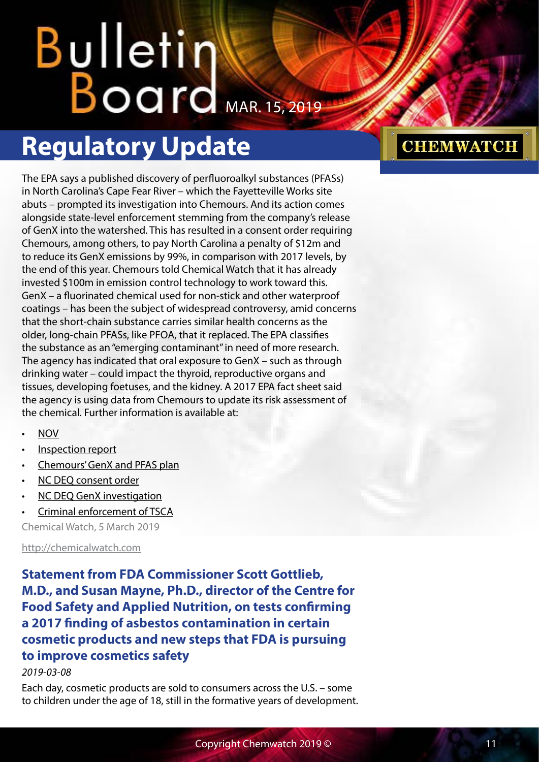## <span id="page-10-0"></span>Bulletin  $B$ oard MAR. 15, 2019

## **Regulatory Update**

The EPA says a published discovery of perfluoroalkyl substances (PFASs) in North Carolina's Cape Fear River – which the Fayetteville Works site abuts – prompted its investigation into Chemours. And its action comes alongside state-level enforcement stemming from the company's release of GenX into the watershed. This has resulted in a consent order requiring Chemours, among others, to pay North Carolina a penalty of \$12m and to reduce its GenX emissions by 99%, in comparison with 2017 levels, by the end of this year. Chemours told Chemical Watch that it has already invested \$100m in emission control technology to work toward this. GenX – a fluorinated chemical used for non-stick and other waterproof coatings – has been the subject of widespread controversy, amid concerns that the short-chain substance carries similar health concerns as the older, long-chain PFASs, like PFOA, that it replaced. The EPA classifies the substance as an "emerging contaminant" in need of more research. The agency has indicated that oral exposure to GenX – such as through drinking water – could impact the thyroid, reproductive organs and tissues, developing foetuses, and the kidney. A 2017 EPA fact sheet said the agency is using data from Chemours to update its risk assessment of the chemical. Further information is available at:

- [NOV](https://www.epa.gov/sites/production/files/2019-02/documents/chemours_tsca_nov_-_cbi_sanitized_-_021318_signed.pdf)
- [Inspection report](https://www.epa.gov/sites/production/files/2019-02/documents/tsca_non_cbi-r3_chemours_inspection_report.pdf)
- [Chemours' GenX and PFAS plan](https://www.chemours.com/news/news-releases/2018-0910-chemours-significant-emissions-dordrecht-plant.pdf)
- [NC DEQ consent order](https://files.nc.gov/ncdeq/GenX/2019-02-25-Consent-Order---file-stamped-and-fully-executed--b--w-.pdf)
- [NC DEQ GenX investigation](https://deq.nc.gov/news/hot-topics/genx-investigation)
- [Criminal enforcement of TSCA](https://www.epa.gov/enforcement/criminal-provisions-toxic-substances-control-act-tsca)

Chemical Watch, 5 March 2019

<http://chemicalwatch.com>

**Statement from FDA Commissioner Scott Gottlieb, M.D., and Susan Mayne, Ph.D., director of the Centre for Food Safety and Applied Nutrition, on tests confirming a 2017 finding of asbestos contamination in certain cosmetic products and new steps that FDA is pursuing to improve cosmetics safety**

*2019-03-08*

Each day, cosmetic products are sold to consumers across the U.S. – some to children under the age of 18, still in the formative years of development.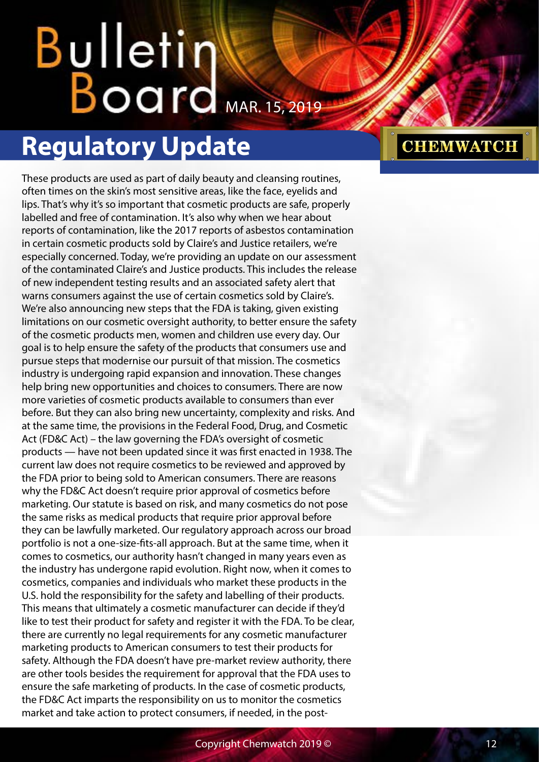## Bulletin  $B$ Oard  $MAR. 15, 2019$

## **Regulatory Update**

These products are used as part of daily beauty and cleansing routines, often times on the skin's most sensitive areas, like the face, eyelids and lips. That's why it's so important that cosmetic products are safe, properly labelled and free of contamination. It's also why when we hear about reports of contamination, like the 2017 reports of asbestos contamination in certain cosmetic products sold by Claire's and Justice retailers, we're especially concerned. Today, we're providing an update on our assessment of the contaminated Claire's and Justice products. This includes the release of new independent testing results and an associated safety alert that warns consumers against the use of certain cosmetics sold by Claire's. We're also announcing new steps that the FDA is taking, given existing limitations on our cosmetic oversight authority, to better ensure the safety of the cosmetic products men, women and children use every day. Our goal is to help ensure the safety of the products that consumers use and pursue steps that modernise our pursuit of that mission. The cosmetics industry is undergoing rapid expansion and innovation. These changes help bring new opportunities and choices to consumers. There are now more varieties of cosmetic products available to consumers than ever before. But they can also bring new uncertainty, complexity and risks. And at the same time, the provisions in the [Federal Food, Drug, and Cosmetic](https://www.fda.gov/RegulatoryInformation/LawsEnforcedbyFDA/FederalFoodDrugandCosmeticActFDCAct/default.htm)  [Act \(FD&C Act\)](https://www.fda.gov/RegulatoryInformation/LawsEnforcedbyFDA/FederalFoodDrugandCosmeticActFDCAct/default.htm) – the law governing the FDA's oversight of cosmetic products — have not been updated since it was first enacted in 1938. The current law does not require cosmetics to be reviewed and approved by the FDA prior to being sold to American consumers. There are reasons why the FD&C Act doesn't require prior approval of cosmetics before marketing. Our statute is based on risk, and many cosmetics do not pose the same risks as medical products that require prior approval before they can be lawfully marketed. Our regulatory approach across our broad portfolio is not a one-size-fits-all approach. But at the same time, when it comes to cosmetics, our authority hasn't changed in many years even as the industry has undergone rapid evolution. Right now, when it comes to cosmetics, companies and individuals who market these products in the U.S. hold the responsibility for the safety and labelling of their products. This means that ultimately a cosmetic manufacturer can decide if they'd like to test their product for safety and register it with the FDA. To be clear, there are currently no legal requirements for any cosmetic manufacturer marketing products to American consumers to test their products for safety. Although the FDA doesn't have pre-market review authority, there are other tools besides the requirement for approval that the FDA uses to ensure the safe marketing of products. In the case of cosmetic products, the FD&C Act imparts the responsibility on us to monitor the cosmetics market and take action to protect consumers, if needed, in the post-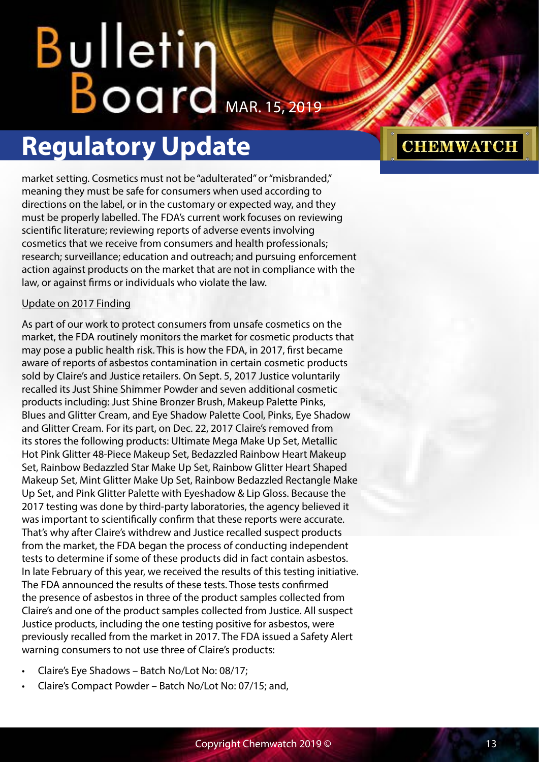## Bulletin  $B$ Oard  $MAR. 15, 2019$

## **Regulatory Update**

market setting. Cosmetics must not be "adulterated" or "misbranded," meaning they must be safe for consumers when used according to directions on the label, or in the customary or expected way, and they must be properly labelled. The FDA's current work focuses on reviewing scientific literature; reviewing reports of adverse events involving cosmetics that we receive from consumers and health professionals; research; surveillance; education and outreach; and pursuing enforcement action against products on the market that are not in compliance with the law, or against firms or individuals who violate the law.

### Update on 2017 Finding

As part of our work to protect consumers from unsafe cosmetics on the market, the FDA routinely monitors the market for cosmetic products that may pose a public health risk. This is how the FDA, in 2017, first became aware of reports of asbestos contamination in certain cosmetic products sold by Claire's and Justice retailers. On Sept. 5, 2017 Justice voluntarily recalled its Just Shine Shimmer Powder and seven additional cosmetic products including: Just Shine Bronzer Brush, Makeup Palette Pinks, Blues and Glitter Cream, and Eye Shadow Palette Cool, Pinks, Eye Shadow and Glitter Cream. For its part, on Dec. 22, 2017 Claire's removed from its stores the following products: Ultimate Mega Make Up Set, Metallic Hot Pink Glitter 48-Piece Makeup Set, Bedazzled Rainbow Heart Makeup Set, Rainbow Bedazzled Star Make Up Set, Rainbow Glitter Heart Shaped Makeup Set, Mint Glitter Make Up Set, Rainbow Bedazzled Rectangle Make Up Set, and Pink Glitter Palette with Eyeshadow & Lip Gloss. Because the 2017 testing was done by third-party laboratories, the agency believed it was important to scientifically confirm that these reports were accurate. That's why after Claire's withdrew and Justice recalled suspect products from the market, the FDA began the process of conducting independent tests to determine if some of these products did in fact contain asbestos. In late February of this year, we received the results of this testing initiative. The FDA announced the results of these tests. Those tests confirmed the presence of asbestos in three of the product samples collected from Claire's and one of the product samples collected from Justice. All suspect Justice products, including the one testing positive for asbestos, were previously recalled from the market in 2017. The FDA issued a [Safety Alert](https://www.fda.gov/Cosmetics/ComplianceEnforcement/RecallsAlerts/ucm632681.htm)  warning consumers to not use three of Claire's products:

- Claire's Eye Shadows Batch No/Lot No: 08/17;
- Claire's Compact Powder Batch No/Lot No: 07/15; and,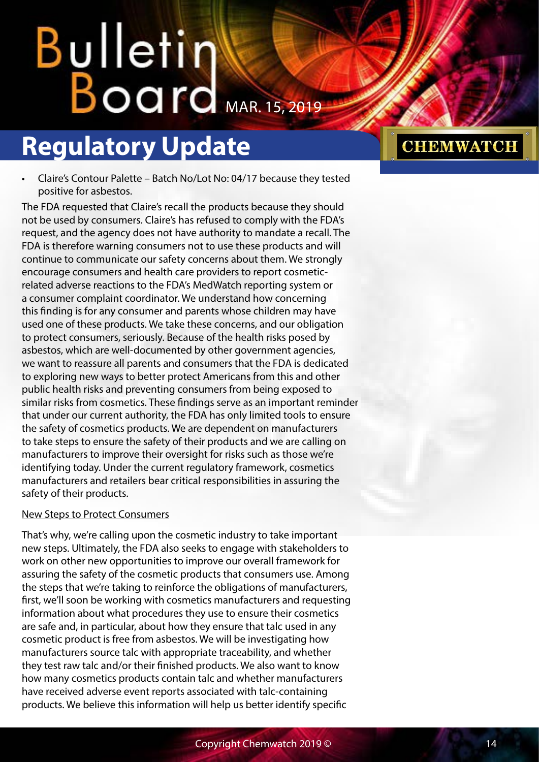## **Bulletin**  $B$  O ard  $MAR. 15, 2019$

## **Regulatory Update**

• Claire's Contour Palette – Batch No/Lot No: 04/17 because they tested positive for asbestos.

The FDA requested that Claire's recall the products because they should not be used by consumers. Claire's has refused to comply with the FDA's request, and the agency does not have authority to mandate a recall. The FDA is therefore warning consumers not to use these products and will continue to communicate our safety concerns about them. We strongly encourage consumers and health care providers to report cosmeticrelated adverse reactions to the FDA's [MedWatch reporting system](https://www.fda.gov/Safety/MedWatch/default.htm) or a [consumer complaint coordinator](https://www.fda.gov/Safety/ReportaProblem/ConsumerComplaintCoordinators/default.htm). We understand how concerning this finding is for any consumer and parents whose children may have used one of these products. We take these concerns, and our obligation to protect consumers, seriously. Because of the health risks posed by asbestos, which are well-documented by other government agencies, we want to reassure all parents and consumers that the FDA is dedicated to exploring new ways to better protect Americans from this and other public health risks and preventing consumers from being exposed to similar risks from cosmetics. These findings serve as an important reminder that under our current authority, the FDA has only limited tools to ensure the safety of cosmetics products. We are dependent on manufacturers to take steps to ensure the safety of their products and we are calling on manufacturers to improve their oversight for risks such as those we're identifying today. Under the current regulatory framework, cosmetics manufacturers and retailers bear critical responsibilities in assuring the safety of their products.

### New Steps to Protect Consumers

That's why, we're calling upon the cosmetic industry to take important new steps. Ultimately, the FDA also seeks to engage with stakeholders to work on other new opportunities to improve our overall framework for assuring the safety of the cosmetic products that consumers use. Among the steps that we're taking to reinforce the obligations of manufacturers, first, we'll soon be working with cosmetics manufacturers and requesting information about what procedures they use to ensure their cosmetics are safe and, in particular, about how they ensure that talc used in any cosmetic product is free from asbestos. We will be investigating how manufacturers source talc with appropriate traceability, and whether they test raw talc and/or their finished products. We also want to know how many cosmetics products contain talc and whether manufacturers have received adverse event reports associated with talc-containing products. We believe this information will help us better identify specific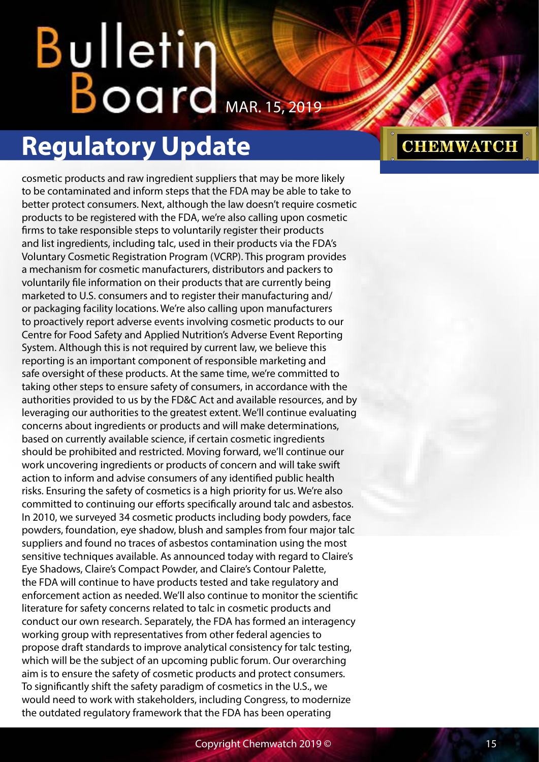## Bulletin  $B$ Oard  $MAR. 15, 2019$

## **Regulatory Update**

cosmetic products and raw ingredient suppliers that may be more likely to be contaminated and inform steps that the FDA may be able to take to better protect consumers. Next, although the law doesn't require cosmetic products to be registered with the FDA, we're also calling upon cosmetic firms to take responsible steps to voluntarily register their products and list ingredients, including talc, used in their products via the FDA's [Voluntary Cosmetic Registration Program \(VCRP\)](https://www.fda.gov/Cosmetics/RegistrationProgram/default.htm). This program provides a mechanism for cosmetic manufacturers, distributors and packers to voluntarily file information on their products that are currently being marketed to U.S. consumers and to register their manufacturing and/ or packaging facility locations. We're also calling upon manufacturers to proactively report adverse events involving cosmetic products to our [Centre for Food Safety and Applied Nutrition's Adverse Event Reporting](https://www.fda.gov/Food/ComplianceEnforcement/ucm494015.htm)  [System](https://www.fda.gov/Food/ComplianceEnforcement/ucm494015.htm). Although this is not required by current law, we believe this reporting is an important component of responsible marketing and safe oversight of these products. At the same time, we're committed to taking other steps to ensure safety of consumers, in accordance with the authorities provided to us by the FD&C Act and available resources, and by leveraging our authorities to the greatest extent. We'll continue evaluating concerns about ingredients or products and will make determinations, based on currently available science, if certain cosmetic ingredients should be prohibited and restricted. Moving forward, we'll continue our work uncovering ingredients or products of concern and will take swift action to inform and advise consumers of any identified public health risks. Ensuring the safety of cosmetics is a high priority for us. We're also committed to continuing our efforts specifically around talc and asbestos. In 2010, we [surveyed 34 cosmetic products including body powders, face](https://www.fda.gov/Cosmetics/ProductsIngredients/Ingredients/ucm293184.htm)  [powders, foundation, eye shadow, blush and samples](https://www.fda.gov/Cosmetics/ProductsIngredients/Ingredients/ucm293184.htm) from four major talc suppliers and found no traces of asbestos contamination using the most sensitive techniques available. As announced today with regard to Claire's Eye Shadows, Claire's Compact Powder, and Claire's Contour Palette, the FDA will continue to have products tested and take regulatory and enforcement action as needed. We'll also continue to monitor the scientific literature for safety concerns related to talc in cosmetic products and conduct our own research. Separately, the FDA has formed an interagency working group with representatives from other federal agencies to propose draft standards to improve analytical consistency for talc testing, which will be the subject of an upcoming public forum. Our overarching aim is to ensure the safety of cosmetic products and protect consumers. To significantly shift the safety paradigm of cosmetics in the U.S., we would need to work with stakeholders, including Congress, to modernize the outdated regulatory framework that the FDA has been operating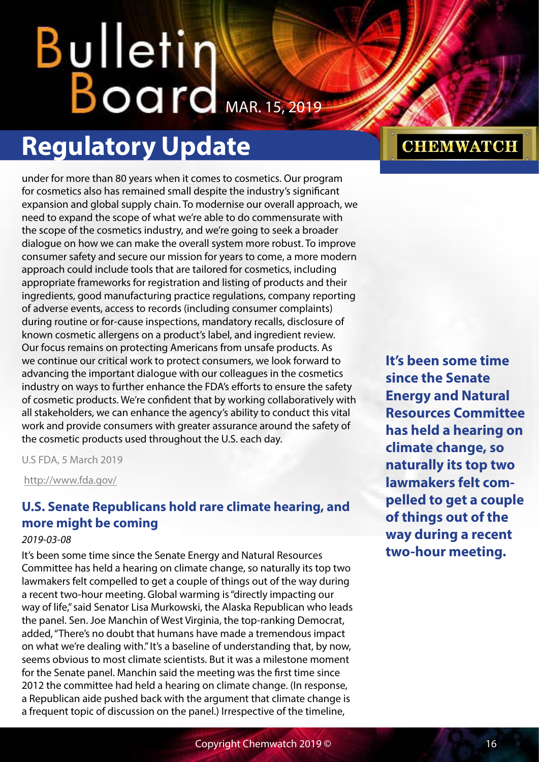## <span id="page-15-0"></span>Bulletin  $B$  O ard  $MAR. 15, 2019$

## **Regulatory Update**

under for more than 80 years when it comes to cosmetics. Our program for cosmetics also has remained small despite the industry's significant expansion and global supply chain. To modernise our overall approach, we need to expand the scope of what we're able to do commensurate with the scope of the cosmetics industry, and we're going to seek a broader dialogue on how we can make the overall system more robust. To improve consumer safety and secure our mission for years to come, a more modern approach could include tools that are tailored for cosmetics, including appropriate frameworks for registration and listing of products and their ingredients, good manufacturing practice regulations, company reporting of adverse events, access to records (including consumer complaints) during routine or for-cause inspections, mandatory recalls, disclosure of known cosmetic allergens on a product's label, and ingredient review. Our focus remains on protecting Americans from unsafe products. As we continue our critical work to protect consumers, we look forward to advancing the important dialogue with our colleagues in the cosmetics industry on ways to further enhance the FDA's efforts to ensure the safety of cosmetic products. We're confident that by working collaboratively with all stakeholders, we can enhance the agency's ability to conduct this vital work and provide consumers with greater assurance around the safety of the cosmetic products used throughout the U.S. each day.

U.S FDA, 5 March 2019

<http://www.fda.gov/>

## **U.S. Senate Republicans hold rare climate hearing, and more might be coming**

#### *2019-03-08*

It's been some time since the Senate Energy and Natural Resources Committee has held a hearing on climate change, so naturally its top two lawmakers felt compelled to get a couple of things out of the way during a recent two-hour meeting. Global warming is "directly impacting our way of life," said Senator Lisa Murkowski, the Alaska Republican who leads the panel. Sen. Joe Manchin of West Virginia, the top-ranking Democrat, added, "There's no doubt that humans have made a tremendous impact on what we're dealing with." It's a baseline of understanding that, by now, seems obvious to most climate scientists. But it was a milestone moment for the Senate panel. Manchin said the meeting was the first time since 2012 the committee had held a hearing on climate change. (In response, a Republican aide pushed back with the argument that climate change is a frequent topic of discussion on the panel.) Irrespective of the timeline,

## **CHEMWATCH**

**It's been some time since the Senate Energy and Natural Resources Committee has held a hearing on climate change, so naturally its top two lawmakers felt compelled to get a couple of things out of the way during a recent two-hour meeting.**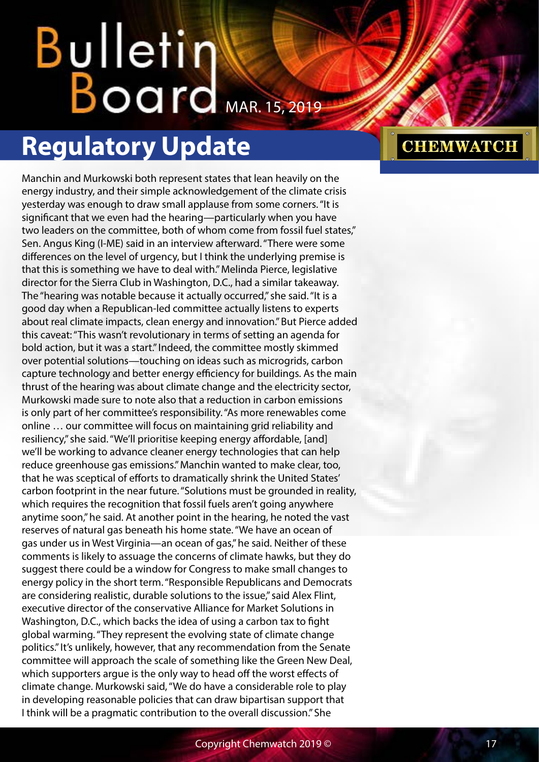## Bulletin  $B$ Oard  $MAR. 15, 2019$

## **Regulatory Update**

Manchin and Murkowski both represent states that lean heavily on the energy industry, and their simple acknowledgement of the climate crisis yesterday was enough to draw small applause from some corners. "It is significant that we even had the hearing—particularly when you have two leaders on the committee, both of whom come from fossil fuel states," Sen. Angus King (I-ME) said in an interview afterward. "There were some differences on the level of urgency, but I think the underlying premise is that this is something we have to deal with." Melinda Pierce, legislative director for the Sierra Club in Washington, D.C., had a similar takeaway. The "hearing was notable because it actually occurred," she said. "It is a good day when a Republican-led committee actually listens to experts about real climate impacts, clean energy and innovation." But Pierce added this caveat: "This wasn't revolutionary in terms of setting an agenda for bold action, but it was a start." Indeed, the committee mostly skimmed over potential solutions—touching on ideas such as microgrids, carbon capture technology and better energy efficiency for buildings. As the main thrust of the hearing was about climate change and the electricity sector, Murkowski made sure to note also that a reduction in carbon emissions is only part of her committee's responsibility. "As more renewables come online … our committee will focus on maintaining grid reliability and resiliency," she said. "We'll prioritise keeping energy affordable, [and] we'll be working to advance cleaner energy technologies that can help reduce greenhouse gas emissions." Manchin wanted to make clear, too, that he was sceptical of efforts to dramatically shrink the United States' carbon footprint in the near future. "Solutions must be grounded in reality, which requires the recognition that fossil fuels aren't going anywhere anytime soon," he said. At another point in the hearing, he noted the vast reserves of natural gas beneath his home state. "We have an ocean of gas under us in West Virginia—an ocean of gas," he said. Neither of these comments is likely to assuage the concerns of climate hawks, but they do suggest there could be a window for Congress to make small changes to energy policy in the short term. "Responsible Republicans and Democrats are considering realistic, durable solutions to the issue," said Alex Flint, executive director of the conservative Alliance for Market Solutions in Washington, D.C., which backs the idea of using a carbon tax to fight global warming. "They represent the evolving state of climate change politics." It's unlikely, however, that any recommendation from the Senate committee will approach the scale of something like the Green New Deal, which supporters argue is the only way to head off the worst effects of climate change. Murkowski said, "We do have a considerable role to play in developing reasonable policies that can draw bipartisan support that I think will be a pragmatic contribution to the overall discussion." She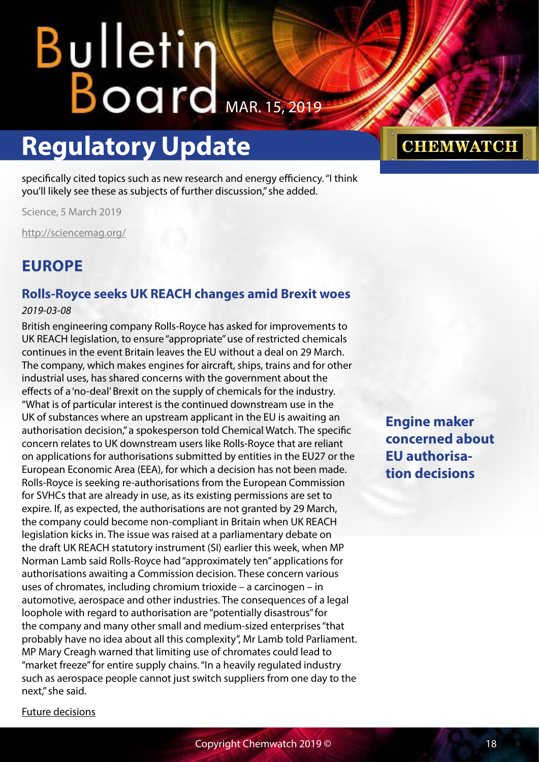## <span id="page-17-0"></span>Bulletin Board MAR. 15, 2019

## **Regulatory Update**

specifically cited topics such as new research and energy efficiency. "I think you'll likely see these as subjects of further discussion," she added.

Science, 5 March 2019

<http://sciencemag.org/>

## **EUROPE**

### **Rolls-Royce seeks UK REACH changes amid Brexit woes**

#### *2019-03-08*

British engineering company Rolls-Royce has asked for improvements to UK REACH legislation, to ensure "appropriate" use of restricted chemicals continues in the event Britain leaves the EU without a deal on 29 March. The company, which makes engines for aircraft, ships, trains and for other industrial uses, has shared concerns with the government about the effects of a 'no-deal' Brexit on the supply of chemicals for the industry. "What is of particular interest is the continued downstream use in the UK of substances where an upstream applicant in the EU is awaiting an authorisation decision," a spokesperson told Chemical Watch. The specific concern relates to UK downstream users like Rolls-Royce that are reliant on applications for authorisations submitted by entities in the EU27 or the European Economic Area (EEA), for which a decision has not been made. Rolls-Royce is seeking re-authorisations from the European Commission for SVHCs that are already in use, as its existing permissions are set to expire. If, as expected, the authorisations are not granted by 29 March, the company could become non-compliant in Britain when UK REACH legislation kicks in. The issue was raised at a parliamentary debate on the draft UK REACH statutory instrument (SI) earlier this week, when MP Norman Lamb said Rolls-Royce had "approximately ten" applications for authorisations awaiting a Commission decision. These concern various uses of chromates, including chromium trioxide – a carcinogen – in automotive, aerospace and other industries. The consequences of a legal loophole with regard to authorisation are "potentially disastrous" for the company and many other small and medium-sized enterprises "that probably have no idea about all this complexity", Mr Lamb told Parliament. MP Mary Creagh warned that limiting use of chromates could lead to "market freeze" for entire supply chains. "In a heavily regulated industry such as aerospace people cannot just switch suppliers from one day to the next," she said.

**Engine maker concerned about EU authorisation decisions**

### Future decisions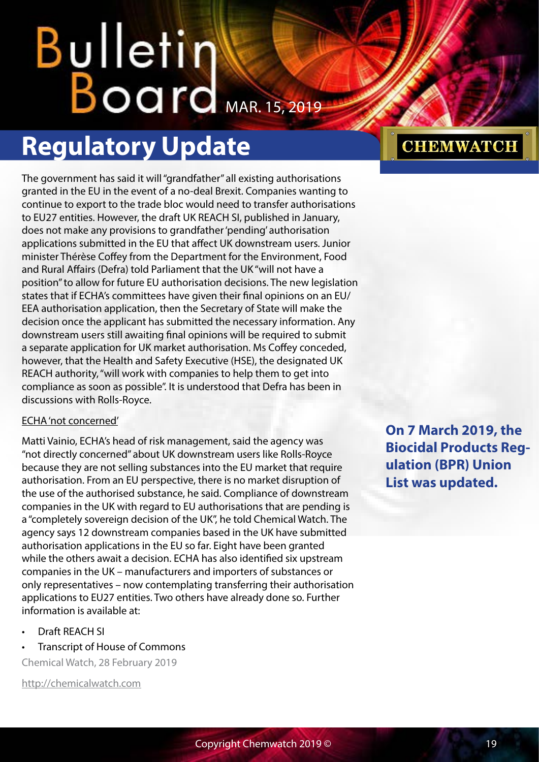## Bulletin  $B$ oard  $MAR. 15, 2019$

## **Regulatory Update**

The government has said it will "grandfather" all existing authorisations granted in the EU in the event of a no-deal Brexit. Companies wanting to continue to export to the trade bloc would need to transfer authorisations to EU27 entities. However, the draft UK REACH SI, published in January, does not make any provisions to grandfather 'pending' authorisation applications submitted in the EU that affect UK downstream users. Junior minister Thérèse Coffey from the Department for the Environment, Food and Rural Affairs (Defra) told Parliament that the UK "will not have a position" to allow for future EU authorisation decisions. The new legislation states that if ECHA's committees have given their final opinions on an EU/ EEA authorisation application, then the Secretary of State will make the decision once the applicant has submitted the necessary information. Any downstream users still awaiting final opinions will be required to submit a separate application for UK market authorisation. Ms Coffey conceded, however, that the Health and Safety Executive (HSE), the designated UK REACH authority, "will work with companies to help them to get into compliance as soon as possible". It is understood that Defra has been in discussions with Rolls-Royce.

### ECHA 'not concerned'

Matti Vainio, ECHA's head of risk management, said the agency was "not directly concerned" about UK downstream users like Rolls-Royce because they are not selling substances into the EU market that require authorisation. From an EU perspective, there is no market disruption of the use of the authorised substance, he said. Compliance of downstream companies in the UK with regard to EU authorisations that are pending is a "completely sovereign decision of the UK", he told Chemical Watch. The agency says 12 downstream companies based in the UK have submitted authorisation applications in the EU so far. Eight have been granted while the others await a decision. ECHA has also identified six upstream companies in the UK – manufacturers and importers of substances or only representatives – now contemplating transferring their authorisation applications to EU27 entities. Two others have already done so. Further information is available at:

- Draft RFACH SI
- [Transcript of House of Commons](https://hansard.parliament.uk/commons/2019-02-25/debates/E6756283-60F8-4636-9287-6B8F6DD0C355/ExitingTheEuropeanUnion(ConsumerProtection))

Chemical Watch, 28 February 2019

<http://chemicalwatch.com>

## **CHEMWATCH**

**On 7 March 2019, the Biocidal Products Regulation (BPR) Union List was updated.**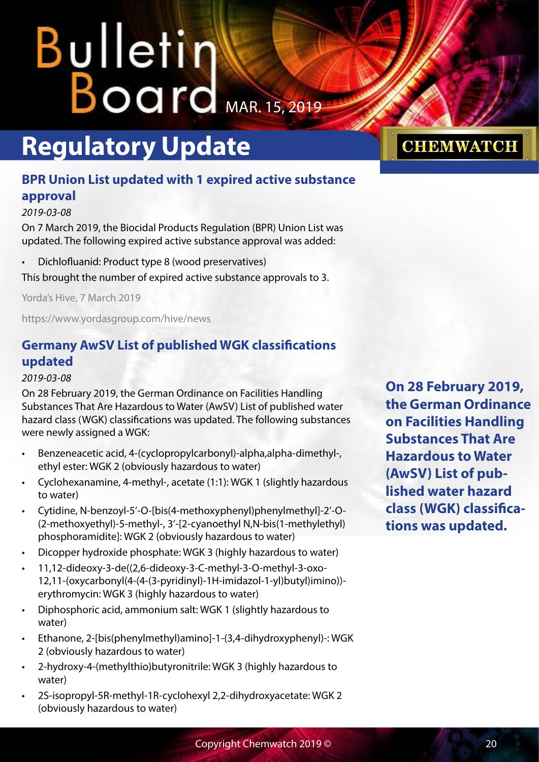## <span id="page-19-0"></span>**Bulletin**  $B$  O ard  $MAR. 15, 2019$

## **Regulatory Update**

## **BPR Union List updated with 1 expired active substance approval**

*2019-03-08*

On 7 March 2019, the Biocidal Products Regulation (BPR) Union List was updated. The following expired active substance approval was added:

• Dichlofluanid: Product type 8 (wood preservatives)

This brought the number of expired active substance approvals to 3.

Yorda's Hive, 7 March 2019

https://www.yordasgroup.com/hive/news

## **Germany AwSV List of published WGK classifications updated**

#### *2019-03-08*

On 28 February 2019, the German Ordinance on Facilities Handling Substances That Are Hazardous to Water (AwSV) List of published water hazard class (WGK) classifications was updated. The following substances were newly assigned a WGK:

- Benzeneacetic acid, 4-(cyclopropylcarbonyl)-alpha,alpha-dimethyl-, ethyl ester: WGK 2 (obviously hazardous to water)
- Cyclohexanamine, 4-methyl-, acetate (1:1): WGK 1 (slightly hazardous to water)
- Cytidine, N-benzoyl-5'-O-[bis(4-methoxyphenyl)phenylmethyl]-2'-O- (2-methoxyethyl)-5-methyl-, 3'-[2-cyanoethyl N,N-bis(1-methylethyl) phosphoramidite]: WGK 2 (obviously hazardous to water)
- Dicopper hydroxide phosphate: WGK 3 (highly hazardous to water)
- 11,12-dideoxy-3-de((2,6-dideoxy-3-C-methyl-3-O-methyl-3-oxo-12,11-(oxycarbonyl(4-(4-(3-pyridinyl)-1H-imidazol-1-yl)butyl)imino)) erythromycin: WGK 3 (highly hazardous to water)
- Diphosphoric acid, ammonium salt: WGK 1 (slightly hazardous to water)
- Ethanone, 2-[bis(phenylmethyl)amino]-1-(3,4-dihydroxyphenyl)-: WGK 2 (obviously hazardous to water)
- 2-hydroxy-4-(methylthio)butyronitrile: WGK 3 (highly hazardous to water)
- 2S-isopropyl-5R-methyl-1R-cyclohexyl 2,2-dihydroxyacetate: WGK 2 (obviously hazardous to water)

**On 28 February 2019, the German Ordinance on Facilities Handling Substances That Are Hazardous to Water (AwSV) List of published water hazard class (WGK) classifications was updated.**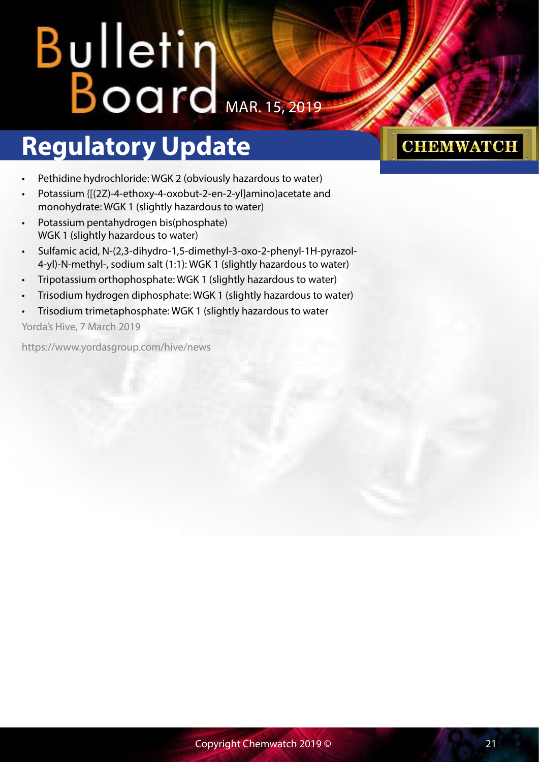## **Regulatory Update**

- Pethidine hydrochloride: WGK 2 (obviously hazardous to water)
- Potassium {[(2Z)-4-ethoxy-4-oxobut-2-en-2-yl]amino}acetate and monohydrate: WGK 1 (slightly hazardous to water)
- Potassium pentahydrogen bis(phosphate) WGK 1 (slightly hazardous to water)
- [Sulfamic acid, N-\(2,3-dihydro-1,5-dimethyl-3-oxo-2-phenyl-1H-pyrazol-](https://hive.yordasgroup.com/r/ID268955)[4-yl\)-N-methyl-, sodium salt \(1:1\)](https://hive.yordasgroup.com/r/ID268955): WGK 1 (slightly hazardous to water)
- Tripotassium orthophosphate: WGK 1 (slightly hazardous to water)
- [Trisodium hydrogen diphosphate:](https://hive.yordasgroup.com/r/ID002950) WGK 1 (slightly hazardous to water)
- Trisodium trimetaphosphate: WGK 1 (slightly hazardous to water

Yorda's Hive, 7 March 2019

https://www.yordasgroup.com/hive/news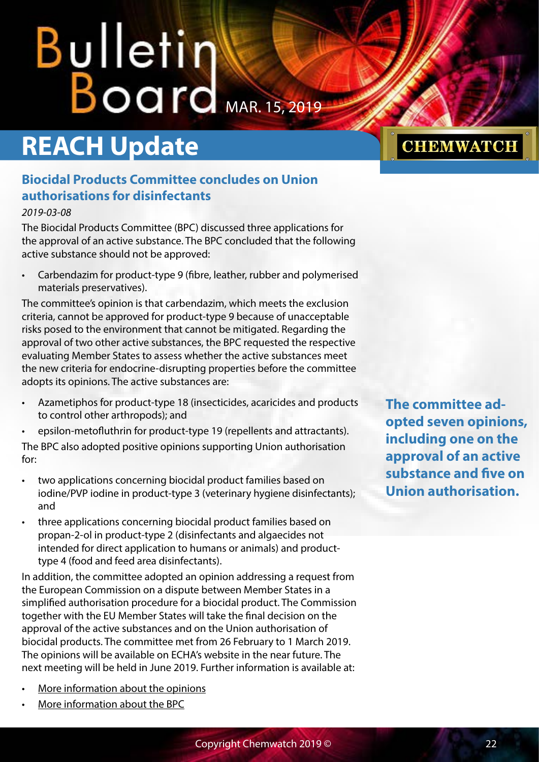## <span id="page-21-0"></span>**Bulletin**  $B$  o ard  $MAR. 15, 2019$

## **REACH Update**

## **Biocidal Products Committee concludes on Union authorisations for disinfectants**

### *2019-03-08*

The Biocidal Products Committee (BPC) discussed three applications for the approval of an active substance. The BPC concluded that the following active substance should not be approved:

• Carbendazim for product-type 9 (fibre, leather, rubber and polymerised materials preservatives).

The committee's opinion is that carbendazim, which meets the exclusion criteria, cannot be approved for product-type 9 because of unacceptable risks posed to the environment that cannot be mitigated. Regarding the approval of two other active substances, the BPC requested the respective evaluating Member States to assess whether the active substances meet the new criteria for endocrine-disrupting properties before the committee adopts its opinions. The active substances are:

- Azametiphos for product-type 18 (insecticides, acaricides and products to control other arthropods); and
- epsilon-metofluthrin for product-type 19 (repellents and attractants). The BPC also adopted positive opinions supporting Union authorisation for:
- two applications concerning biocidal product families based on iodine/PVP iodine in product-type 3 (veterinary hygiene disinfectants); and
- three applications concerning biocidal product families based on propan-2-ol in product-type 2 (disinfectants and algaecides not intended for direct application to humans or animals) and producttype 4 (food and feed area disinfectants).

In addition, the committee adopted an opinion addressing a request from the European Commission on a dispute between Member States in a simplified authorisation procedure for a biocidal product. The Commission together with the EU Member States will take the final decision on the approval of the active substances and on the Union authorisation of biocidal products. The committee met from 26 February to 1 March 2019. The opinions will be available on ECHA's website in the near future. The next meeting will be held in June 2019. Further information is available at:

- [More information about the opinions](https://echa.europa.eu/documents/10162/26300553/bpc29_na_annex.pdf/dd09441c-d87b-b20d-4257-d1edbfca3e97)
- [More information about the BPC](https://echa.europa.eu/about-us/who-we-are/biocidal-products-committee)

## **The committee adopted seven opinions, including one on the approval of an active substance and five on Union authorisation.**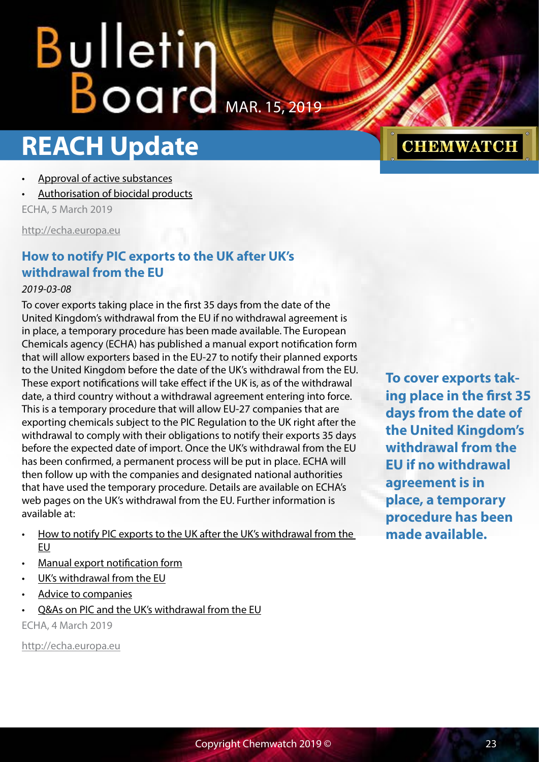## <span id="page-22-0"></span>**REACH Update**

- [Approval of active substances](https://echa.europa.eu/regulations/biocidal-products-regulation/approval-of-active-substances)
- [Authorisation of biocidal products](https://echa.europa.eu/regulations/biocidal-products-regulation/authorisation-of-biocidal-products)

ECHA, 5 March 2019

<http://echa.europa.eu>

## **How to notify PIC exports to the UK after UK's withdrawal from the EU**

### *2019-03-08*

To cover exports taking place in the first 35 days from the date of the United Kingdom's withdrawal from the EU if no withdrawal agreement is in place, a temporary procedure has been made available. The European Chemicals agency (ECHA) has published a manual export notification form that will allow exporters based in the EU-27 to notify their planned exports to the United Kingdom before the date of the UK's withdrawal from the EU. These export notifications will take effect if the UK is, as of the withdrawal date, a third country without a withdrawal agreement entering into force. This is a temporary procedure that will allow EU-27 companies that are exporting chemicals subject to the PIC Regulation to the UK right after the withdrawal to comply with their obligations to notify their exports 35 days before the expected date of import. Once the UK's withdrawal from the EU has been confirmed, a permanent process will be put in place. ECHA will then follow up with the companies and designated national authorities that have used the temporary procedure. Details are available on ECHA's web pages on the UK's withdrawal from the EU. Further information is available at:

- [How to notify PIC exports to the UK after the UK's withdrawal from the](https://echa.europa.eu/documents/10162/21731237/how_to_notify_pic_exports_after_uk_withdrawal_en.pdf/4f6e80c5-b36b-25a3-9490-5bcbfb2cc347)  [EU](https://echa.europa.eu/documents/10162/21731237/how_to_notify_pic_exports_after_uk_withdrawal_en.pdf/4f6e80c5-b36b-25a3-9490-5bcbfb2cc347)
- [Manual export notification form](https://echa.europa.eu/documents/10162/21728205/form_for_manual_export_notification_en.docx/f1b5ea8e-4097-4b37-8f21-d203ddb6a7d3)
- [UK's withdrawal from the EU](https://echa.europa.eu/uk-withdrawal-from-the-eu)
- [Advice to companies](https://echa.europa.eu/advice-to-companies-q-as)
- [Q&As on PIC and the UK's withdrawal from the EU](https://echa.europa.eu/advice-to-companies-q-as/pic)

ECHA, 4 March 2019

<http://echa.europa.eu>

## **CHEMWATCH**

**To cover exports taking place in the first 35 days from the date of the United Kingdom's withdrawal from the EU if no withdrawal agreement is in place, a temporary procedure has been made available.**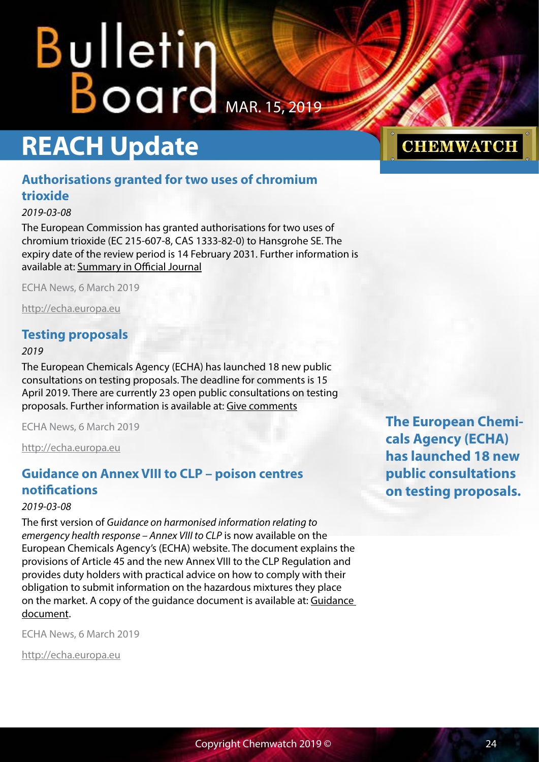## <span id="page-23-0"></span>**REACH Update**

### **Authorisations granted for two uses of chromium trioxide**

*2019-03-08*

The European Commission has granted authorisations for two uses of chromium trioxide (EC 215-607-8, CAS 1333-82-0) to Hansgrohe SE. The expiry date of the review period is 14 February 2031. Further information is available at: [Summary in Official Journal](http://elmlinks.echa.europa.eu/c/4/?T=OTMzMDcxOTU%3AcDEtYjE5MDY1LWE4YmExYmI5NTliZTQzYzA5NmRiOWY4ZjYzNTQ3ZjAy%3AbmF0QGNoZW13YXRjaC5uZXQ%3AbGVhZC1hMDI0MDJjZmMwZTBlNzExODBmYTAwNTA1Njk1MmIzMS0yMmI5YWJlMjgxNDg0NzJhYjAyOWY4ODVhNDE1YTIxNA%3AZmFsc2U%3AMQ%3A%3AaHR0cHM6Ly9ldXItbGV4LmV1cm9wYS5ldS9sZWdhbC1jb250ZW50L0VOL1RYVC8_dXJpPXVyaXNlcnY6T0ouQ18uMjAxOS4wNjguMDEuMDAwNC4wMS5FTkcmdG9jPU9KOkM6MjAxOTowNjg6VE9DJl9jbGRlZT1ibUYwUUdOb1pXMTNZWFJqYUM1dVpYUSUzZCZyZWNpcGllbnRpZD1sZWFkLWEwMjQwMmNmYzBlMGU3MTE4MGZhMDA1MDU2OTUyYjMxLTIyYjlhYmUyODE0ODQ3MmFiMDI5Zjg4NWE0MTVhMjE0JmVzaWQ9NzVkNDYyNGQtZjAzZi1lOTExLTgxMGEtMDA1MDU2OTUyYjMx&K=Qcfe0VbtEoEsyyLlnV9uLw)

ECHA News, 6 March 2019

<http://echa.europa.eu>

### **Testing proposals**

#### *2019*

The European Chemicals Agency (ECHA) has launched 18 new public consultations on testing proposals. The deadline for comments is 15 April 2019. There are currently 23 open public consultations on testing proposals. Further information is available at: [Give comments](http://elmlinks.echa.europa.eu/c/4/?T=OTMzMDcxOTU%3AcDEtYjE5MDY1LWE4YmExYmI5NTliZTQzYzA5NmRiOWY4ZjYzNTQ3ZjAy%3AbmF0QGNoZW13YXRjaC5uZXQ%3AbGVhZC1hMDI0MDJjZmMwZTBlNzExODBmYTAwNTA1Njk1MmIzMS0yMmI5YWJlMjgxNDg0NzJhYjAyOWY4ODVhNDE1YTIxNA%3AZmFsc2U%3AMg%3A%3AaHR0cDovL2VjaGEuZXVyb3BhLmV1L2luZm9ybWF0aW9uLW9uLWNoZW1pY2Fscy90ZXN0aW5nLXByb3Bvc2Fscy9jdXJyZW50P19jbGRlZT1ibUYwUUdOb1pXMTNZWFJqYUM1dVpYUSUzZCZyZWNpcGllbnRpZD1sZWFkLWEwMjQwMmNmYzBlMGU3MTE4MGZhMDA1MDU2OTUyYjMxLTIyYjlhYmUyODE0ODQ3MmFiMDI5Zjg4NWE0MTVhMjE0JmVzaWQ9NzVkNDYyNGQtZjAzZi1lOTExLTgxMGEtMDA1MDU2OTUyYjMx&K=F4VD-kUFd2ML1HAlk6i8EA)

ECHA News, 6 March 2019

<http://echa.europa.eu>

## **Guidance on Annex VIII to CLP – poison centres notifications**

#### *2019-03-08*

The first version of *Guidance on harmonised information relating to emergency health response – Annex VIII to CLP* is now available on the European Chemicals Agency's (ECHA) website. The document explains the provisions of Article 45 and the new Annex VIII to the CLP Regulation and provides duty holders with practical advice on how to comply with their obligation to submit information on the hazardous mixtures they place on the market. A copy of the guidance document is available at: [Guidance](http://elmlinks.echa.europa.eu/c/4/?T=OTMzMDcxOTU%3AcDEtYjE5MDY1LWE4YmExYmI5NTliZTQzYzA5NmRiOWY4ZjYzNTQ3ZjAy%3AbmF0QGNoZW13YXRjaC5uZXQ%3AbGVhZC1hMDI0MDJjZmMwZTBlNzExODBmYTAwNTA1Njk1MmIzMS0yMmI5YWJlMjgxNDg0NzJhYjAyOWY4ODVhNDE1YTIxNA%3AZmFsc2U%3AMw%3A%3AaHR0cHM6Ly9lY2hhLmV1cm9wYS5ldS9ndWlkYW5jZS1kb2N1bWVudHMvZ3VpZGFuY2Utb24tY2xwP3BhbmVsPWd1aWRhbmNlLW9uLWFubmV4LXZpaWktdG8tY2xwI2d1aWRhbmNlLW9uLWFubmV4LXZpaWktdG8tY2xwJl9jbGRlZT1ibUYwUUdOb1pXMTNZWFJqYUM1dVpYUSUzZCZyZWNpcGllbnRpZD1sZWFkLWEwMjQwMmNmYzBlMGU3MTE4MGZhMDA1MDU2OTUyYjMxLTIyYjlhYmUyODE0ODQ3MmFiMDI5Zjg4NWE0MTVhMjE0JmVzaWQ9NzVkNDYyNGQtZjAzZi1lOTExLTgxMGEtMDA1MDU2OTUyYjMx&K=nAq12PrsliIO8nfJEt9EVQ)  [document.](http://elmlinks.echa.europa.eu/c/4/?T=OTMzMDcxOTU%3AcDEtYjE5MDY1LWE4YmExYmI5NTliZTQzYzA5NmRiOWY4ZjYzNTQ3ZjAy%3AbmF0QGNoZW13YXRjaC5uZXQ%3AbGVhZC1hMDI0MDJjZmMwZTBlNzExODBmYTAwNTA1Njk1MmIzMS0yMmI5YWJlMjgxNDg0NzJhYjAyOWY4ODVhNDE1YTIxNA%3AZmFsc2U%3AMw%3A%3AaHR0cHM6Ly9lY2hhLmV1cm9wYS5ldS9ndWlkYW5jZS1kb2N1bWVudHMvZ3VpZGFuY2Utb24tY2xwP3BhbmVsPWd1aWRhbmNlLW9uLWFubmV4LXZpaWktdG8tY2xwI2d1aWRhbmNlLW9uLWFubmV4LXZpaWktdG8tY2xwJl9jbGRlZT1ibUYwUUdOb1pXMTNZWFJqYUM1dVpYUSUzZCZyZWNpcGllbnRpZD1sZWFkLWEwMjQwMmNmYzBlMGU3MTE4MGZhMDA1MDU2OTUyYjMxLTIyYjlhYmUyODE0ODQ3MmFiMDI5Zjg4NWE0MTVhMjE0JmVzaWQ9NzVkNDYyNGQtZjAzZi1lOTExLTgxMGEtMDA1MDU2OTUyYjMx&K=nAq12PrsliIO8nfJEt9EVQ)

ECHA News, 6 March 2019

<http://echa.europa.eu>

**The European Chemicals Agency (ECHA) has launched 18 new public consultations on testing proposals.**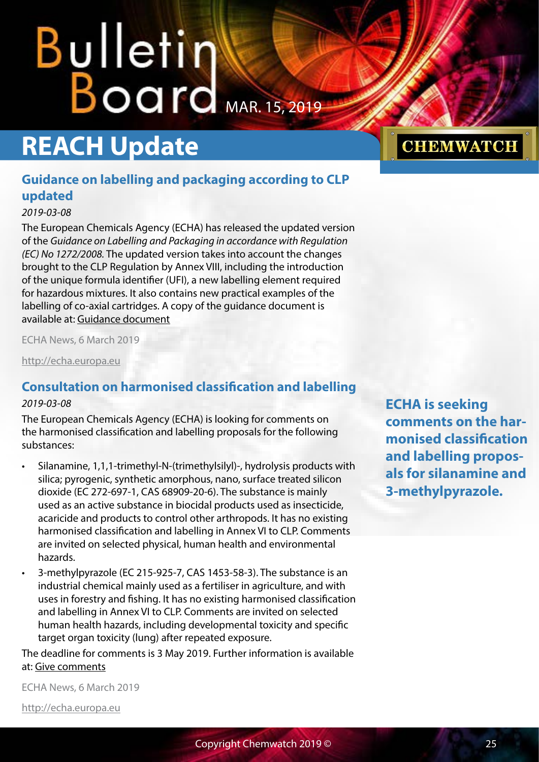## <span id="page-24-0"></span>**REACH Update**

## **Guidance on labelling and packaging according to CLP updated**

#### *2019-03-08*

The European Chemicals Agency (ECHA) has released the updated version of the *Guidance on Labelling and Packaging in accordance with Regulation (EC) No 1272/2008.* The updated version takes into account the changes brought to the CLP Regulation by Annex VIII, including the introduction of the unique formula identifier (UFI), a new labelling element required for hazardous mixtures. It also contains new practical examples of the labelling of co-axial cartridges. A copy of the guidance document is available at: [Guidance document](http://elmlinks.echa.europa.eu/c/4/?T=OTMzMDcxOTU%3AcDEtYjE5MDY1LWE4YmExYmI5NTliZTQzYzA5NmRiOWY4ZjYzNTQ3ZjAy%3AbmF0QGNoZW13YXRjaC5uZXQ%3AbGVhZC1hMDI0MDJjZmMwZTBlNzExODBmYTAwNTA1Njk1MmIzMS0yMmI5YWJlMjgxNDg0NzJhYjAyOWY4ODVhNDE1YTIxNA%3AZmFsc2U%3ANA%3A%3AaHR0cHM6Ly9lY2hhLmV1cm9wYS5ldS9ndWlkYW5jZS1kb2N1bWVudHMvZ3VpZGFuY2Utb24tY2xwP3BhbmVsPWd1aWRhbmNlLW9uLWxhYmVsbGluZy1hbmQtcGFja2FnaW5nLXBhbmVsI2d1aWRhbmNlLW9uLWxhYmVsbGluZy1hbmQtcGFja2FnaW5nLXBhbmVsJl9jbGRlZT1ibUYwUUdOb1pXMTNZWFJqYUM1dVpYUSUzZCZyZWNpcGllbnRpZD1sZWFkLWEwMjQwMmNmYzBlMGU3MTE4MGZhMDA1MDU2OTUyYjMxLTIyYjlhYmUyODE0ODQ3MmFiMDI5Zjg4NWE0MTVhMjE0JmVzaWQ9NzVkNDYyNGQtZjAzZi1lOTExLTgxMGEtMDA1MDU2OTUyYjMx&K=hynh9zQDxEYbaaAcQxqIPQ)

ECHA News, 6 March 2019

<http://echa.europa.eu>

### **Consultation on harmonised classification and labelling**

#### *2019-03-08*

The European Chemicals Agency (ECHA) is looking for comments on the harmonised classification and labelling proposals for the following substances:

- [Silanamine](http://elmlinks.echa.europa.eu/c/4/?T=OTMzMDcxOTU%3AcDEtYjE5MDY1LWE4YmExYmI5NTliZTQzYzA5NmRiOWY4ZjYzNTQ3ZjAy%3AbmF0QGNoZW13YXRjaC5uZXQ%3AbGVhZC1hMDI0MDJjZmMwZTBlNzExODBmYTAwNTA1Njk1MmIzMS0yMmI5YWJlMjgxNDg0NzJhYjAyOWY4ODVhNDE1YTIxNA%3AZmFsc2U%3ANQ%3A%3AaHR0cHM6Ly9lY2hhLmV1cm9wYS5ldS9oYXJtb25pc2VkLWNsYXNzaWZpY2F0aW9uLWFuZC1sYWJlbGxpbmctY29uc3VsdGF0aW9uLy0vc3Vic3RhbmNlLXJldi8yMjgwOS90ZXJtP19jbGRlZT1ibUYwUUdOb1pXMTNZWFJqYUM1dVpYUSUzZCZyZWNpcGllbnRpZD1sZWFkLWEwMjQwMmNmYzBlMGU3MTE4MGZhMDA1MDU2OTUyYjMxLTIyYjlhYmUyODE0ODQ3MmFiMDI5Zjg4NWE0MTVhMjE0JmVzaWQ9NzVkNDYyNGQtZjAzZi1lOTExLTgxMGEtMDA1MDU2OTUyYjMx&K=HV2Ui15jjHlKsL7bIEPi1Q), 1,1,1-trimethyl-N-(trimethylsilyl)-, hydrolysis products with silica; pyrogenic, synthetic amorphous, nano, surface treated silicon dioxide (EC 272-697-1, CAS 68909-20-6). The substance is mainly used as an active substance in biocidal products used as insecticide, acaricide and products to control other arthropods. It has no existing harmonised classification and labelling in Annex VI to CLP. Comments are invited on selected physical, human health and environmental hazards.
- [3-methylpyrazole](http://elmlinks.echa.europa.eu/c/4/?T=OTMzMDcxOTU%3AcDEtYjE5MDY1LWE4YmExYmI5NTliZTQzYzA5NmRiOWY4ZjYzNTQ3ZjAy%3AbmF0QGNoZW13YXRjaC5uZXQ%3AbGVhZC1hMDI0MDJjZmMwZTBlNzExODBmYTAwNTA1Njk1MmIzMS0yMmI5YWJlMjgxNDg0NzJhYjAyOWY4ODVhNDE1YTIxNA%3AZmFsc2U%3ANg%3A%3AaHR0cHM6Ly9lY2hhLmV1cm9wYS5ldS9oYXJtb25pc2VkLWNsYXNzaWZpY2F0aW9uLWFuZC1sYWJlbGxpbmctY29uc3VsdGF0aW9uLy0vc3Vic3RhbmNlLXJldi8yMjgxMC90ZXJtP19jbGRlZT1ibUYwUUdOb1pXMTNZWFJqYUM1dVpYUSUzZCZyZWNpcGllbnRpZD1sZWFkLWEwMjQwMmNmYzBlMGU3MTE4MGZhMDA1MDU2OTUyYjMxLTIyYjlhYmUyODE0ODQ3MmFiMDI5Zjg4NWE0MTVhMjE0JmVzaWQ9NzVkNDYyNGQtZjAzZi1lOTExLTgxMGEtMDA1MDU2OTUyYjMx&K=dHdTmAiQApv7SNLa6ZG2bQ) (EC 215-925-7, CAS 1453-58-3). The substance is an industrial chemical mainly used as a fertiliser in agriculture, and with uses in forestry and fishing. It has no existing harmonised classification and labelling in Annex VI to CLP. Comments are invited on selected human health hazards, including developmental toxicity and specific target organ toxicity (lung) after repeated exposure.

The deadline for comments is 3 May 2019. Further information is available at: [Give comments](http://elmlinks.echa.europa.eu/c/4/?T=OTMzMDcxOTU%3AcDEtYjE5MDY1LWE4YmExYmI5NTliZTQzYzA5NmRiOWY4ZjYzNTQ3ZjAy%3AbmF0QGNoZW13YXRjaC5uZXQ%3AbGVhZC1hMDI0MDJjZmMwZTBlNzExODBmYTAwNTA1Njk1MmIzMS0yMmI5YWJlMjgxNDg0NzJhYjAyOWY4ODVhNDE1YTIxNA%3AZmFsc2U%3ANw%3A%3AaHR0cDovL2VjaGEuZXVyb3BhLmV1L2hhcm1vbmlzZWQtY2xhc3NpZmljYXRpb24tYW5kLWxhYmVsbGluZy1jb25zdWx0YXRpb24_X2NsZGVlPWJtRjBRR05vWlcxM1lYUmphQzV1WlhRJTNkJnJlY2lwaWVudGlkPWxlYWQtYTAyNDAyY2ZjMGUwZTcxMTgwZmEwMDUwNTY5NTJiMzEtMjJiOWFiZTI4MTQ4NDcyYWIwMjlmODg1YTQxNWEyMTQmZXNpZD03NWQ0NjI0ZC1mMDNmLWU5MTEtODEwYS0wMDUwNTY5NTJiMzE&K=0NvezCVgczbKyTdDVhDy4A)

ECHA News, 6 March 2019

<http://echa.europa.eu>

**ECHA is seeking comments on the harmonised classification and labelling proposals for silanamine and 3-methylpyrazole.**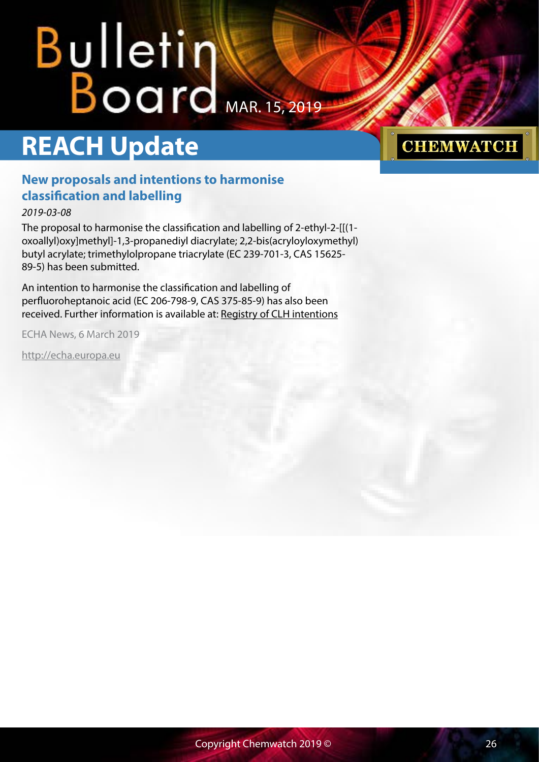## <span id="page-25-0"></span>**REACH Update**

## **New proposals and intentions to harmonise classification and labelling**

*2019-03-08*

The proposal to harmonise the classification and labelling of [2-ethyl-2-\[\[\(1](http://elmlinks.echa.europa.eu/c/4/?T=OTMzMDcxOTU%3AcDEtYjE5MDY1LWE4YmExYmI5NTliZTQzYzA5NmRiOWY4ZjYzNTQ3ZjAy%3AbmF0QGNoZW13YXRjaC5uZXQ%3AbGVhZC1hMDI0MDJjZmMwZTBlNzExODBmYTAwNTA1Njk1MmIzMS0yMmI5YWJlMjgxNDg0NzJhYjAyOWY4ODVhNDE1YTIxNA%3AZmFsc2U%3AOA%3A%3AaHR0cHM6Ly9lY2hhLmV1cm9wYS5ldS9yZWdpc3RyeS1vZi1jbGgtaW50ZW50aW9ucy11bnRpbC1vdXRjb21lLy0vZGlzbGlzdC9kZXRhaWxzLzBiMDIzNmUxODJlZWFjNzE_X2NsZGVlPWJtRjBRR05vWlcxM1lYUmphQzV1WlhRJTNkJnJlY2lwaWVudGlkPWxlYWQtYTAyNDAyY2ZjMGUwZTcxMTgwZmEwMDUwNTY5NTJiMzEtMjJiOWFiZTI4MTQ4NDcyYWIwMjlmODg1YTQxNWEyMTQmZXNpZD03NWQ0NjI0ZC1mMDNmLWU5MTEtODEwYS0wMDUwNTY5NTJiMzE&K=gS_8-4oewO3L_KfhERSu0A) [oxoallyl\)oxy\]methyl\]-1,3-propanediyl diacrylate; 2,2-bis\(acryloyloxymethyl\)](http://elmlinks.echa.europa.eu/c/4/?T=OTMzMDcxOTU%3AcDEtYjE5MDY1LWE4YmExYmI5NTliZTQzYzA5NmRiOWY4ZjYzNTQ3ZjAy%3AbmF0QGNoZW13YXRjaC5uZXQ%3AbGVhZC1hMDI0MDJjZmMwZTBlNzExODBmYTAwNTA1Njk1MmIzMS0yMmI5YWJlMjgxNDg0NzJhYjAyOWY4ODVhNDE1YTIxNA%3AZmFsc2U%3AOA%3A%3AaHR0cHM6Ly9lY2hhLmV1cm9wYS5ldS9yZWdpc3RyeS1vZi1jbGgtaW50ZW50aW9ucy11bnRpbC1vdXRjb21lLy0vZGlzbGlzdC9kZXRhaWxzLzBiMDIzNmUxODJlZWFjNzE_X2NsZGVlPWJtRjBRR05vWlcxM1lYUmphQzV1WlhRJTNkJnJlY2lwaWVudGlkPWxlYWQtYTAyNDAyY2ZjMGUwZTcxMTgwZmEwMDUwNTY5NTJiMzEtMjJiOWFiZTI4MTQ4NDcyYWIwMjlmODg1YTQxNWEyMTQmZXNpZD03NWQ0NjI0ZC1mMDNmLWU5MTEtODEwYS0wMDUwNTY5NTJiMzE&K=gS_8-4oewO3L_KfhERSu0A) [butyl acrylate](http://elmlinks.echa.europa.eu/c/4/?T=OTMzMDcxOTU%3AcDEtYjE5MDY1LWE4YmExYmI5NTliZTQzYzA5NmRiOWY4ZjYzNTQ3ZjAy%3AbmF0QGNoZW13YXRjaC5uZXQ%3AbGVhZC1hMDI0MDJjZmMwZTBlNzExODBmYTAwNTA1Njk1MmIzMS0yMmI5YWJlMjgxNDg0NzJhYjAyOWY4ODVhNDE1YTIxNA%3AZmFsc2U%3AOA%3A%3AaHR0cHM6Ly9lY2hhLmV1cm9wYS5ldS9yZWdpc3RyeS1vZi1jbGgtaW50ZW50aW9ucy11bnRpbC1vdXRjb21lLy0vZGlzbGlzdC9kZXRhaWxzLzBiMDIzNmUxODJlZWFjNzE_X2NsZGVlPWJtRjBRR05vWlcxM1lYUmphQzV1WlhRJTNkJnJlY2lwaWVudGlkPWxlYWQtYTAyNDAyY2ZjMGUwZTcxMTgwZmEwMDUwNTY5NTJiMzEtMjJiOWFiZTI4MTQ4NDcyYWIwMjlmODg1YTQxNWEyMTQmZXNpZD03NWQ0NjI0ZC1mMDNmLWU5MTEtODEwYS0wMDUwNTY5NTJiMzE&K=gS_8-4oewO3L_KfhERSu0A); trimethylolpropane triacrylate (EC 239-701-3, CAS 15625- 89-5) has been submitted.

An intention to harmonise the classification and labelling of [perfluoroheptanoic acid](http://elmlinks.echa.europa.eu/c/4/?T=OTMzMDcxOTU%3AcDEtYjE5MDY1LWE4YmExYmI5NTliZTQzYzA5NmRiOWY4ZjYzNTQ3ZjAy%3AbmF0QGNoZW13YXRjaC5uZXQ%3AbGVhZC1hMDI0MDJjZmMwZTBlNzExODBmYTAwNTA1Njk1MmIzMS0yMmI5YWJlMjgxNDg0NzJhYjAyOWY4ODVhNDE1YTIxNA%3AZmFsc2U%3AOQ%3A%3AaHR0cHM6Ly9lY2hhLmV1cm9wYS5ldS9yZWdpc3RyeS1vZi1jbGgtaW50ZW50aW9ucy11bnRpbC1vdXRjb21lLy0vZGlzbGlzdC9kZXRhaWxzLzBiMDIzNmUxODMzMzg2MWM_X2NsZGVlPWJtRjBRR05vWlcxM1lYUmphQzV1WlhRJTNkJnJlY2lwaWVudGlkPWxlYWQtYTAyNDAyY2ZjMGUwZTcxMTgwZmEwMDUwNTY5NTJiMzEtMjJiOWFiZTI4MTQ4NDcyYWIwMjlmODg1YTQxNWEyMTQmZXNpZD03NWQ0NjI0ZC1mMDNmLWU5MTEtODEwYS0wMDUwNTY5NTJiMzE&K=W2dt4QFsMy0UX5iFeVii-w) (EC 206-798-9, CAS 375-85-9) has also been received. Further information is available at: [Registry of CLH intentions](http://elmlinks.echa.europa.eu/c/4/?T=OTMzMDcxOTU%3AcDEtYjE5MDY1LWE4YmExYmI5NTliZTQzYzA5NmRiOWY4ZjYzNTQ3ZjAy%3AbmF0QGNoZW13YXRjaC5uZXQ%3AbGVhZC1hMDI0MDJjZmMwZTBlNzExODBmYTAwNTA1Njk1MmIzMS0yMmI5YWJlMjgxNDg0NzJhYjAyOWY4ODVhNDE1YTIxNA%3AZmFsc2U%3AMTA%3A%3AaHR0cHM6Ly9lY2hhLmV1cm9wYS5ldS9yZWdpc3RyeS1vZi1jbGgtaW50ZW50aW9ucy11bnRpbC1vdXRjb21lP19jbGRlZT1ibUYwUUdOb1pXMTNZWFJqYUM1dVpYUSUzZCZyZWNpcGllbnRpZD1sZWFkLWEwMjQwMmNmYzBlMGU3MTE4MGZhMDA1MDU2OTUyYjMxLTIyYjlhYmUyODE0ODQ3MmFiMDI5Zjg4NWE0MTVhMjE0JmVzaWQ9NzVkNDYyNGQtZjAzZi1lOTExLTgxMGEtMDA1MDU2OTUyYjMx&K=8fqKuVV_DdW72iAzrpPYdg)

ECHA News, 6 March 2019

<http://echa.europa.eu>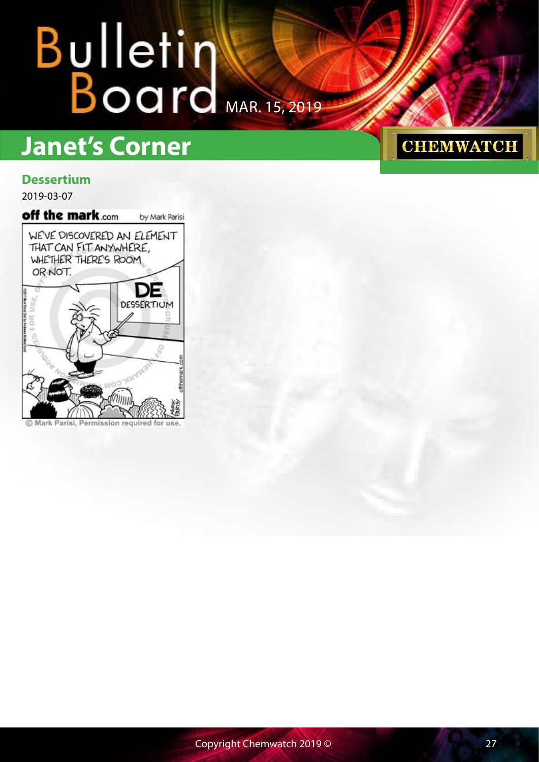## <span id="page-26-0"></span>**Janet's Corner**

## **Dessertium**

2019-03-07

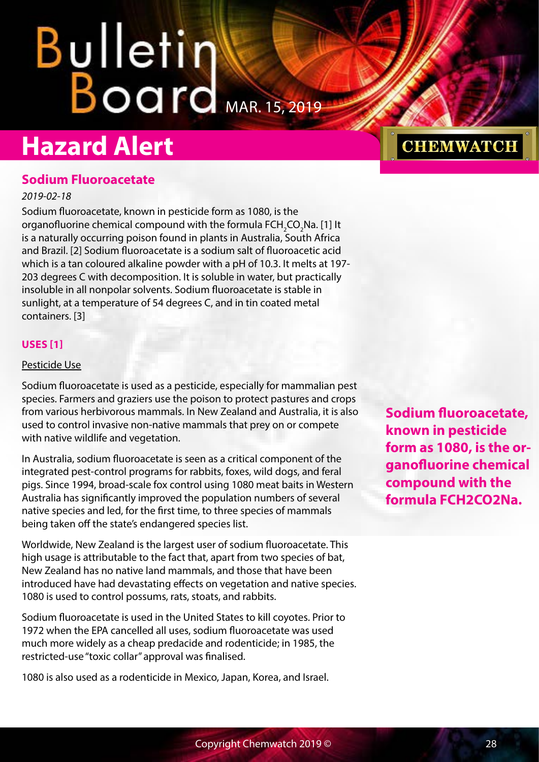## <span id="page-27-0"></span>**Hazard Alert**

## **Sodium Fluoroacetate**

#### *2019-02-18*

Sodium fluoroacetate, known in pesticide form as 1080, is the organofluorine chemical compound with the formula  $\mathsf{FCH}_\mathsf{2} \mathsf{CO}_\mathsf{2} \mathsf{Na}.$  [1] It is a naturally occurring poison found in plants in Australia, South Africa and Brazil. [2] Sodium fluoroacetate is a sodium salt of fluoroacetic acid which is a tan coloured alkaline powder with a pH of 10.3. It melts at 197- 203 degrees C with decomposition. It is soluble in water, but practically insoluble in all nonpolar solvents. Sodium fluoroacetate is stable in sunlight, at a temperature of 54 degrees C, and in tin coated metal containers. [3]

### **USES [1]**

#### Pesticide Use

Sodium fluoroacetate is used as a pesticide, especially for mammalian pest species. Farmers and graziers use the poison to protect pastures and crops from various herbivorous mammals. In New Zealand and Australia, it is also used to control invasive non-native mammals that prey on or compete with native wildlife and vegetation.

In Australia, sodium fluoroacetate is seen as a critical component of the integrated pest-control programs for rabbits, foxes, wild dogs, and feral pigs. Since 1994, broad-scale fox control using 1080 meat baits in Western Australia has significantly improved the population numbers of several native species and led, for the first time, to three species of mammals being taken off the state's endangered species list.

Worldwide, New Zealand is the largest user of sodium fluoroacetate. This high usage is attributable to the fact that, apart from two species of bat, New Zealand has no native land mammals, and those that have been introduced have had devastating effects on vegetation and native species. 1080 is used to control possums, rats, stoats, and rabbits.

Sodium fluoroacetate is used in the United States to kill coyotes. Prior to 1972 when the EPA cancelled all uses, sodium fluoroacetate was used much more widely as a cheap predacide and rodenticide; in 1985, the restricted-use "toxic collar" approval was finalised.

1080 is also used as a rodenticide in Mexico, Japan, Korea, and Israel.

**Sodium fluoroacetate, known in pesticide form as 1080, is the organofluorine chemical compound with the formula FCH2CO2Na.**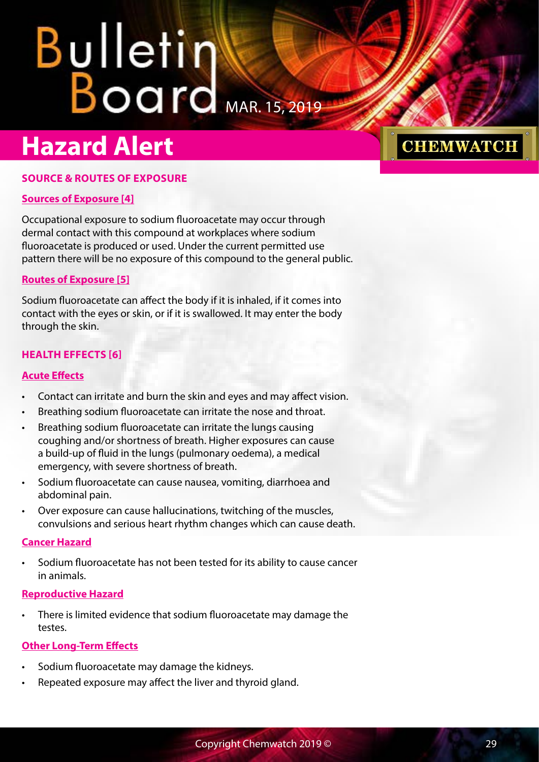## **Hazard Alert**

### **SOURCE & ROUTES OF EXPOSURE**

#### **Sources of Exposure [4]**

Occupational exposure to sodium fluoroacetate may occur through dermal contact with this compound at workplaces where sodium fluoroacetate is produced or used. Under the current permitted use pattern there will be no exposure of this compound to the general public.

#### **Routes of Exposure [5]**

Sodium fluoroacetate can affect the body if it is inhaled, if it comes into contact with the eyes or skin, or if it is swallowed. It may enter the body through the skin.

#### **HEALTH EFFECTS [6]**

#### **Acute Effects**

- Contact can irritate and burn the skin and eyes and may affect vision.
- Breathing sodium fluoroacetate can irritate the nose and throat.
- Breathing sodium fluoroacetate can irritate the lungs causing coughing and/or shortness of breath. Higher exposures can cause a build-up of fluid in the lungs (pulmonary oedema), a medical emergency, with severe shortness of breath.
- Sodium fluoroacetate can cause nausea, vomiting, diarrhoea and abdominal pain.
- Over exposure can cause hallucinations, twitching of the muscles, convulsions and serious heart rhythm changes which can cause death.

#### **Cancer Hazard**

• Sodium fluoroacetate has not been tested for its ability to cause cancer in animals.

#### **Reproductive Hazard**

There is limited evidence that sodium fluoroacetate may damage the testes.

#### **Other Long-Term Effects**

- Sodium fluoroacetate may damage the kidneys.
- Repeated exposure may affect the liver and thyroid gland.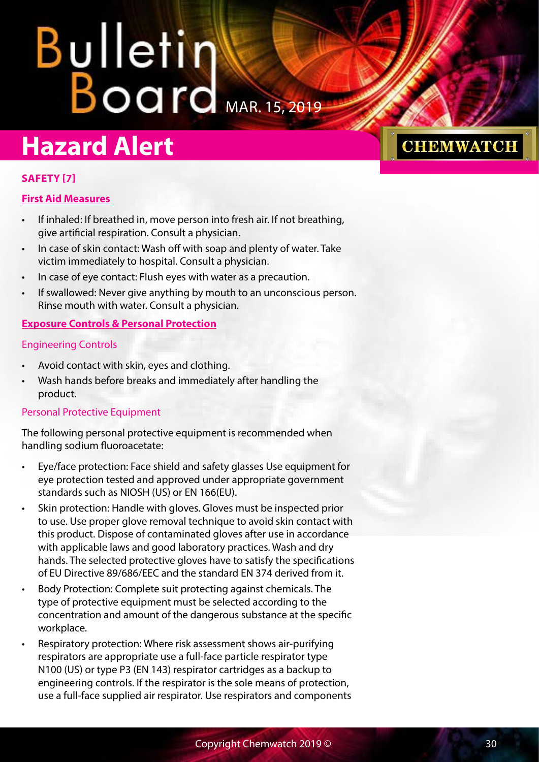# Bulletin War. 15, 2019

## **Hazard Alert**

### **SAFETY [7]**

### **First Aid Measures**

- If inhaled: If breathed in, move person into fresh air. If not breathing, give artificial respiration. Consult a physician.
- In case of skin contact: Wash off with soap and plenty of water. Take victim immediately to hospital. Consult a physician.
- In case of eye contact: Flush eyes with water as a precaution.
- If swallowed: Never give anything by mouth to an unconscious person. Rinse mouth with water. Consult a physician.

### **Exposure Controls & Personal Protection**

### Engineering Controls

- Avoid contact with skin, eyes and clothing.
- Wash hands before breaks and immediately after handling the product.

#### Personal Protective Equipment

The following personal protective equipment is recommended when handling sodium fluoroacetate:

- Eye/face protection: Face shield and safety glasses Use equipment for eye protection tested and approved under appropriate government standards such as NIOSH (US) or EN 166(EU).
- Skin protection: Handle with gloves. Gloves must be inspected prior to use. Use proper glove removal technique to avoid skin contact with this product. Dispose of contaminated gloves after use in accordance with applicable laws and good laboratory practices. Wash and dry hands. The selected protective gloves have to satisfy the specifications of EU Directive 89/686/EEC and the standard EN 374 derived from it.
- Body Protection: Complete suit protecting against chemicals. The type of protective equipment must be selected according to the concentration and amount of the dangerous substance at the specific workplace.
- Respiratory protection: Where risk assessment shows air-purifying respirators are appropriate use a full-face particle respirator type N100 (US) or type P3 (EN 143) respirator cartridges as a backup to engineering controls. If the respirator is the sole means of protection, use a full-face supplied air respirator. Use respirators and components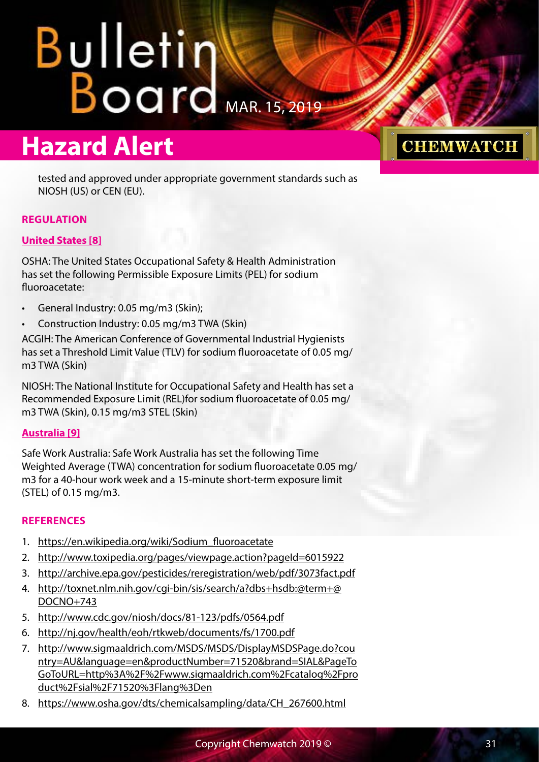## Bulletin War. 15, 2019

## **Hazard Alert**

tested and approved under appropriate government standards such as NIOSH (US) or CEN (EU).

### **REGULATION**

### **United States [8]**

OSHA: The United States Occupational Safety & Health Administration has set the following Permissible Exposure Limits (PEL) for sodium fluoroacetate:

- General Industry: 0.05 mg/m3 (Skin);
- Construction Industry: 0.05 mg/m3 TWA (Skin)

ACGIH: The American Conference of Governmental Industrial Hygienists has set a Threshold Limit Value (TLV) for sodium fluoroacetate of 0.05 mg/ m3 TWA (Skin)

NIOSH: The National Institute for Occupational Safety and Health has set a Recommended Exposure Limit (REL)for sodium fluoroacetate of 0.05 mg/ m3 TWA (Skin), 0.15 mg/m3 STEL (Skin)

### **Australia [9]**

Safe Work Australia: Safe Work Australia has set the following Time Weighted Average (TWA) concentration for sodium fluoroacetate 0.05 mg/ m3 for a 40-hour work week and a 15-minute short-term exposure limit (STEL) of 0.15 mg/m3.

#### **REFERENCES**

- 1. [https://en.wikipedia.org/wiki/Sodium\\_fluoroacetate](https://en.wikipedia.org/wiki/Sodium_fluoroacetate)
- 2. <http://www.toxipedia.org/pages/viewpage.action?pageId=6015922>
- 3. <http://archive.epa.gov/pesticides/reregistration/web/pdf/3073fact.pdf>
- 4. [http://toxnet.nlm.nih.gov/cgi-bin/sis/search/a?dbs+hsdb:@term+@](http://toxnet.nlm.nih.gov/cgi-bin/sis/search/a?dbs+hsdb:@term+@DOCNO+743) [DOCNO+743](http://toxnet.nlm.nih.gov/cgi-bin/sis/search/a?dbs+hsdb:@term+@DOCNO+743)
- 5. <http://www.cdc.gov/niosh/docs/81-123/pdfs/0564.pdf>
- 6. <http://nj.gov/health/eoh/rtkweb/documents/fs/1700.pdf>
- 7. [http://www.sigmaaldrich.com/MSDS/MSDS/DisplayMSDSPage.do?cou](http://www.sigmaaldrich.com/MSDS/MSDS/DisplayMSDSPage.do?country=AU&language=en&productNumber=71520&brand=SIAL&PageToGoToURL=http%3A%2F%2Fwww.sigmaaldrich.com%2Fcatalog%2Fproduct%2Fsial%2F71520%3Flang%3Den) [ntry=AU&language=en&productNumber=71520&brand=SIAL&PageTo](http://www.sigmaaldrich.com/MSDS/MSDS/DisplayMSDSPage.do?country=AU&language=en&productNumber=71520&brand=SIAL&PageToGoToURL=http%3A%2F%2Fwww.sigmaaldrich.com%2Fcatalog%2Fproduct%2Fsial%2F71520%3Flang%3Den) [GoToURL=http%3A%2F%2Fwww.sigmaaldrich.com%2Fcatalog%2Fpro](http://www.sigmaaldrich.com/MSDS/MSDS/DisplayMSDSPage.do?country=AU&language=en&productNumber=71520&brand=SIAL&PageToGoToURL=http%3A%2F%2Fwww.sigmaaldrich.com%2Fcatalog%2Fproduct%2Fsial%2F71520%3Flang%3Den) [duct%2Fsial%2F71520%3Flang%3Den](http://www.sigmaaldrich.com/MSDS/MSDS/DisplayMSDSPage.do?country=AU&language=en&productNumber=71520&brand=SIAL&PageToGoToURL=http%3A%2F%2Fwww.sigmaaldrich.com%2Fcatalog%2Fproduct%2Fsial%2F71520%3Flang%3Den)
- 8. [https://www.osha.gov/dts/chemicalsampling/data/CH\\_267600.html](https://www.osha.gov/dts/chemicalsampling/data/CH_267600.html)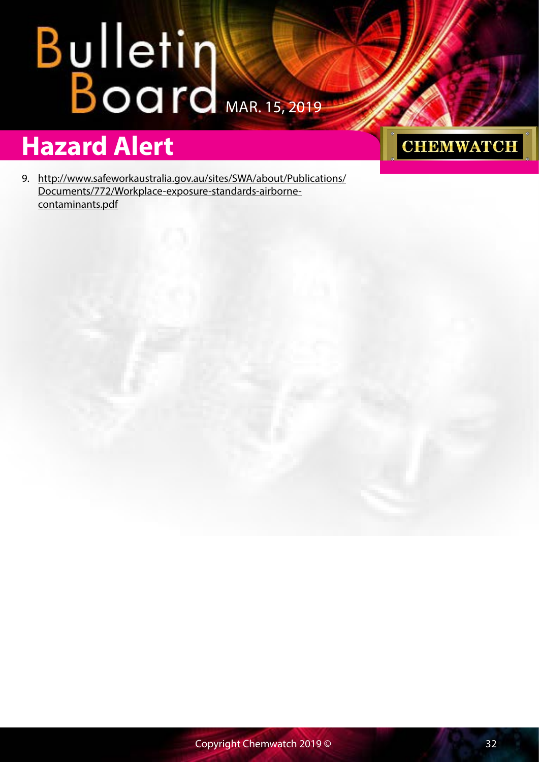## **Hazard Alert**

**CHEMWATCH** 

9. [http://www.safeworkaustralia.gov.au/sites/SWA/about/Publications/](http://www.safeworkaustralia.gov.au/sites/SWA/about/Publications/Documents/772/Workplace-exposure-standards-airborne-contaminants.pdf) [Documents/772/Workplace-exposure-standards-airborne](http://www.safeworkaustralia.gov.au/sites/SWA/about/Publications/Documents/772/Workplace-exposure-standards-airborne-contaminants.pdf)[contaminants.pdf](http://www.safeworkaustralia.gov.au/sites/SWA/about/Publications/Documents/772/Workplace-exposure-standards-airborne-contaminants.pdf)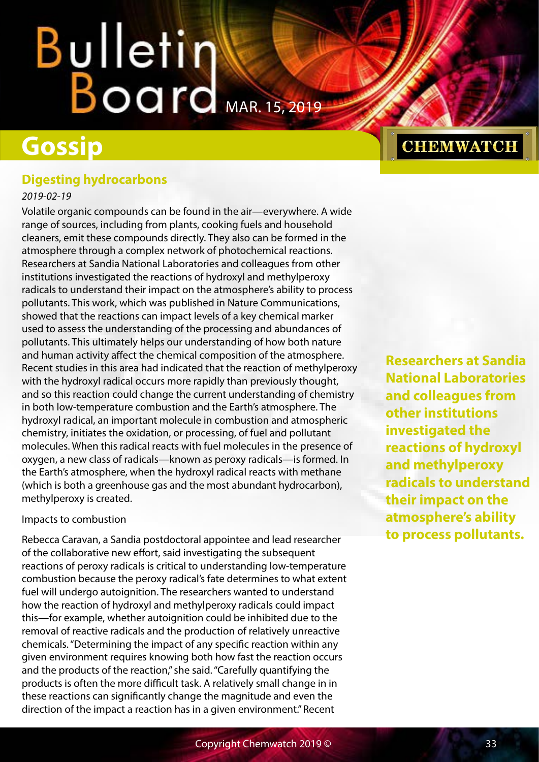## <span id="page-32-0"></span>**Gossip**

## **Digesting hydrocarbons**

### *2019-02-19*

Volatile organic compounds can be found in the air—everywhere. A wide range of sources, including from plants, cooking fuels and household cleaners, emit these compounds directly. They also can be formed in the atmosphere through a complex network of photochemical reactions. Researchers at Sandia National Laboratories and colleagues from other institutions investigated the reactions of hydroxyl and methylperoxy radicals to understand their impact on the atmosphere's ability to process pollutants. This work, which was published in Nature Communications, showed that the reactions can impact levels of a key chemical marker used to assess the understanding of the processing and abundances of pollutants. This ultimately helps our understanding of how both nature and human activity affect the chemical composition of the atmosphere. Recent studies in this area had indicated that the reaction of methylperoxy with the hydroxyl radical occurs more rapidly than previously thought, and so this reaction could change the current understanding of chemistry in both low-temperature combustion and the Earth's atmosphere. The hydroxyl radical, an important molecule in combustion and atmospheric chemistry, initiates the oxidation, or processing, of fuel and pollutant molecules. When this radical reacts with fuel molecules in the presence of oxygen, a new class of radicals—known as peroxy radicals—is formed. In the Earth's atmosphere, when the hydroxyl radical reacts with methane (which is both a greenhouse gas and the most abundant hydrocarbon), methylperoxy is created.

### Impacts to combustion

Rebecca Caravan, a Sandia postdoctoral appointee and lead researcher of the collaborative new effort, said investigating the subsequent reactions of peroxy radicals is critical to understanding low-temperature combustion because the peroxy radical's fate determines to what extent fuel will undergo autoignition. The researchers wanted to understand how the reaction of hydroxyl and methylperoxy radicals could impact this—for example, whether autoignition could be inhibited due to the removal of reactive radicals and the production of relatively unreactive chemicals. "Determining the impact of any specific reaction within any given environment requires knowing both how fast the reaction occurs and the products of the reaction," she said. "Carefully quantifying the products is often the more difficult task. A relatively small change in in these reactions can significantly change the magnitude and even the direction of the impact a reaction has in a given environment." Recent

## **CHEMWATCH**

**Researchers at Sandia National Laboratories and colleagues from other institutions investigated the reactions of hydroxyl and methylperoxy radicals to understand their impact on the atmosphere's ability to process pollutants.**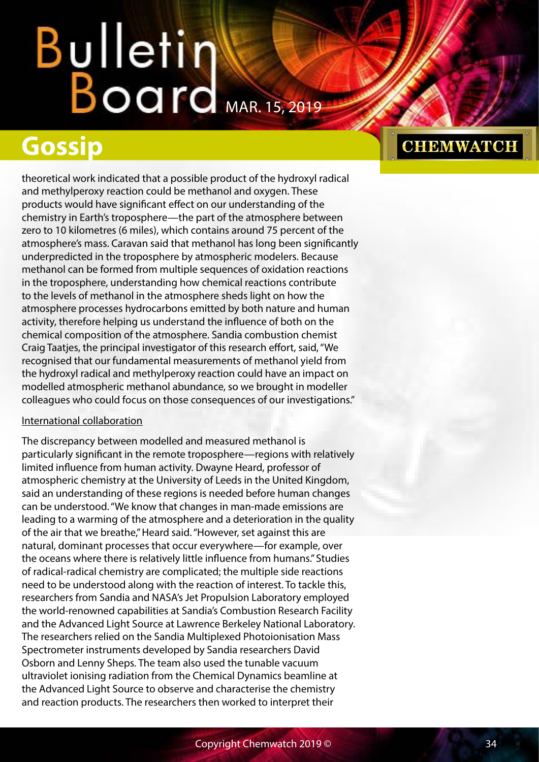## **Gossip**

theoretical work indicated that a possible product of the hydroxyl radical and methylperoxy reaction could be methanol and oxygen. These products would have significant effect on our understanding of the chemistry in Earth's troposphere—the part of the atmosphere between zero to 10 kilometres (6 miles), which contains around 75 percent of the atmosphere's mass. Caravan said that methanol has long been significantly underpredicted in the troposphere by atmospheric modelers. Because methanol can be formed from multiple sequences of oxidation reactions in the troposphere, understanding how chemical reactions contribute to the levels of methanol in the atmosphere sheds light on how the atmosphere processes hydrocarbons emitted by both nature and human activity, therefore helping us understand the influence of both on the chemical composition of the atmosphere. Sandia combustion chemist Craig Taatjes, the principal investigator of this research effort, said, "We recognised that our fundamental measurements of methanol yield from the hydroxyl radical and methylperoxy reaction could have an impact on modelled atmospheric methanol abundance, so we brought in modeller colleagues who could focus on those consequences of our investigations."

#### International collaboration

The discrepancy between modelled and measured methanol is particularly significant in the remote troposphere—regions with relatively limited influence from human activity. Dwayne Heard, professor of atmospheric chemistry at the University of Leeds in the United Kingdom, said an understanding of these regions is needed before human changes can be understood. "We know that changes in man-made emissions are leading to a warming of the atmosphere and a deterioration in the quality of the air that we breathe," Heard said. "However, set against this are natural, dominant processes that occur everywhere—for example, over the oceans where there is relatively little influence from humans." Studies of radical-radical chemistry are complicated; the multiple side reactions need to be understood along with the reaction of interest. To tackle this, researchers from Sandia and NASA's Jet Propulsion Laboratory employed the world-renowned capabilities at Sandia's Combustion Research Facility and the Advanced Light Source at Lawrence Berkeley National Laboratory. The researchers relied on the Sandia Multiplexed Photoionisation Mass Spectrometer instruments developed by Sandia researchers David Osborn and Lenny Sheps. The team also used the tunable vacuum ultraviolet ionising radiation from the Chemical Dynamics beamline at the Advanced Light Source to observe and characterise the chemistry and reaction products. The researchers then worked to interpret their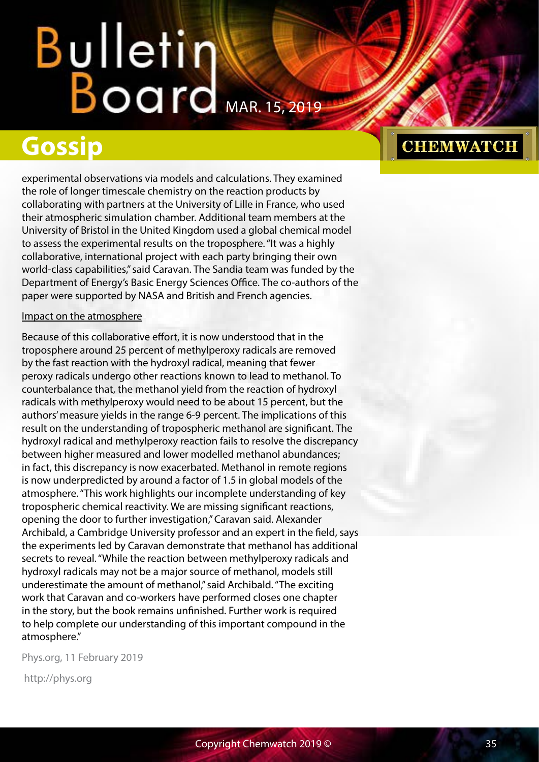## **Gossip**

experimental observations via models and calculations. They examined the role of longer timescale chemistry on the reaction products by collaborating with partners at the University of Lille in France, who used their atmospheric simulation chamber. Additional team members at the University of Bristol in the United Kingdom used a global chemical model to assess the experimental results on the troposphere. "It was a highly collaborative, international project with each party bringing their own world-class capabilities," said Caravan. The Sandia team was funded by the Department of Energy's Basic Energy Sciences Office. The co-authors of the paper were supported by NASA and British and French agencies.

### Impact on the atmosphere

Because of this collaborative effort, it is now understood that in the troposphere around 25 percent of methylperoxy radicals are removed by the fast reaction with the hydroxyl radical, meaning that fewer peroxy radicals undergo other reactions known to lead to methanol. To counterbalance that, the methanol yield from the reaction of hydroxyl radicals with methylperoxy would need to be about 15 percent, but the authors' measure yields in the range 6-9 percent. The implications of this result on the understanding of tropospheric methanol are significant. The hydroxyl radical and methylperoxy reaction fails to resolve the discrepancy between higher measured and lower modelled methanol abundances; in fact, this discrepancy is now exacerbated. Methanol in remote regions is now underpredicted by around a factor of 1.5 in global models of the atmosphere. "This work highlights our incomplete understanding of key tropospheric chemical reactivity. We are missing significant reactions, opening the door to further investigation," Caravan said. Alexander Archibald, a Cambridge University professor and an expert in the field, says the experiments led by Caravan demonstrate that methanol has additional secrets to reveal. "While the reaction between methylperoxy radicals and hydroxyl radicals may not be a major source of methanol, models still underestimate the amount of methanol," said Archibald. "The exciting work that Caravan and co-workers have performed closes one chapter in the story, but the book remains unfinished. Further work is required to help complete our understanding of this important compound in the atmosphere."

Phys.org, 11 February 2019

<http://phys.org>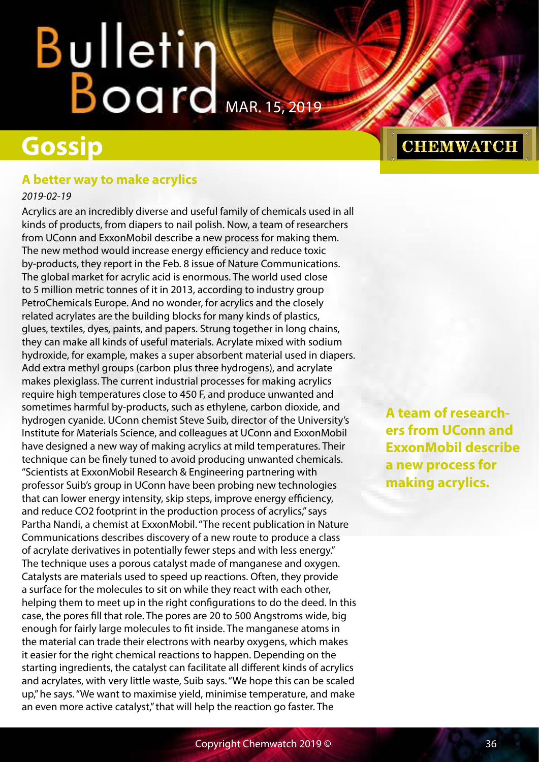## <span id="page-35-0"></span>**Gossip**

### **A better way to make acrylics**

#### *2019-02-19*

Acrylics are an incredibly diverse and useful family of chemicals used in all kinds of products, from diapers to nail polish. Now, a team of researchers from UConn and ExxonMobil describe a new process for making them. The new method would increase energy efficiency and reduce toxic by-products, they report in the Feb. 8 issue of Nature Communications. The global market for acrylic acid is enormous. The world used close to 5 million metric tonnes of it in 2013, according to industry group PetroChemicals Europe. And no wonder, for acrylics and the closely related acrylates are the building blocks for many kinds of plastics, glues, textiles, dyes, paints, and papers. Strung together in long chains, they can make all kinds of useful materials. Acrylate mixed with sodium hydroxide, for example, makes a super absorbent material used in diapers. Add extra methyl groups (carbon plus three hydrogens), and acrylate makes plexiglass. The current industrial processes for making acrylics require high temperatures close to 450 F, and produce unwanted and sometimes harmful by-products, such as ethylene, carbon dioxide, and hydrogen cyanide. UConn chemist Steve Suib, director of the University's Institute for Materials Science, and colleagues at UConn and ExxonMobil have designed a new way of making acrylics at mild temperatures. Their technique can be finely tuned to avoid producing unwanted chemicals. "Scientists at ExxonMobil Research & Engineering partnering with professor Suib's group in UConn have been probing new technologies that can lower energy intensity, skip steps, improve energy efficiency, and reduce CO2 footprint in the production process of acrylics," says Partha Nandi, a chemist at ExxonMobil. "The recent publication in Nature Communications describes discovery of a new route to produce a class of acrylate derivatives in potentially fewer steps and with less energy." The technique uses a porous catalyst made of manganese and oxygen. Catalysts are materials used to speed up reactions. Often, they provide a surface for the molecules to sit on while they react with each other, helping them to meet up in the right configurations to do the deed. In this case, the pores fill that role. The pores are 20 to 500 Angstroms wide, big enough for fairly large molecules to fit inside. The manganese atoms in the material can trade their electrons with nearby oxygens, which makes it easier for the right chemical reactions to happen. Depending on the starting ingredients, the catalyst can facilitate all different kinds of acrylics and acrylates, with very little waste, Suib says. "We hope this can be scaled up," he says. "We want to maximise yield, minimise temperature, and make an even more active catalyst," that will help the reaction go faster. The

## **CHEMWATCH**

**A team of researchers from UConn and ExxonMobil describe a new process for making acrylics.**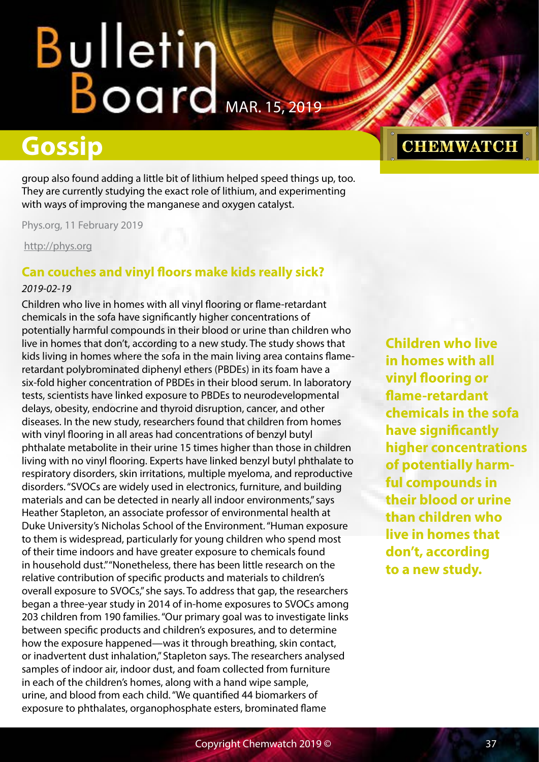# Bulletin Board MAR. 15, 2019

### **Gossip**

group also found adding a little bit of lithium helped speed things up, too. They are currently studying the exact role of lithium, and experimenting with ways of improving the manganese and oxygen catalyst.

Phys.org, 11 February 2019

<http://phys.org>

#### **Can couches and vinyl floors make kids really sick?** *2019-02-19*

#### Children who live in homes with all vinyl flooring or flame-retardant chemicals in the sofa have significantly higher concentrations of potentially harmful compounds in their blood or urine than children who live in homes that don't, according to a new study. The study shows that kids living in homes where the sofa in the main living area contains flameretardant polybrominated diphenyl ethers (PBDEs) in its foam have a six-fold higher concentration of PBDEs in their blood serum. In laboratory tests, scientists have linked exposure to PBDEs to neurodevelopmental delays, obesity, endocrine and thyroid disruption, cancer, and other diseases. In the new study, researchers found that children from homes with vinyl flooring in all areas had concentrations of benzyl butyl phthalate metabolite in their urine 15 times higher than those in children living with no vinyl flooring. Experts have linked benzyl butyl phthalate to respiratory disorders, skin irritations, multiple myeloma, and reproductive disorders. "SVOCs are widely used in electronics, furniture, and building materials and can be detected in nearly all indoor environments," says Heather Stapleton, an associate professor of environmental health at Duke University's Nicholas School of the Environment. "Human exposure to them is widespread, particularly for young children who spend most of their time indoors and have greater exposure to chemicals found in household dust." "Nonetheless, there has been little research on the relative contribution of specific products and materials to children's overall exposure to SVOCs," she says. To address that gap, the researchers began a three-year study in 2014 of in-home exposures to SVOCs among 203 children from 190 families. "Our primary goal was to investigate links between specific products and children's exposures, and to determine how the exposure happened—was it through breathing, skin contact, or inadvertent dust inhalation," Stapleton says. The researchers analysed samples of indoor air, indoor dust, and foam collected from furniture in each of the children's homes, along with a hand wipe sample, urine, and blood from each child. "We quantified 44 biomarkers of exposure to phthalates, organophosphate esters, brominated flame

**Children who live in homes with all vinyl flooring or flame-retardant chemicals in the sofa have significantly higher concentrations of potentially harmful compounds in their blood or urine than children who live in homes that don't, according to a new study.**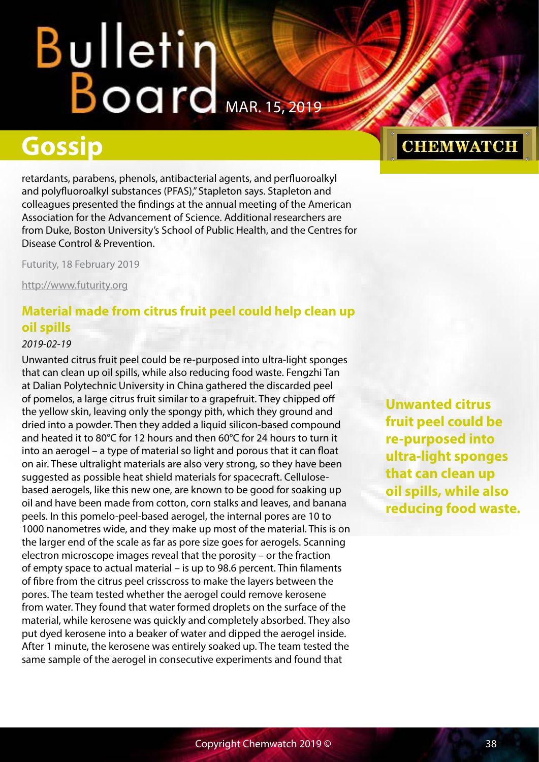### **Gossip**

retardants, parabens, phenols, antibacterial agents, and perfluoroalkyl and polyfluoroalkyl substances (PFAS)," Stapleton says. Stapleton and colleagues presented the findings at the annual meeting of the American Association for the Advancement of Science. Additional researchers are from Duke, Boston University's School of Public Health, and the Centres for Disease Control & Prevention.

Futurity, 18 February 2019

<http://www.futurity.org>

#### **Material made from citrus fruit peel could help clean up oil spills**

#### *2019-02-19*

Unwanted citrus fruit peel could be re-purposed into ultra-light sponges that can clean up oil spills, while also reducing food waste. Fengzhi Tan at Dalian Polytechnic University in China gathered the discarded peel of pomelos, a large citrus fruit similar to a grapefruit. They chipped off the yellow skin, leaving only the spongy pith, which they ground and dried into a powder. Then they added a liquid silicon-based compound and heated it to 80°C for 12 hours and then 60°C for 24 hours to turn it into an aerogel – a type of material so light and porous that it can float on air. These ultralight materials are also very strong, so they have been suggested as possible heat shield materials for spacecraft. Cellulosebased aerogels, like this new one, are known to be good for soaking up oil and have been made from cotton, corn stalks and leaves, and banana peels. In this pomelo-peel-based aerogel, the internal pores are 10 to 1000 nanometres wide, and they make up most of the material. This is on the larger end of the scale as far as pore size goes for aerogels. Scanning electron microscope images reveal that the porosity – or the fraction of empty space to actual material – is up to 98.6 percent. Thin filaments of fibre from the citrus peel crisscross to make the layers between the pores. The team tested whether the aerogel could remove kerosene from water. They found that water formed droplets on the surface of the material, while kerosene was quickly and completely absorbed. They also put dyed kerosene into a beaker of water and dipped the aerogel inside. After 1 minute, the kerosene was entirely soaked up. The team tested the same sample of the aerogel in consecutive experiments and found that

**Unwanted citrus fruit peel could be re-purposed into ultra-light sponges that can clean up oil spills, while also reducing food waste.**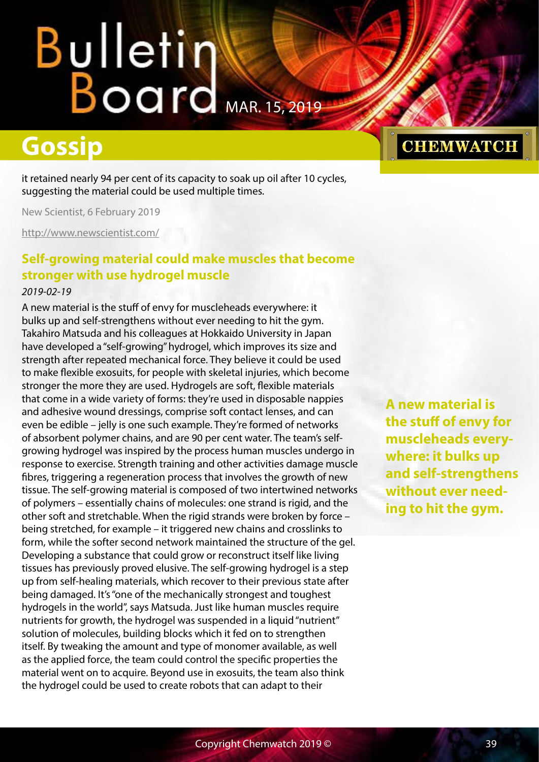### **Gossip**

it retained nearly 94 per cent of its capacity to soak up oil after 10 cycles, suggesting the material could be used multiple times.

New Scientist, 6 February 2019

<http://www.newscientist.com/>

#### **Self-growing material could make muscles that become stronger with use hydrogel muscle**

#### *2019-02-19*

A new material is the stuff of envy for muscleheads everywhere: it bulks up and self-strengthens without ever needing to hit the gym. Takahiro Matsuda and his colleagues at Hokkaido University in Japan have developed a "self-growing" hydrogel, which improves its size and strength after repeated mechanical force. They believe it could be used to make flexible exosuits, for people with skeletal injuries, which become stronger the more they are used. Hydrogels are soft, flexible materials that come in a wide variety of forms: they're used in disposable nappies and adhesive wound dressings, comprise soft contact lenses, and can even be edible – jelly is one such example. They're formed of networks of absorbent polymer chains, and are 90 per cent water. The team's selfgrowing hydrogel was inspired by the process human muscles undergo in response to exercise. Strength training and other activities damage muscle fibres, triggering a regeneration process that involves the growth of new tissue. The self-growing material is composed of two intertwined networks of polymers – essentially chains of molecules: one strand is rigid, and the other soft and stretchable. When the rigid strands were broken by force – being stretched, for example – it triggered new chains and crosslinks to form, while the softer second network maintained the structure of the gel. Developing a substance that could grow or reconstruct itself like living tissues has previously proved elusive. The self-growing hydrogel is a step up from self-healing materials, which recover to their previous state after being damaged. It's "one of the mechanically strongest and toughest hydrogels in the world", says Matsuda. Just like human muscles require nutrients for growth, the hydrogel was suspended in a liquid "nutrient" solution of molecules, building blocks which it fed on to strengthen itself. By tweaking the amount and type of monomer available, as well as the applied force, the team could control the specific properties the material went on to acquire. Beyond use in exosuits, the team also think the hydrogel could be used to create robots that can adapt to their

**A new material is the stuff of envy for muscleheads everywhere: it bulks up and self-strengthens without ever needing to hit the gym.**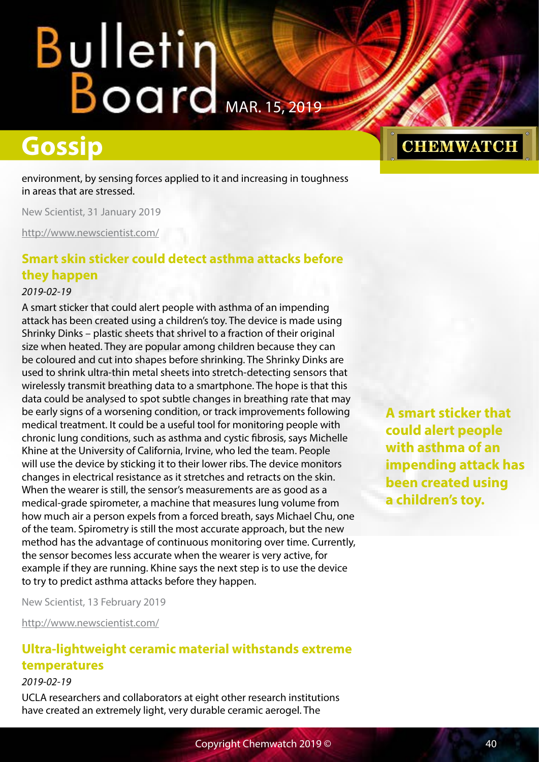### **Gossip**

environment, by sensing forces applied to it and increasing in toughness in areas that are stressed.

New Scientist, 31 January 2019

<http://www.newscientist.com/>

#### **Smart skin sticker could detect asthma attacks before they happen**

#### *2019-02-19*

A smart sticker that could alert people with asthma of an impending attack has been created using a children's toy. The device is made using Shrinky Dinks – plastic sheets that shrivel to a fraction of their original size when heated. They are popular among children because they can be coloured and cut into shapes before shrinking. The Shrinky Dinks are used to shrink ultra-thin metal sheets into stretch-detecting sensors that wirelessly transmit breathing data to a smartphone. The hope is that this data could be analysed to spot subtle changes in breathing rate that may be early signs of a worsening condition, or track improvements following medical treatment. It could be a useful tool for monitoring people with chronic lung conditions, such as asthma and cystic fibrosis, says Michelle Khine at the University of California, Irvine, who led the team. People will use the device by sticking it to their lower ribs. The device monitors changes in electrical resistance as it stretches and retracts on the skin. When the wearer is still, the sensor's measurements are as good as a medical-grade spirometer, a machine that measures lung volume from how much air a person expels from a forced breath, says Michael Chu, one of the team. Spirometry is still the most accurate approach, but the new method has the advantage of continuous monitoring over time. Currently, the sensor becomes less accurate when the wearer is very active, for example if they are running. Khine says the next step is to use the device to try to predict asthma attacks before they happen.

New Scientist, 13 February 2019

<http://www.newscientist.com/>

#### **Ultra-lightweight ceramic material withstands extreme temperatures**

#### *2019-02-19*

UCLA researchers and collaborators at eight other research institutions have created an extremely light, very durable ceramic aerogel. The

#### **A smart sticker that could alert people with asthma of an impending attack has been created using a children's toy.**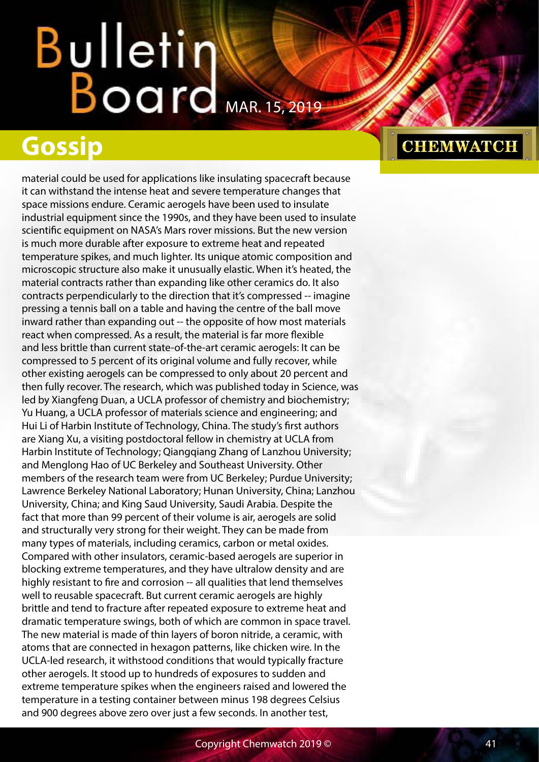### **Gossip**

material could be used for applications like insulating spacecraft because it can withstand the intense heat and severe temperature changes that space missions endure. Ceramic aerogels have been used to insulate industrial equipment since the 1990s, and they have been used to insulate scientific equipment on NASA's Mars rover missions. But the new version is much more durable after exposure to extreme heat and repeated temperature spikes, and much lighter. Its unique atomic composition and microscopic structure also make it unusually elastic. When it's heated, the material contracts rather than expanding like other ceramics do. It also contracts perpendicularly to the direction that it's compressed -- imagine pressing a tennis ball on a table and having the centre of the ball move inward rather than expanding out -- the opposite of how most materials react when compressed. As a result, the material is far more flexible and less brittle than current state-of-the-art ceramic aerogels: It can be compressed to 5 percent of its original volume and fully recover, while other existing aerogels can be compressed to only about 20 percent and then fully recover. The research, which was published today in Science, was led by Xiangfeng Duan, a UCLA professor of chemistry and biochemistry; Yu Huang, a UCLA professor of materials science and engineering; and Hui Li of Harbin Institute of Technology, China. The study's first authors are Xiang Xu, a visiting postdoctoral fellow in chemistry at UCLA from Harbin Institute of Technology; Qiangqiang Zhang of Lanzhou University; and Menglong Hao of UC Berkeley and Southeast University. Other members of the research team were from UC Berkeley; Purdue University; Lawrence Berkeley National Laboratory; Hunan University, China; Lanzhou University, China; and King Saud University, Saudi Arabia. Despite the fact that more than 99 percent of their volume is air, aerogels are solid and structurally very strong for their weight. They can be made from many types of materials, including ceramics, carbon or metal oxides. Compared with other insulators, ceramic-based aerogels are superior in blocking extreme temperatures, and they have ultralow density and are highly resistant to fire and corrosion -- all qualities that lend themselves well to reusable spacecraft. But current ceramic aerogels are highly brittle and tend to fracture after repeated exposure to extreme heat and dramatic temperature swings, both of which are common in space travel. The new material is made of thin layers of boron nitride, a ceramic, with atoms that are connected in hexagon patterns, like chicken wire. In the UCLA-led research, it withstood conditions that would typically fracture other aerogels. It stood up to hundreds of exposures to sudden and extreme temperature spikes when the engineers raised and lowered the temperature in a testing container between minus 198 degrees Celsius and 900 degrees above zero over just a few seconds. In another test,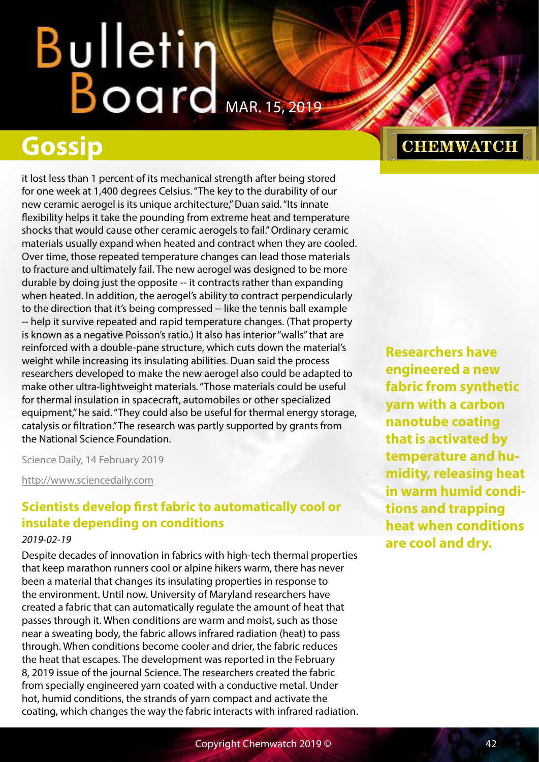# Bulletin Board MAR. 15, 2019

### **Gossip**

it lost less than 1 percent of its mechanical strength after being stored for one week at 1,400 degrees Celsius. "The key to the durability of our new ceramic aerogel is its unique architecture," Duan said. "Its innate flexibility helps it take the pounding from extreme heat and temperature shocks that would cause other ceramic aerogels to fail." Ordinary ceramic materials usually expand when heated and contract when they are cooled. Over time, those repeated temperature changes can lead those materials to fracture and ultimately fail. The new aerogel was designed to be more durable by doing just the opposite -- it contracts rather than expanding when heated. In addition, the aerogel's ability to contract perpendicularly to the direction that it's being compressed -- like the tennis ball example -- help it survive repeated and rapid temperature changes. (That property is known as a negative Poisson's ratio.) It also has interior "walls" that are reinforced with a double-pane structure, which cuts down the material's weight while increasing its insulating abilities. Duan said the process researchers developed to make the new aerogel also could be adapted to make other ultra-lightweight materials. "Those materials could be useful for thermal insulation in spacecraft, automobiles or other specialized equipment," he said. "They could also be useful for thermal energy storage, catalysis or filtration." The research was partly supported by grants from the National Science Foundation.

Science Daily, 14 February 2019

<http://www.sciencedaily.com>

#### **Scientists develop first fabric to automatically cool or insulate depending on conditions**

#### *2019-02-19*

Despite decades of innovation in fabrics with high-tech thermal properties that keep marathon runners cool or alpine hikers warm, there has never been a material that changes its insulating properties in response to the environment. Until now. University of Maryland researchers have created a fabric that can automatically regulate the amount of heat that passes through it. When conditions are warm and moist, such as those near a sweating body, the fabric allows infrared radiation (heat) to pass through. When conditions become cooler and drier, the fabric reduces the heat that escapes. The development was reported in the February 8, 2019 issue of the journal Science. The researchers created the fabric from specially engineered yarn coated with a conductive metal. Under hot, humid conditions, the strands of yarn compact and activate the coating, which changes the way the fabric interacts with infrared radiation.

#### **CHEMWATCH**

**Researchers have engineered a new fabric from synthetic yarn with a carbon nanotube coating that is activated by temperature and humidity, releasing heat in warm humid conditions and trapping heat when conditions are cool and dry.**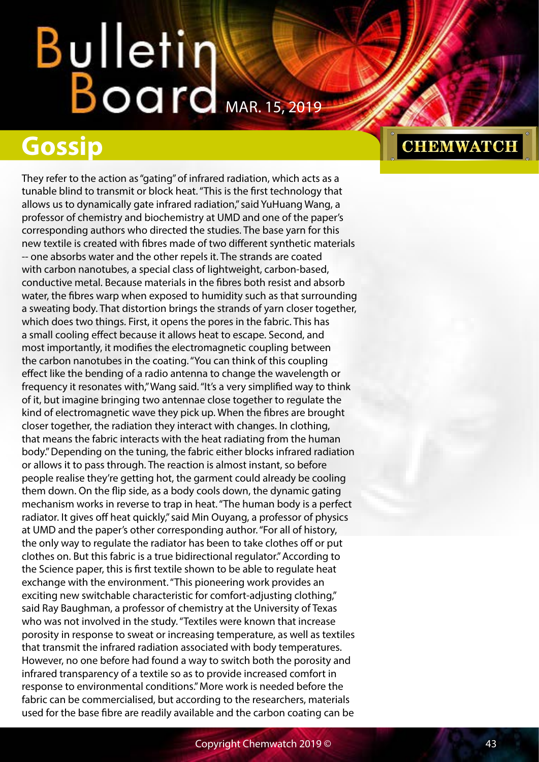### **Gossip**

They refer to the action as "gating" of infrared radiation, which acts as a tunable blind to transmit or block heat. "This is the first technology that allows us to dynamically gate infrared radiation," said YuHuang Wang, a professor of chemistry and biochemistry at UMD and one of the paper's corresponding authors who directed the studies. The base yarn for this new textile is created with fibres made of two different synthetic materials -- one absorbs water and the other repels it. The strands are coated with carbon nanotubes, a special class of lightweight, carbon-based, conductive metal. Because materials in the fibres both resist and absorb water, the fibres warp when exposed to humidity such as that surrounding a sweating body. That distortion brings the strands of yarn closer together, which does two things. First, it opens the pores in the fabric. This has a small cooling effect because it allows heat to escape. Second, and most importantly, it modifies the electromagnetic coupling between the carbon nanotubes in the coating. "You can think of this coupling effect like the bending of a radio antenna to change the wavelength or frequency it resonates with," Wang said. "It's a very simplified way to think of it, but imagine bringing two antennae close together to regulate the kind of electromagnetic wave they pick up. When the fibres are brought closer together, the radiation they interact with changes. In clothing, that means the fabric interacts with the heat radiating from the human body." Depending on the tuning, the fabric either blocks infrared radiation or allows it to pass through. The reaction is almost instant, so before people realise they're getting hot, the garment could already be cooling them down. On the flip side, as a body cools down, the dynamic gating mechanism works in reverse to trap in heat. "The human body is a perfect radiator. It gives off heat quickly," said Min Ouyang, a professor of physics at UMD and the paper's other corresponding author. "For all of history, the only way to regulate the radiator has been to take clothes off or put clothes on. But this fabric is a true bidirectional regulator." According to the Science paper, this is first textile shown to be able to regulate heat exchange with the environment. "This pioneering work provides an exciting new switchable characteristic for comfort-adjusting clothing," said Ray Baughman, a professor of chemistry at the University of Texas who was not involved in the study. "Textiles were known that increase porosity in response to sweat or increasing temperature, as well as textiles that transmit the infrared radiation associated with body temperatures. However, no one before had found a way to switch both the porosity and infrared transparency of a textile so as to provide increased comfort in response to environmental conditions." More work is needed before the fabric can be commercialised, but according to the researchers, materials used for the base fibre are readily available and the carbon coating can be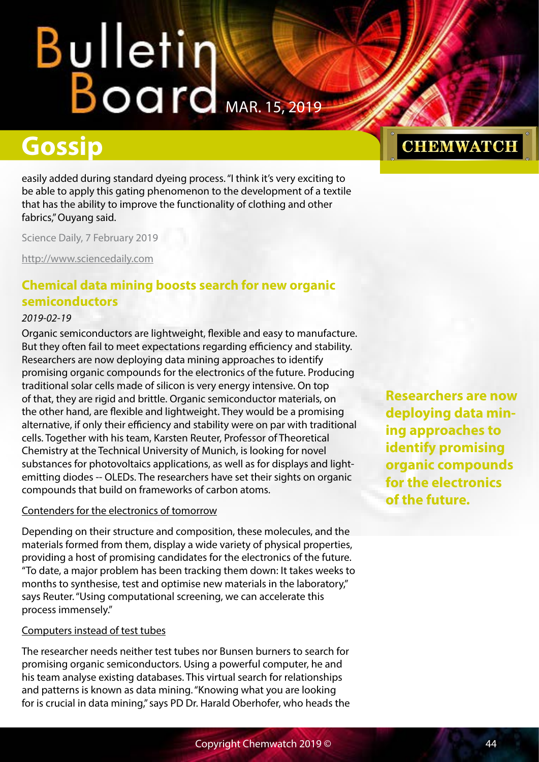### **Gossip**

easily added during standard dyeing process. "I think it's very exciting to be able to apply this gating phenomenon to the development of a textile that has the ability to improve the functionality of clothing and other fabrics," Ouyang said.

Science Daily, 7 February 2019

<http://www.sciencedaily.com>

#### **Chemical data mining boosts search for new organic semiconductors**

#### *2019-02-19*

Organic semiconductors are lightweight, flexible and easy to manufacture. But they often fail to meet expectations regarding efficiency and stability. Researchers are now deploying data mining approaches to identify promising organic compounds for the electronics of the future. Producing traditional solar cells made of silicon is very energy intensive. On top of that, they are rigid and brittle. Organic semiconductor materials, on the other hand, are flexible and lightweight. They would be a promising alternative, if only their efficiency and stability were on par with traditional cells. Together with his team, Karsten Reuter, Professor of Theoretical Chemistry at the Technical University of Munich, is looking for novel substances for photovoltaics applications, as well as for displays and lightemitting diodes -- OLEDs. The researchers have set their sights on organic compounds that build on frameworks of carbon atoms.

#### Contenders for the electronics of tomorrow

Depending on their structure and composition, these molecules, and the materials formed from them, display a wide variety of physical properties, providing a host of promising candidates for the electronics of the future. "To date, a major problem has been tracking them down: It takes weeks to months to synthesise, test and optimise new materials in the laboratory," says Reuter. "Using computational screening, we can accelerate this process immensely."

#### Computers instead of test tubes

The researcher needs neither test tubes nor Bunsen burners to search for promising organic semiconductors. Using a powerful computer, he and his team analyse existing databases. This virtual search for relationships and patterns is known as data mining. "Knowing what you are looking for is crucial in data mining," says PD Dr. Harald Oberhofer, who heads the

### **CHEMWATCH**

**Researchers are now deploying data mining approaches to identify promising organic compounds for the electronics of the future.**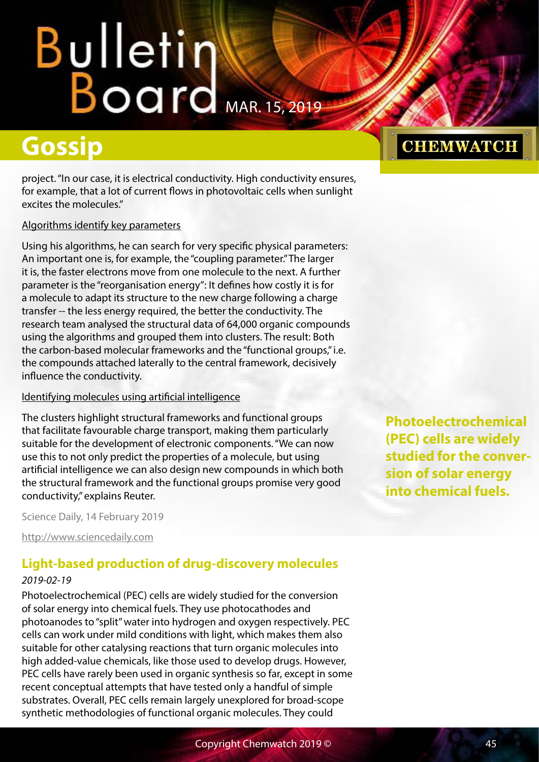### **Gossip**

project. "In our case, it is electrical conductivity. High conductivity ensures, for example, that a lot of current flows in photovoltaic cells when sunlight excites the molecules."

#### Algorithms identify key parameters

Using his algorithms, he can search for very specific physical parameters: An important one is, for example, the "coupling parameter." The larger it is, the faster electrons move from one molecule to the next. A further parameter is the "reorganisation energy": It defines how costly it is for a molecule to adapt its structure to the new charge following a charge transfer -- the less energy required, the better the conductivity. The research team analysed the structural data of 64,000 organic compounds using the algorithms and grouped them into clusters. The result: Both the carbon-based molecular frameworks and the "functional groups," i.e. the compounds attached laterally to the central framework, decisively influence the conductivity.

#### Identifying molecules using artificial intelligence

The clusters highlight structural frameworks and functional groups that facilitate favourable charge transport, making them particularly suitable for the development of electronic components. "We can now use this to not only predict the properties of a molecule, but using artificial intelligence we can also design new compounds in which both the structural framework and the functional groups promise very good conductivity," explains Reuter.

Science Daily, 14 February 2019

<http://www.sciencedaily.com>

#### **Light-based production of drug-discovery molecules**

#### *2019-02-19*

Photoelectrochemical (PEC) cells are widely studied for the conversion of solar energy into chemical fuels. They use photocathodes and photoanodes to "split" water into hydrogen and oxygen respectively. PEC cells can work under mild conditions with light, which makes them also suitable for other catalysing reactions that turn organic molecules into high added-value chemicals, like those used to develop drugs. However, PEC cells have rarely been used in organic synthesis so far, except in some recent conceptual attempts that have tested only a handful of simple substrates. Overall, PEC cells remain largely unexplored for broad-scope synthetic methodologies of functional organic molecules. They could

#### **CHEMWATCH**

**Photoelectrochemical (PEC) cells are widely studied for the conversion of solar energy into chemical fuels.**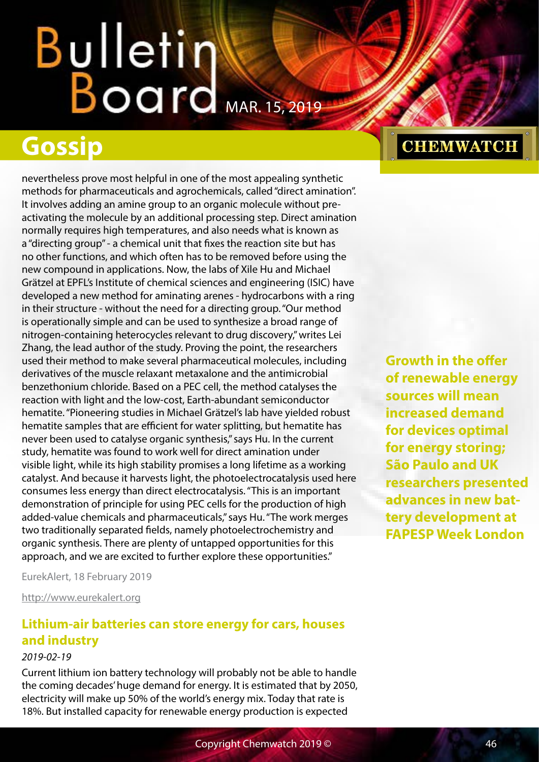### **Gossip**

nevertheless prove most helpful in one of the most appealing synthetic methods for pharmaceuticals and agrochemicals, called "direct amination". It involves adding an amine group to an organic molecule without preactivating the molecule by an additional processing step. Direct amination normally requires high temperatures, and also needs what is known as a "directing group" - a chemical unit that fixes the reaction site but has no other functions, and which often has to be removed before using the new compound in applications. Now, the labs of Xile Hu and Michael Grätzel at EPFL's Institute of chemical sciences and engineering (ISIC) have developed a new method for aminating arenes - hydrocarbons with a ring in their structure - without the need for a directing group. "Our method is operationally simple and can be used to synthesize a broad range of nitrogen-containing heterocycles relevant to drug discovery," writes Lei Zhang, the lead author of the study. Proving the point, the researchers used their method to make several pharmaceutical molecules, including derivatives of the muscle relaxant metaxalone and the antimicrobial benzethonium chloride. Based on a PEC cell, the method catalyses the reaction with light and the low-cost, Earth-abundant semiconductor hematite. "Pioneering studies in Michael Grätzel's lab have yielded robust hematite samples that are efficient for water splitting, but hematite has never been used to catalyse organic synthesis," says Hu. In the current study, hematite was found to work well for direct amination under visible light, while its high stability promises a long lifetime as a working catalyst. And because it harvests light, the photoelectrocatalysis used here consumes less energy than direct electrocatalysis. "This is an important demonstration of principle for using PEC cells for the production of high added-value chemicals and pharmaceuticals," says Hu. "The work merges two traditionally separated fields, namely photoelectrochemistry and organic synthesis. There are plenty of untapped opportunities for this approach, and we are excited to further explore these opportunities."

**CHEMWATCH** 

**Growth in the offer of renewable energy sources will mean increased demand for devices optimal for energy storing; São Paulo and UK researchers presented advances in new battery development at FAPESP Week London**

EurekAlert, 18 February 2019

<http://www.eurekalert.org>

#### **Lithium-air batteries can store energy for cars, houses and industry**

#### *2019-02-19*

Current lithium ion battery technology will probably not be able to handle the coming decades' huge demand for energy. It is estimated that by 2050, electricity will make up 50% of the world's energy mix. Today that rate is 18%. But installed capacity for renewable energy production is expected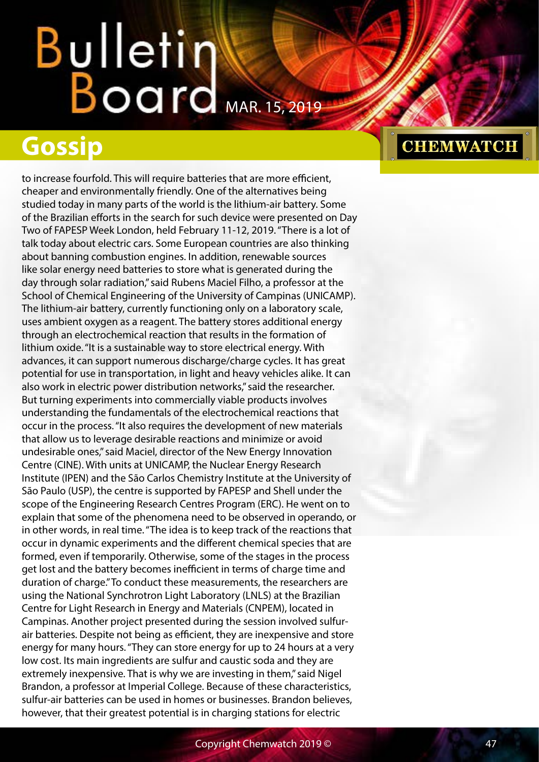### **Gossip**

to increase fourfold. This will require batteries that are more efficient, cheaper and environmentally friendly. One of the alternatives being studied today in many parts of the world is the lithium-air battery. Some of the Brazilian efforts in the search for such device were presented on Day Two of FAPESP Week London, held February 11-12, 2019. "There is a lot of talk today about electric cars. Some European countries are also thinking about banning combustion engines. In addition, renewable sources like solar energy need batteries to store what is generated during the day through solar radiation," said Rubens Maciel Filho, a professor at the School of Chemical Engineering of the University of Campinas (UNICAMP). The lithium-air battery, currently functioning only on a laboratory scale, uses ambient oxygen as a reagent. The battery stores additional energy through an electrochemical reaction that results in the formation of lithium oxide. "It is a sustainable way to store electrical energy. With advances, it can support numerous discharge/charge cycles. It has great potential for use in transportation, in light and heavy vehicles alike. It can also work in electric power distribution networks," said the researcher. But turning experiments into commercially viable products involves understanding the fundamentals of the electrochemical reactions that occur in the process. "It also requires the development of new materials that allow us to leverage desirable reactions and minimize or avoid undesirable ones," said Maciel, director of the New Energy Innovation Centre (CINE). With units at UNICAMP, the Nuclear Energy Research Institute (IPEN) and the São Carlos Chemistry Institute at the University of São Paulo (USP), the centre is supported by FAPESP and Shell under the scope of the Engineering Research Centres Program (ERC). He went on to explain that some of the phenomena need to be observed in operando, or in other words, in real time. "The idea is to keep track of the reactions that occur in dynamic experiments and the different chemical species that are formed, even if temporarily. Otherwise, some of the stages in the process get lost and the battery becomes inefficient in terms of charge time and duration of charge." To conduct these measurements, the researchers are using the National Synchrotron Light Laboratory (LNLS) at the Brazilian Centre for Light Research in Energy and Materials (CNPEM), located in Campinas. Another project presented during the session involved sulfurair batteries. Despite not being as efficient, they are inexpensive and store energy for many hours. "They can store energy for up to 24 hours at a very low cost. Its main ingredients are sulfur and caustic soda and they are extremely inexpensive. That is why we are investing in them," said Nigel Brandon, a professor at Imperial College. Because of these characteristics, sulfur-air batteries can be used in homes or businesses. Brandon believes, however, that their greatest potential is in charging stations for electric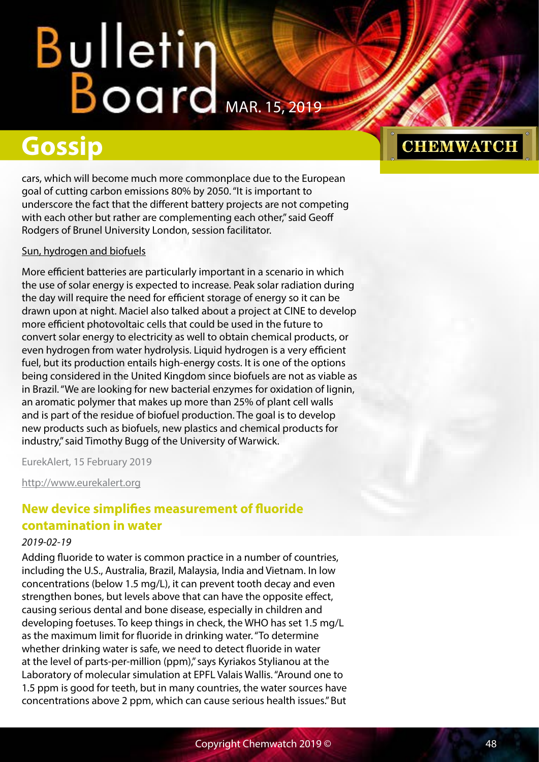# Bulletin<br>Board

### **Gossip**

cars, which will become much more commonplace due to the European goal of cutting carbon emissions 80% by 2050. "It is important to underscore the fact that the different battery projects are not competing with each other but rather are complementing each other," said Geoff Rodgers of Brunel University London, session facilitator.

#### Sun, hydrogen and biofuels

More efficient batteries are particularly important in a scenario in which the use of solar energy is expected to increase. Peak solar radiation during the day will require the need for efficient storage of energy so it can be drawn upon at night. Maciel also talked about a project at CINE to develop more efficient photovoltaic cells that could be used in the future to convert solar energy to electricity as well to obtain chemical products, or even hydrogen from water hydrolysis. Liquid hydrogen is a very efficient fuel, but its production entails high-energy costs. It is one of the options being considered in the United Kingdom since biofuels are not as viable as in Brazil. "We are looking for new bacterial enzymes for oxidation of lignin, an aromatic polymer that makes up more than 25% of plant cell walls and is part of the residue of biofuel production. The goal is to develop new products such as biofuels, new plastics and chemical products for industry," said Timothy Bugg of the University of Warwick.

EurekAlert, 15 February 2019

<http://www.eurekalert.org>

#### **New device simplifies measurement of fluoride contamination in water**

#### *2019-02-19*

Adding fluoride to water is common practice in a number of countries, including the U.S., Australia, Brazil, Malaysia, India and Vietnam. In low concentrations (below 1.5 mg/L), it can prevent tooth decay and even strengthen bones, but levels above that can have the opposite effect, causing serious dental and bone disease, especially in children and developing foetuses. To keep things in check, the WHO has set 1.5 mg/L as the maximum limit for fluoride in drinking water. "To determine whether drinking water is safe, we need to detect fluoride in water at the level of parts-per-million (ppm)," says Kyriakos Stylianou at the Laboratory of molecular simulation at EPFL Valais Wallis. "Around one to 1.5 ppm is good for teeth, but in many countries, the water sources have concentrations above 2 ppm, which can cause serious health issues." But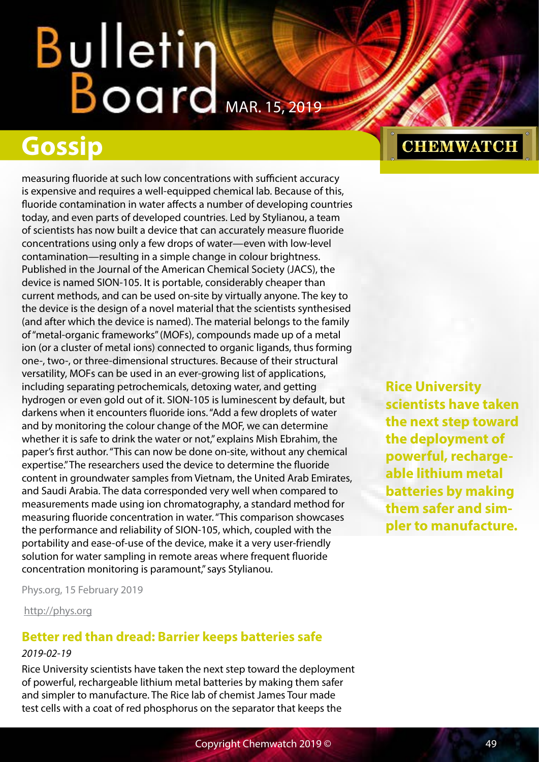### **Gossip**

measuring fluoride at such low concentrations with sufficient accuracy is expensive and requires a well-equipped chemical lab. Because of this, fluoride contamination in water affects a number of developing countries today, and even parts of developed countries. Led by Stylianou, a team of scientists has now built a device that can accurately measure fluoride concentrations using only a few drops of water—even with low-level contamination—resulting in a simple change in colour brightness. Published in the Journal of the American Chemical Society (JACS), the device is named SION-105. It is portable, considerably cheaper than current methods, and can be used on-site by virtually anyone. The key to the device is the design of a novel material that the scientists synthesised (and after which the device is named). The material belongs to the family of "metal-organic frameworks" (MOFs), compounds made up of a metal ion (or a cluster of metal ions) connected to organic ligands, thus forming one-, two-, or three-dimensional structures. Because of their structural versatility, MOFs can be used in an ever-growing list of applications, including separating petrochemicals, detoxing water, and getting hydrogen or even gold out of it. SION-105 is luminescent by default, but darkens when it encounters fluoride ions. "Add a few droplets of water and by monitoring the colour change of the MOF, we can determine whether it is safe to drink the water or not," explains Mish Ebrahim, the paper's first author. "This can now be done on-site, without any chemical expertise." The researchers used the device to determine the fluoride content in groundwater samples from Vietnam, the United Arab Emirates, and Saudi Arabia. The data corresponded very well when compared to measurements made using ion chromatography, a standard method for measuring fluoride concentration in water. "This comparison showcases the performance and reliability of SION-105, which, coupled with the portability and ease-of-use of the device, make it a very user-friendly solution for water sampling in remote areas where frequent fluoride concentration monitoring is paramount," says Stylianou.

**CHEMWATCH** 

Phys.org, 15 February 2019

<http://phys.org>

#### **Better red than dread: Barrier keeps batteries safe**

#### *2019-02-19*

Rice University scientists have taken the next step toward the deployment of powerful, rechargeable lithium metal batteries by making them safer and simpler to manufacture. The Rice lab of chemist James Tour made test cells with a coat of red phosphorus on the separator that keeps the

**Rice University scientists have taken the next step toward the deployment of powerful, rechargeable lithium metal batteries by making them safer and simpler to manufacture.**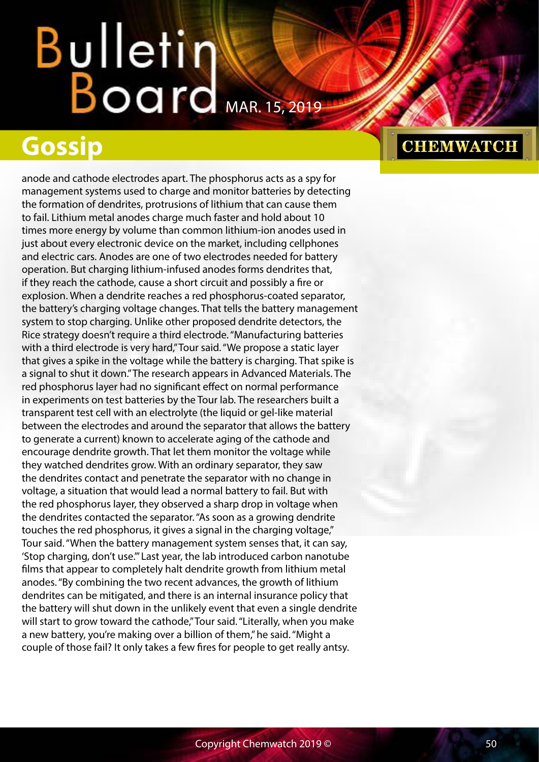### **Gossip**

anode and cathode electrodes apart. The phosphorus acts as a spy for management systems used to charge and monitor batteries by detecting the formation of dendrites, protrusions of lithium that can cause them to fail. Lithium metal anodes charge much faster and hold about 10 times more energy by volume than common lithium-ion anodes used in just about every electronic device on the market, including cellphones and electric cars. Anodes are one of two electrodes needed for battery operation. But charging lithium-infused anodes forms dendrites that, if they reach the cathode, cause a short circuit and possibly a fire or explosion. When a dendrite reaches a red phosphorus-coated separator, the battery's charging voltage changes. That tells the battery management system to stop charging. Unlike other proposed dendrite detectors, the Rice strategy doesn't require a third electrode. "Manufacturing batteries with a third electrode is very hard," Tour said. "We propose a static layer that gives a spike in the voltage while the battery is charging. That spike is a signal to shut it down." The research appears in Advanced Materials. The red phosphorus layer had no significant effect on normal performance in experiments on test batteries by the Tour lab. The researchers built a transparent test cell with an electrolyte (the liquid or gel-like material between the electrodes and around the separator that allows the battery to generate a current) known to accelerate aging of the cathode and encourage dendrite growth. That let them monitor the voltage while they watched dendrites grow. With an ordinary separator, they saw the dendrites contact and penetrate the separator with no change in voltage, a situation that would lead a normal battery to fail. But with the red phosphorus layer, they observed a sharp drop in voltage when the dendrites contacted the separator. "As soon as a growing dendrite touches the red phosphorus, it gives a signal in the charging voltage," Tour said. "When the battery management system senses that, it can say, 'Stop charging, don't use.'" Last year, the lab introduced carbon nanotube films that appear to completely halt dendrite growth from lithium metal anodes. "By combining the two recent advances, the growth of lithium dendrites can be mitigated, and there is an internal insurance policy that the battery will shut down in the unlikely event that even a single dendrite will start to grow toward the cathode," Tour said. "Literally, when you make a new battery, you're making over a billion of them," he said. "Might a couple of those fail? It only takes a few fires for people to get really antsy.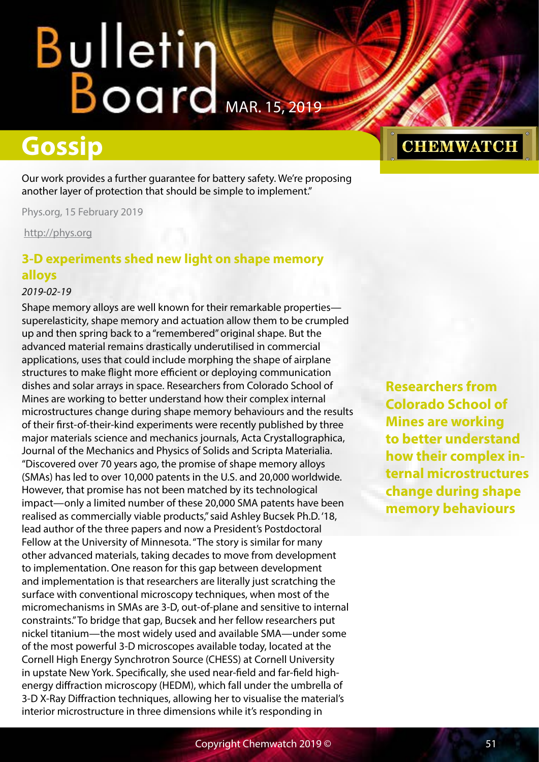### **Gossip**

Our work provides a further guarantee for battery safety. We're proposing another layer of protection that should be simple to implement."

Phys.org, 15 February 2019

<http://phys.org>

#### **3-D experiments shed new light on shape memory alloys**

#### *2019-02-19*

Shape memory alloys are well known for their remarkable properties superelasticity, shape memory and actuation allow them to be crumpled up and then spring back to a "remembered" original shape. But the advanced material remains drastically underutilised in commercial applications, uses that could include morphing the shape of airplane structures to make flight more efficient or deploying communication dishes and solar arrays in space. Researchers from Colorado School of Mines are working to better understand how their complex internal microstructures change during shape memory behaviours and the results of their first-of-their-kind experiments were recently published by three major materials science and mechanics journals, Acta Crystallographica, Journal of the Mechanics and Physics of Solids and Scripta Materialia. "Discovered over 70 years ago, the promise of shape memory alloys (SMAs) has led to over 10,000 patents in the U.S. and 20,000 worldwide. However, that promise has not been matched by its technological impact—only a limited number of these 20,000 SMA patents have been realised as commercially viable products," said Ashley Bucsek Ph.D. '18, lead author of the three papers and now a President's Postdoctoral Fellow at the University of Minnesota. "The story is similar for many other advanced materials, taking decades to move from development to implementation. One reason for this gap between development and implementation is that researchers are literally just scratching the surface with conventional microscopy techniques, when most of the micromechanisms in SMAs are 3-D, out-of-plane and sensitive to internal constraints." To bridge that gap, Bucsek and her fellow researchers put nickel titanium—the most widely used and available SMA—under some of the most powerful 3-D microscopes available today, located at the Cornell High Energy Synchrotron Source (CHESS) at Cornell University in upstate New York. Specifically, she used near-field and far-field highenergy diffraction microscopy (HEDM), which fall under the umbrella of 3-D X-Ray Diffraction techniques, allowing her to visualise the material's interior microstructure in three dimensions while it's responding in

### **CHEMWATCH**

**Researchers from Colorado School of Mines are working to better understand how their complex internal microstructures change during shape memory behaviours**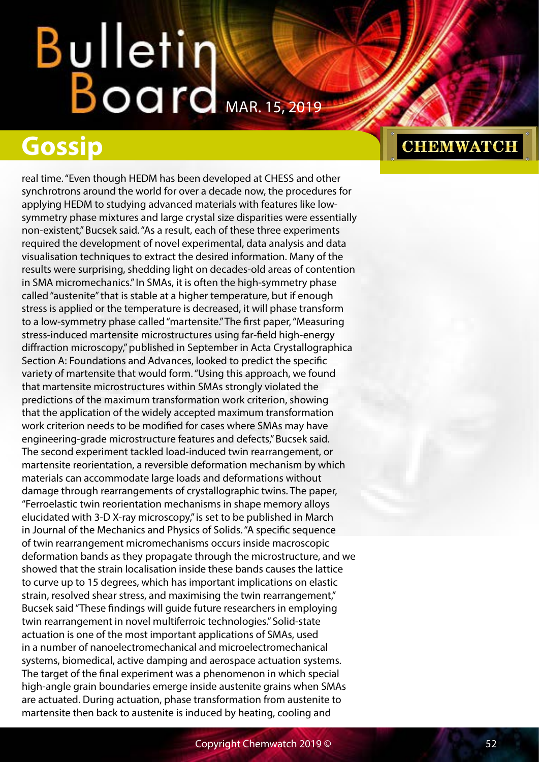# Bulletin<br>Board

### **Gossip**

real time. "Even though HEDM has been developed at CHESS and other synchrotrons around the world for over a decade now, the procedures for applying HEDM to studying advanced materials with features like lowsymmetry phase mixtures and large crystal size disparities were essentially non-existent," Bucsek said. "As a result, each of these three experiments required the development of novel experimental, data analysis and data visualisation techniques to extract the desired information. Many of the results were surprising, shedding light on decades-old areas of contention in SMA micromechanics." In SMAs, it is often the high-symmetry phase called "austenite" that is stable at a higher temperature, but if enough stress is applied or the temperature is decreased, it will phase transform to a low-symmetry phase called "martensite." The first paper, "Measuring stress-induced martensite microstructures using far-field high-energy diffraction microscopy," published in September in Acta Crystallographica Section A: Foundations and Advances, looked to predict the specific variety of martensite that would form. "Using this approach, we found that martensite microstructures within SMAs strongly violated the predictions of the maximum transformation work criterion, showing that the application of the widely accepted maximum transformation work criterion needs to be modified for cases where SMAs may have engineering-grade microstructure features and defects," Bucsek said. The second experiment tackled load-induced twin rearrangement, or martensite reorientation, a reversible deformation mechanism by which materials can accommodate large loads and deformations without damage through rearrangements of crystallographic twins. The paper, "Ferroelastic twin reorientation mechanisms in shape memory alloys elucidated with 3-D X-ray microscopy," is set to be published in March in Journal of the Mechanics and Physics of Solids. "A specific sequence of twin rearrangement micromechanisms occurs inside macroscopic deformation bands as they propagate through the microstructure, and we showed that the strain localisation inside these bands causes the lattice to curve up to 15 degrees, which has important implications on elastic strain, resolved shear stress, and maximising the twin rearrangement," Bucsek said "These findings will guide future researchers in employing twin rearrangement in novel multiferroic technologies." Solid-state actuation is one of the most important applications of SMAs, used in a number of nanoelectromechanical and microelectromechanical systems, biomedical, active damping and aerospace actuation systems. The target of the final experiment was a phenomenon in which special high-angle grain boundaries emerge inside austenite grains when SMAs are actuated. During actuation, phase transformation from austenite to martensite then back to austenite is induced by heating, cooling and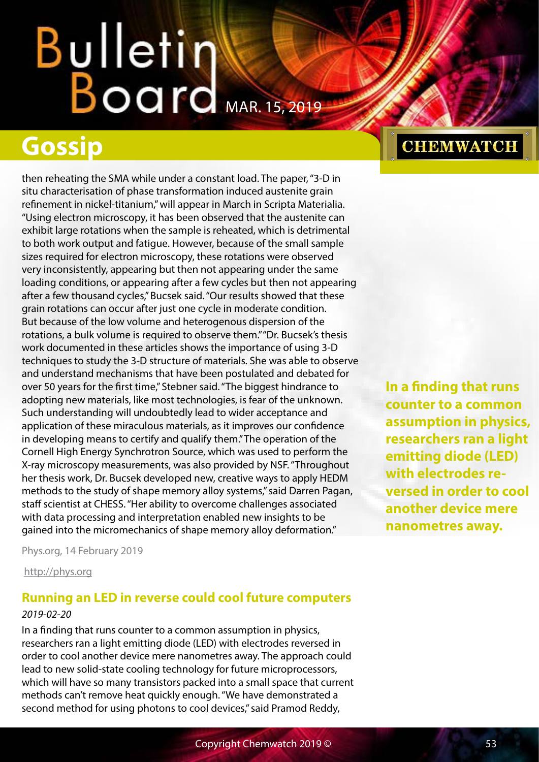### **Gossip**

then reheating the SMA while under a constant load. The paper, "3-D in situ characterisation of phase transformation induced austenite grain refinement in nickel-titanium," will appear in March in Scripta Materialia. "Using electron microscopy, it has been observed that the austenite can exhibit large rotations when the sample is reheated, which is detrimental to both work output and fatigue. However, because of the small sample sizes required for electron microscopy, these rotations were observed very inconsistently, appearing but then not appearing under the same loading conditions, or appearing after a few cycles but then not appearing after a few thousand cycles," Bucsek said. "Our results showed that these grain rotations can occur after just one cycle in moderate condition. But because of the low volume and heterogenous dispersion of the rotations, a bulk volume is required to observe them." "Dr. Bucsek's thesis work documented in these articles shows the importance of using 3-D techniques to study the 3-D structure of materials. She was able to observe and understand mechanisms that have been postulated and debated for over 50 years for the first time," Stebner said. "The biggest hindrance to adopting new materials, like most technologies, is fear of the unknown. Such understanding will undoubtedly lead to wider acceptance and application of these miraculous materials, as it improves our confidence in developing means to certify and qualify them." The operation of the Cornell High Energy Synchrotron Source, which was used to perform the X-ray microscopy measurements, was also provided by NSF. "Throughout her thesis work, Dr. Bucsek developed new, creative ways to apply HEDM methods to the study of shape memory alloy systems," said Darren Pagan, staff scientist at CHESS. "Her ability to overcome challenges associated with data processing and interpretation enabled new insights to be gained into the micromechanics of shape memory alloy deformation."

Phys.org, 14 February 2019

<http://phys.org>

#### **Running an LED in reverse could cool future computers**

#### *2019-02-20*

In a finding that runs counter to a common assumption in physics, researchers ran a light emitting diode (LED) with electrodes reversed in order to cool another device mere nanometres away. The approach could lead to new solid-state cooling technology for future microprocessors, which will have so many transistors packed into a small space that current methods can't remove heat quickly enough. "We have demonstrated a second method for using photons to cool devices," said Pramod Reddy,

#### **CHEMWATCH**

**In a finding that runs counter to a common assumption in physics, researchers ran a light emitting diode (LED) with electrodes reversed in order to cool another device mere nanometres away.**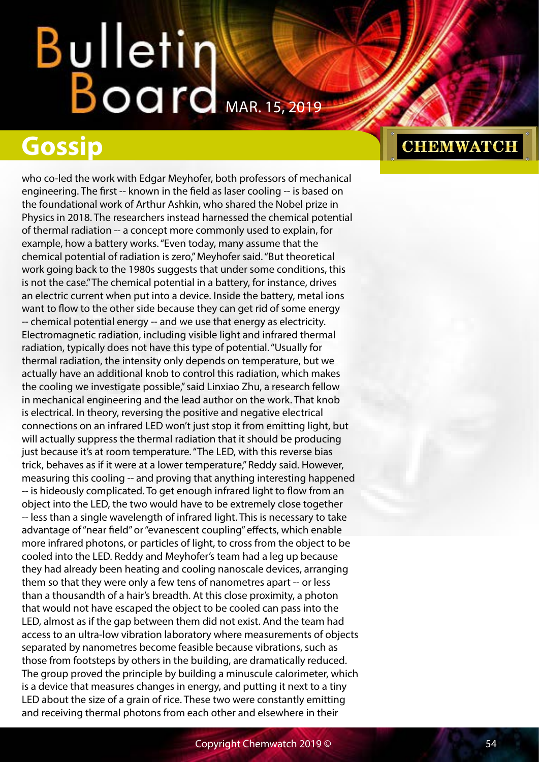# Bulletin<br>Board

### **Gossip**

who co-led the work with Edgar Meyhofer, both professors of mechanical engineering. The first -- known in the field as laser cooling -- is based on the foundational work of Arthur Ashkin, who shared the Nobel prize in Physics in 2018. The researchers instead harnessed the chemical potential of thermal radiation -- a concept more commonly used to explain, for example, how a battery works. "Even today, many assume that the chemical potential of radiation is zero," Meyhofer said. "But theoretical work going back to the 1980s suggests that under some conditions, this is not the case." The chemical potential in a battery, for instance, drives an electric current when put into a device. Inside the battery, metal ions want to flow to the other side because they can get rid of some energy -- chemical potential energy -- and we use that energy as electricity. Electromagnetic radiation, including visible light and infrared thermal radiation, typically does not have this type of potential. "Usually for thermal radiation, the intensity only depends on temperature, but we actually have an additional knob to control this radiation, which makes the cooling we investigate possible," said Linxiao Zhu, a research fellow in mechanical engineering and the lead author on the work. That knob is electrical. In theory, reversing the positive and negative electrical connections on an infrared LED won't just stop it from emitting light, but will actually suppress the thermal radiation that it should be producing just because it's at room temperature. "The LED, with this reverse bias trick, behaves as if it were at a lower temperature," Reddy said. However, measuring this cooling -- and proving that anything interesting happened -- is hideously complicated. To get enough infrared light to flow from an object into the LED, the two would have to be extremely close together -- less than a single wavelength of infrared light. This is necessary to take advantage of "near field" or "evanescent coupling" effects, which enable more infrared photons, or particles of light, to cross from the object to be cooled into the LED. Reddy and Meyhofer's team had a leg up because they had already been heating and cooling nanoscale devices, arranging them so that they were only a few tens of nanometres apart -- or less than a thousandth of a hair's breadth. At this close proximity, a photon that would not have escaped the object to be cooled can pass into the LED, almost as if the gap between them did not exist. And the team had access to an ultra-low vibration laboratory where measurements of objects separated by nanometres become feasible because vibrations, such as those from footsteps by others in the building, are dramatically reduced. The group proved the principle by building a minuscule calorimeter, which is a device that measures changes in energy, and putting it next to a tiny LED about the size of a grain of rice. These two were constantly emitting and receiving thermal photons from each other and elsewhere in their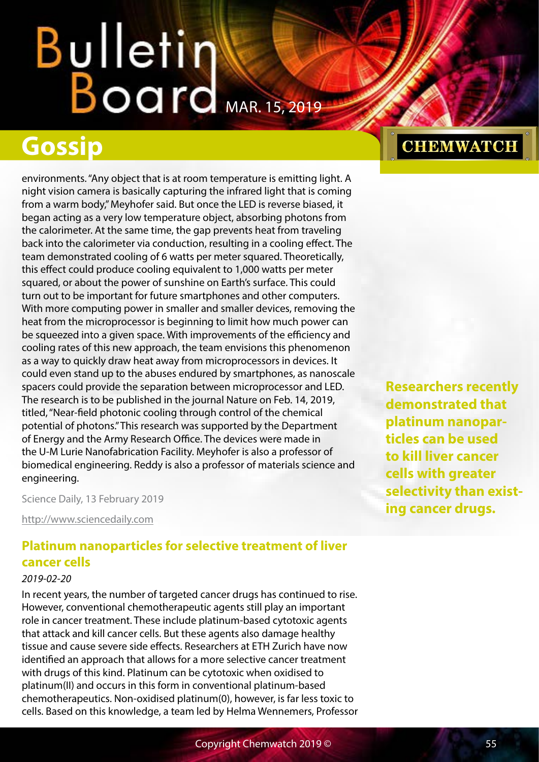### **Gossip**

environments. "Any object that is at room temperature is emitting light. A night vision camera is basically capturing the infrared light that is coming from a warm body," Meyhofer said. But once the LED is reverse biased, it began acting as a very low temperature object, absorbing photons from the calorimeter. At the same time, the gap prevents heat from traveling back into the calorimeter via conduction, resulting in a cooling effect. The team demonstrated cooling of 6 watts per meter squared. Theoretically, this effect could produce cooling equivalent to 1,000 watts per meter squared, or about the power of sunshine on Earth's surface. This could turn out to be important for future smartphones and other computers. With more computing power in smaller and smaller devices, removing the heat from the microprocessor is beginning to limit how much power can be squeezed into a given space. With improvements of the efficiency and cooling rates of this new approach, the team envisions this phenomenon as a way to quickly draw heat away from microprocessors in devices. It could even stand up to the abuses endured by smartphones, as nanoscale spacers could provide the separation between microprocessor and LED. The research is to be published in the journal Nature on Feb. 14, 2019, titled, "Near-field photonic cooling through control of the chemical potential of photons." This research was supported by the Department of Energy and the Army Research Office. The devices were made in the U-M Lurie Nanofabrication Facility. Meyhofer is also a professor of biomedical engineering. Reddy is also a professor of materials science and engineering.

Science Daily, 13 February 2019

<http://www.sciencedaily.com>

#### **Platinum nanoparticles for selective treatment of liver cancer cells**

#### *2019-02-20*

In recent years, the number of targeted cancer drugs has continued to rise. However, conventional chemotherapeutic agents still play an important role in cancer treatment. These include platinum-based cytotoxic agents that attack and kill cancer cells. But these agents also damage healthy tissue and cause severe side effects. Researchers at ETH Zurich have now identified an approach that allows for a more selective cancer treatment with drugs of this kind. Platinum can be cytotoxic when oxidised to platinum(II) and occurs in this form in conventional platinum-based chemotherapeutics. Non-oxidised platinum(0), however, is far less toxic to cells. Based on this knowledge, a team led by Helma Wennemers, Professor

#### **CHEMWATCH**

**Researchers recently demonstrated that platinum nanoparticles can be used to kill liver cancer cells with greater selectivity than existing cancer drugs.**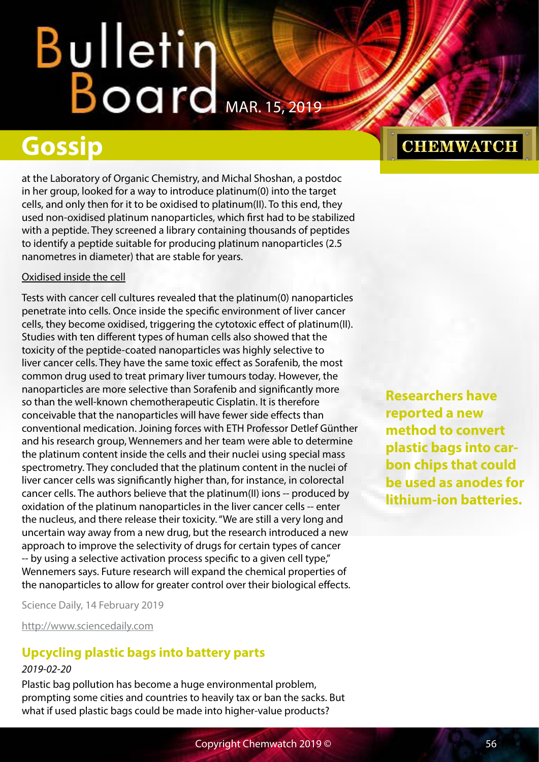### **Gossip**

at the Laboratory of Organic Chemistry, and Michal Shoshan, a postdoc in her group, looked for a way to introduce platinum(0) into the target cells, and only then for it to be oxidised to platinum(II). To this end, they used non-oxidised platinum nanoparticles, which first had to be stabilized with a peptide. They screened a library containing thousands of peptides to identify a peptide suitable for producing platinum nanoparticles (2.5 nanometres in diameter) that are stable for years.

#### Oxidised inside the cell

Tests with cancer cell cultures revealed that the platinum(0) nanoparticles penetrate into cells. Once inside the specific environment of liver cancer cells, they become oxidised, triggering the cytotoxic effect of platinum(II). Studies with ten different types of human cells also showed that the toxicity of the peptide-coated nanoparticles was highly selective to liver cancer cells. They have the same toxic effect as Sorafenib, the most common drug used to treat primary liver tumours today. However, the nanoparticles are more selective than Sorafenib and significantly more so than the well-known chemotherapeutic Cisplatin. It is therefore conceivable that the nanoparticles will have fewer side effects than conventional medication. Joining forces with ETH Professor Detlef Günther and his research group, Wennemers and her team were able to determine the platinum content inside the cells and their nuclei using special mass spectrometry. They concluded that the platinum content in the nuclei of liver cancer cells was significantly higher than, for instance, in colorectal cancer cells. The authors believe that the platinum(II) ions -- produced by oxidation of the platinum nanoparticles in the liver cancer cells -- enter the nucleus, and there release their toxicity. "We are still a very long and uncertain way away from a new drug, but the research introduced a new approach to improve the selectivity of drugs for certain types of cancer -- by using a selective activation process specific to a given cell type," Wennemers says. Future research will expand the chemical properties of the nanoparticles to allow for greater control over their biological effects.

Science Daily, 14 February 2019

<http://www.sciencedaily.com>

#### **Upcycling plastic bags into battery parts**

#### *2019-02-20*

Plastic bag pollution has become a huge environmental problem, prompting some cities and countries to heavily tax or ban the sacks. But what if used plastic bags could be made into higher-value products?

#### **CHEMWATCH**

**Researchers have reported a new method to convert plastic bags into carbon chips that could be used as anodes for lithium-ion batteries.**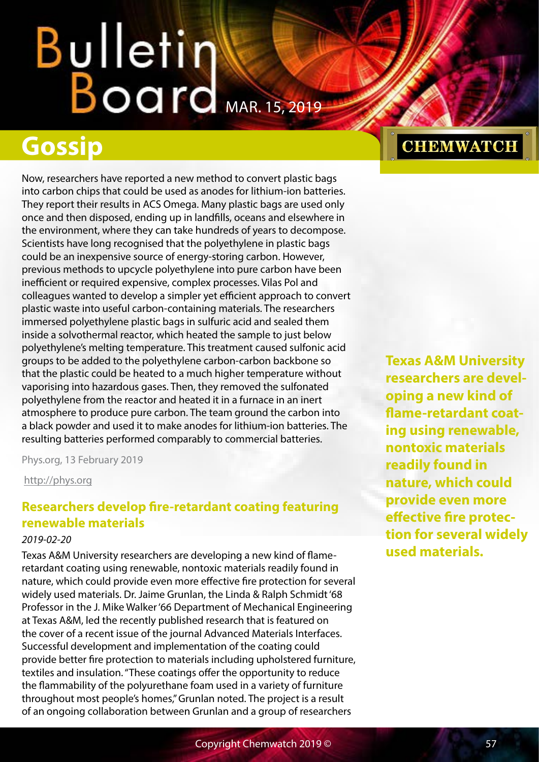### **Gossip**

Now, researchers have reported a new method to convert plastic bags into carbon chips that could be used as anodes for lithium-ion batteries. They report their results in ACS Omega. Many plastic bags are used only once and then disposed, ending up in landfills, oceans and elsewhere in the environment, where they can take hundreds of years to decompose. Scientists have long recognised that the polyethylene in plastic bags could be an inexpensive source of energy-storing carbon. However, previous methods to upcycle polyethylene into pure carbon have been inefficient or required expensive, complex processes. Vilas Pol and colleagues wanted to develop a simpler yet efficient approach to convert plastic waste into useful carbon-containing materials. The researchers immersed polyethylene plastic bags in sulfuric acid and sealed them inside a solvothermal reactor, which heated the sample to just below polyethylene's melting temperature. This treatment caused sulfonic acid groups to be added to the polyethylene carbon-carbon backbone so that the plastic could be heated to a much higher temperature without vaporising into hazardous gases. Then, they removed the sulfonated polyethylene from the reactor and heated it in a furnace in an inert atmosphere to produce pure carbon. The team ground the carbon into a black powder and used it to make anodes for lithium-ion batteries. The resulting batteries performed comparably to commercial batteries.

Phys.org, 13 February 2019

<http://phys.org>

#### **Researchers develop fire-retardant coating featuring renewable materials**

#### *2019-02-20*

Texas A&M University researchers are developing a new kind of flameretardant coating using renewable, nontoxic materials readily found in nature, which could provide even more effective fire protection for several widely used materials. Dr. Jaime Grunlan, the Linda & Ralph Schmidt '68 Professor in the J. Mike Walker '66 Department of Mechanical Engineering at Texas A&M, led the recently published research that is featured on the cover of a recent issue of the journal Advanced Materials Interfaces. Successful development and implementation of the coating could provide better fire protection to materials including upholstered furniture, textiles and insulation. "These coatings offer the opportunity to reduce the flammability of the polyurethane foam used in a variety of furniture throughout most people's homes," Grunlan noted. The project is a result of an ongoing collaboration between Grunlan and a group of researchers

#### **CHEMWATCH**

**Texas A&M University researchers are developing a new kind of flame-retardant coating using renewable, nontoxic materials readily found in nature, which could provide even more effective fire protection for several widely used materials.**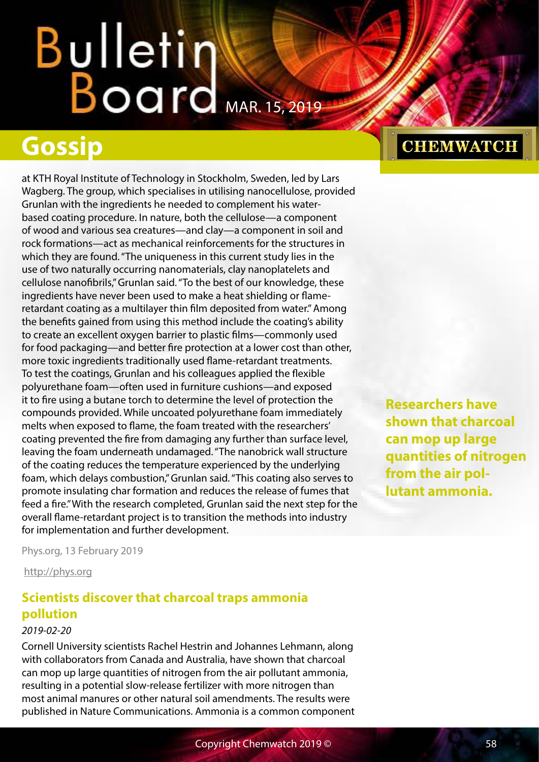### **Gossip**

at KTH Royal Institute of Technology in Stockholm, Sweden, led by Lars Wagberg. The group, which specialises in utilising nanocellulose, provided Grunlan with the ingredients he needed to complement his waterbased coating procedure. In nature, both the cellulose—a component of wood and various sea creatures—and clay—a component in soil and rock formations—act as mechanical reinforcements for the structures in which they are found. "The uniqueness in this current study lies in the use of two naturally occurring nanomaterials, clay nanoplatelets and cellulose nanofibrils," Grunlan said. "To the best of our knowledge, these ingredients have never been used to make a heat shielding or flameretardant coating as a multilayer thin film deposited from water." Among the benefits gained from using this method include the coating's ability to create an excellent oxygen barrier to plastic films—commonly used for food packaging—and better fire protection at a lower cost than other, more toxic ingredients traditionally used flame-retardant treatments. To test the coatings, Grunlan and his colleagues applied the flexible polyurethane foam—often used in furniture cushions—and exposed it to fire using a butane torch to determine the level of protection the compounds provided. While uncoated polyurethane foam immediately melts when exposed to flame, the foam treated with the researchers' coating prevented the fire from damaging any further than surface level, leaving the foam underneath undamaged. "The nanobrick wall structure of the coating reduces the temperature experienced by the underlying foam, which delays combustion," Grunlan said. "This coating also serves to promote insulating char formation and reduces the release of fumes that feed a fire." With the research completed, Grunlan said the next step for the overall flame-retardant project is to transition the methods into industry for implementation and further development.

**CHEMWATCH** 

**Researchers have shown that charcoal can mop up large quantities of nitrogen from the air pollutant ammonia.**

Phys.org, 13 February 2019

<http://phys.org>

#### **Scientists discover that charcoal traps ammonia pollution**

#### *2019-02-20*

Cornell University scientists Rachel Hestrin and Johannes Lehmann, along with collaborators from Canada and Australia, have shown that charcoal can mop up large quantities of nitrogen from the air pollutant ammonia, resulting in a potential slow-release fertilizer with more nitrogen than most animal manures or other natural soil amendments. The results were published in Nature Communications. Ammonia is a common component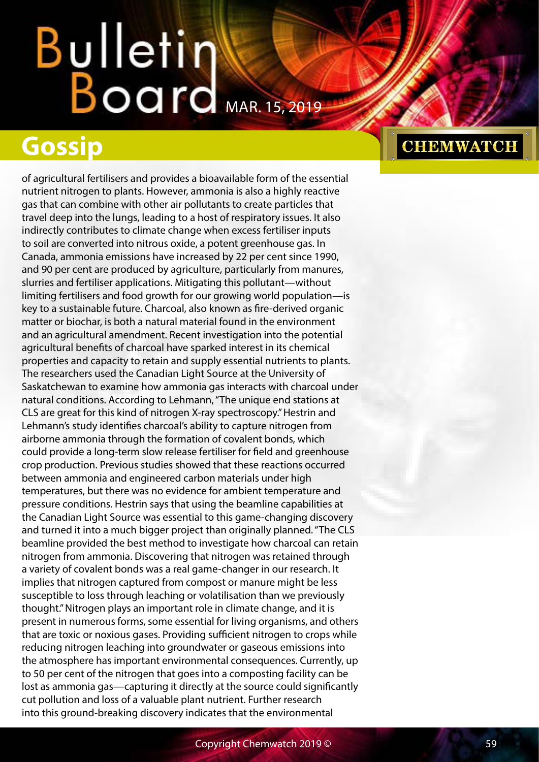### **Gossip**

of agricultural fertilisers and provides a bioavailable form of the essential nutrient nitrogen to plants. However, ammonia is also a highly reactive gas that can combine with other air pollutants to create particles that travel deep into the lungs, leading to a host of respiratory issues. It also indirectly contributes to climate change when excess fertiliser inputs to soil are converted into nitrous oxide, a potent greenhouse gas. In Canada, ammonia emissions have increased by 22 per cent since 1990, and 90 per cent are produced by agriculture, particularly from manures, slurries and fertiliser applications. Mitigating this pollutant—without limiting fertilisers and food growth for our growing world population—is key to a sustainable future. Charcoal, also known as fire-derived organic matter or biochar, is both a natural material found in the environment and an agricultural amendment. Recent investigation into the potential agricultural benefits of charcoal have sparked interest in its chemical properties and capacity to retain and supply essential nutrients to plants. The researchers used the Canadian Light Source at the University of Saskatchewan to examine how ammonia gas interacts with charcoal under natural conditions. According to Lehmann, "The unique end stations at CLS are great for this kind of nitrogen X-ray spectroscopy." Hestrin and Lehmann's study identifies charcoal's ability to capture nitrogen from airborne ammonia through the formation of covalent bonds, which could provide a long-term slow release fertiliser for field and greenhouse crop production. Previous studies showed that these reactions occurred between ammonia and engineered carbon materials under high temperatures, but there was no evidence for ambient temperature and pressure conditions. Hestrin says that using the beamline capabilities at the Canadian Light Source was essential to this game-changing discovery and turned it into a much bigger project than originally planned. "The CLS beamline provided the best method to investigate how charcoal can retain nitrogen from ammonia. Discovering that nitrogen was retained through a variety of covalent bonds was a real game-changer in our research. It implies that nitrogen captured from compost or manure might be less susceptible to loss through leaching or volatilisation than we previously thought." Nitrogen plays an important role in climate change, and it is present in numerous forms, some essential for living organisms, and others that are toxic or noxious gases. Providing sufficient nitrogen to crops while reducing nitrogen leaching into groundwater or gaseous emissions into the atmosphere has important environmental consequences. Currently, up to 50 per cent of the nitrogen that goes into a composting facility can be lost as ammonia gas—capturing it directly at the source could significantly cut pollution and loss of a valuable plant nutrient. Further research into this ground-breaking discovery indicates that the environmental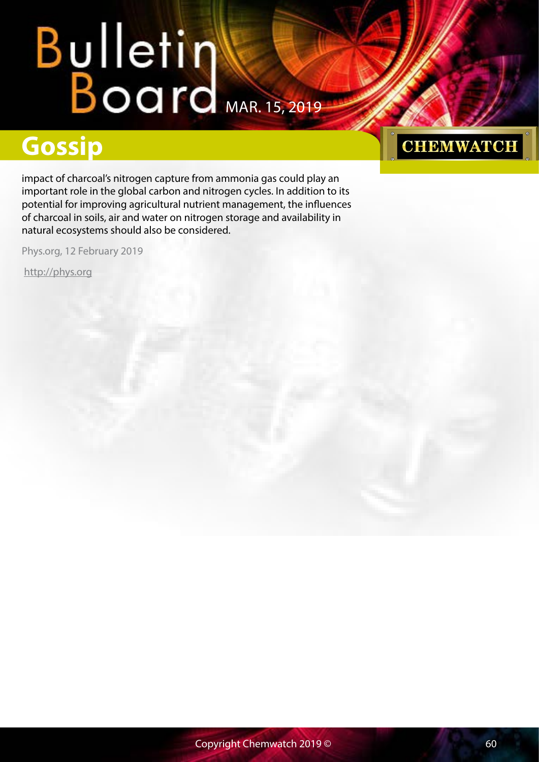### **Gossip**

#### **CHEMWATCH**

impact of charcoal's nitrogen capture from ammonia gas could play an important role in the global carbon and nitrogen cycles. In addition to its potential for improving agricultural nutrient management, the influences of charcoal in soils, air and water on nitrogen storage and availability in natural ecosystems should also be considered.

Phys.org, 12 February 2019

<http://phys.org>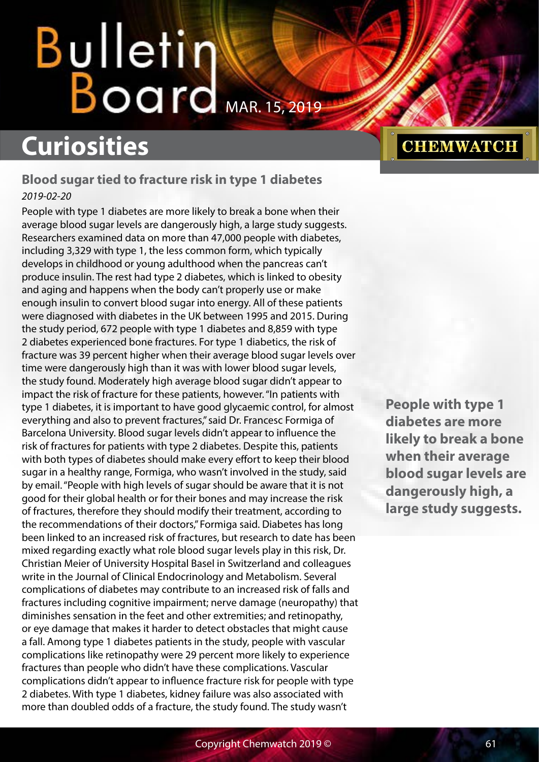# Bulletin  $B$  o ard  $MAR. 15, 2019$

# **Curiosities**

#### **Blood sugar tied to fracture risk in type 1 diabetes** *2019-02-20*

People with type 1 diabetes are more likely to break a bone when their average blood sugar levels are dangerously high, a large study suggests. Researchers examined data on more than 47,000 people with diabetes, including 3,329 with type 1, the less common form, which typically develops in childhood or young adulthood when the pancreas can't produce insulin. The rest had type 2 diabetes, which is linked to obesity and aging and happens when the body can't properly use or make enough insulin to convert blood sugar into energy. All of these patients were diagnosed with diabetes in the UK between 1995 and 2015. During the study period, 672 people with type 1 diabetes and 8,859 with type 2 diabetes experienced bone fractures. For type 1 diabetics, the risk of fracture was 39 percent higher when their average blood sugar levels over time were dangerously high than it was with lower blood sugar levels, the study found. Moderately high average blood sugar didn't appear to impact the risk of fracture for these patients, however. "In patients with type 1 diabetes, it is important to have good glycaemic control, for almost everything and also to prevent fractures," said Dr. Francesc Formiga of Barcelona University. Blood sugar levels didn't appear to influence the risk of fractures for patients with type 2 diabetes. Despite this, patients with both types of diabetes should make every effort to keep their blood sugar in a healthy range, Formiga, who wasn't involved in the study, said by email. "People with high levels of sugar should be aware that it is not good for their global health or for their bones and may increase the risk of fractures, therefore they should modify their treatment, according to the recommendations of their doctors," Formiga said. Diabetes has long been linked to an increased risk of fractures, but research to date has been mixed regarding exactly what role blood sugar levels play in this risk, Dr. Christian Meier of University Hospital Basel in Switzerland and colleagues write in the Journal of Clinical Endocrinology and Metabolism. Several complications of diabetes may contribute to an increased risk of falls and fractures including cognitive impairment; nerve damage (neuropathy) that diminishes sensation in the feet and other extremities; and retinopathy, or eye damage that makes it harder to detect obstacles that might cause a fall. Among type 1 diabetes patients in the study, people with vascular complications like retinopathy were 29 percent more likely to experience fractures than people who didn't have these complications. Vascular complications didn't appear to influence fracture risk for people with type 2 diabetes. With type 1 diabetes, kidney failure was also associated with more than doubled odds of a fracture, the study found. The study wasn't

#### **CHEMWATCH**

**People with type 1 diabetes are more likely to break a bone when their average blood sugar levels are dangerously high, a large study suggests.**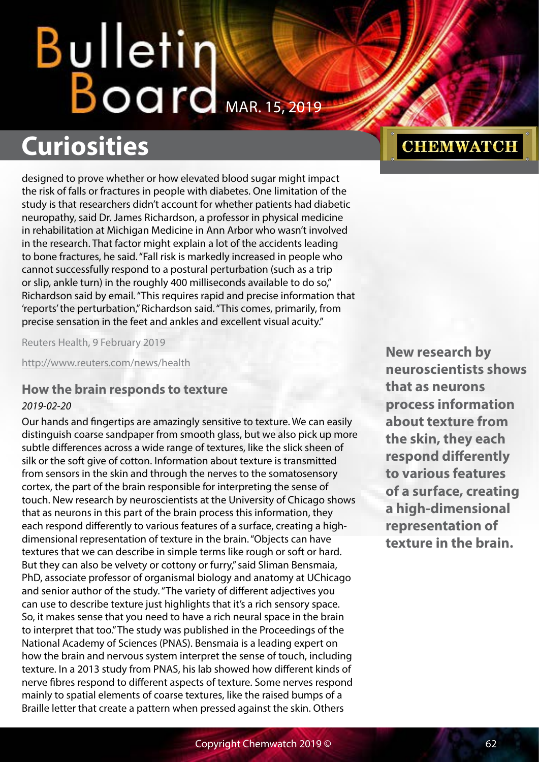# Bulletin Board MAR. 15, 2019

## **Curiosities**

designed to prove whether or how elevated blood sugar might impact the risk of falls or fractures in people with diabetes. One limitation of the study is that researchers didn't account for whether patients had diabetic neuropathy, said Dr. James Richardson, a professor in physical medicine in rehabilitation at Michigan Medicine in Ann Arbor who wasn't involved in the research. That factor might explain a lot of the accidents leading to bone fractures, he said. "Fall risk is markedly increased in people who cannot successfully respond to a postural perturbation (such as a trip or slip, ankle turn) in the roughly 400 milliseconds available to do so," Richardson said by email. "This requires rapid and precise information that 'reports' the perturbation," Richardson said. "This comes, primarily, from precise sensation in the feet and ankles and excellent visual acuity."

Reuters Health, 9 February 2019

<http://www.reuters.com/news/health>

#### **How the brain responds to texture** *2019-02-20*

Our hands and fingertips are amazingly sensitive to texture. We can easily distinguish coarse sandpaper from smooth glass, but we also pick up more subtle differences across a wide range of textures, like the slick sheen of silk or the soft give of cotton. Information about texture is transmitted from sensors in the skin and through the nerves to the somatosensory cortex, the part of the brain responsible for interpreting the sense of touch. New research by neuroscientists at the University of Chicago shows that as neurons in this part of the brain process this information, they each respond differently to various features of a surface, creating a highdimensional representation of texture in the brain. "Objects can have textures that we can describe in simple terms like rough or soft or hard. But they can also be velvety or cottony or furry," said Sliman Bensmaia, PhD, associate professor of organismal biology and anatomy at UChicago and senior author of the study. "The variety of different adjectives you can use to describe texture just highlights that it's a rich sensory space. So, it makes sense that you need to have a rich neural space in the brain to interpret that too." The study was published in the Proceedings of the National Academy of Sciences (PNAS). Bensmaia is a leading expert on how the brain and nervous system interpret the sense of touch, including texture. In a 2013 study from PNAS, his lab showed how different kinds of nerve fibres respond to different aspects of texture. Some nerves respond mainly to spatial elements of coarse textures, like the raised bumps of a Braille letter that create a pattern when pressed against the skin. Others

#### **New research by neuroscientists shows that as neurons process information about texture from the skin, they each respond differently to various features of a surface, creating a high-dimensional representation of texture in the brain.**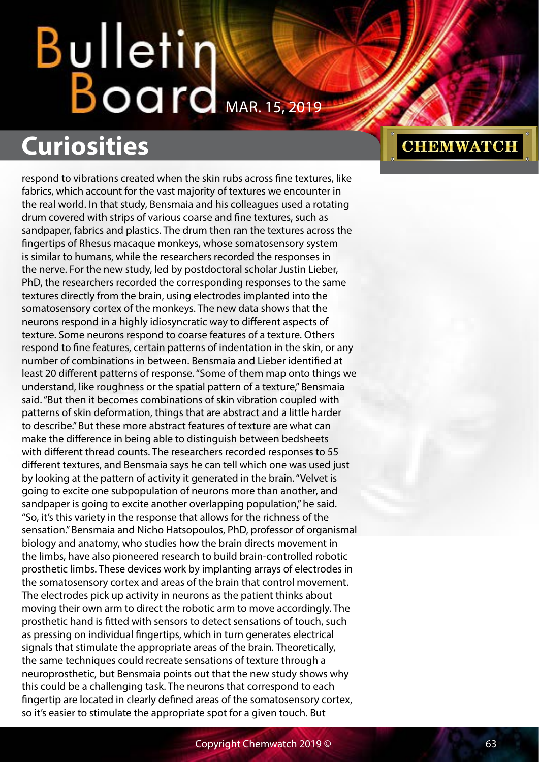# **Curiosities**

respond to vibrations created when the skin rubs across fine textures, like fabrics, which account for the vast majority of textures we encounter in the real world. In that study, Bensmaia and his colleagues used a rotating drum covered with strips of various coarse and fine textures, such as sandpaper, fabrics and plastics. The drum then ran the textures across the fingertips of Rhesus macaque monkeys, whose somatosensory system is similar to humans, while the researchers recorded the responses in the nerve. For the new study, led by postdoctoral scholar Justin Lieber, PhD, the researchers recorded the corresponding responses to the same textures directly from the brain, using electrodes implanted into the somatosensory cortex of the monkeys. The new data shows that the neurons respond in a highly idiosyncratic way to different aspects of texture. Some neurons respond to coarse features of a texture. Others respond to fine features, certain patterns of indentation in the skin, or any number of combinations in between. Bensmaia and Lieber identified at least 20 different patterns of response. "Some of them map onto things we understand, like roughness or the spatial pattern of a texture," Bensmaia said. "But then it becomes combinations of skin vibration coupled with patterns of skin deformation, things that are abstract and a little harder to describe." But these more abstract features of texture are what can make the difference in being able to distinguish between bedsheets with different thread counts. The researchers recorded responses to 55 different textures, and Bensmaia says he can tell which one was used just by looking at the pattern of activity it generated in the brain. "Velvet is going to excite one subpopulation of neurons more than another, and sandpaper is going to excite another overlapping population," he said. "So, it's this variety in the response that allows for the richness of the sensation." Bensmaia and Nicho Hatsopoulos, PhD, professor of organismal biology and anatomy, who studies how the brain directs movement in the limbs, have also pioneered research to build brain-controlled robotic prosthetic limbs. These devices work by implanting arrays of electrodes in the somatosensory cortex and areas of the brain that control movement. The electrodes pick up activity in neurons as the patient thinks about moving their own arm to direct the robotic arm to move accordingly. The prosthetic hand is fitted with sensors to detect sensations of touch, such as pressing on individual fingertips, which in turn generates electrical signals that stimulate the appropriate areas of the brain. Theoretically, the same techniques could recreate sensations of texture through a neuroprosthetic, but Bensmaia points out that the new study shows why this could be a challenging task. The neurons that correspond to each fingertip are located in clearly defined areas of the somatosensory cortex, so it's easier to stimulate the appropriate spot for a given touch. But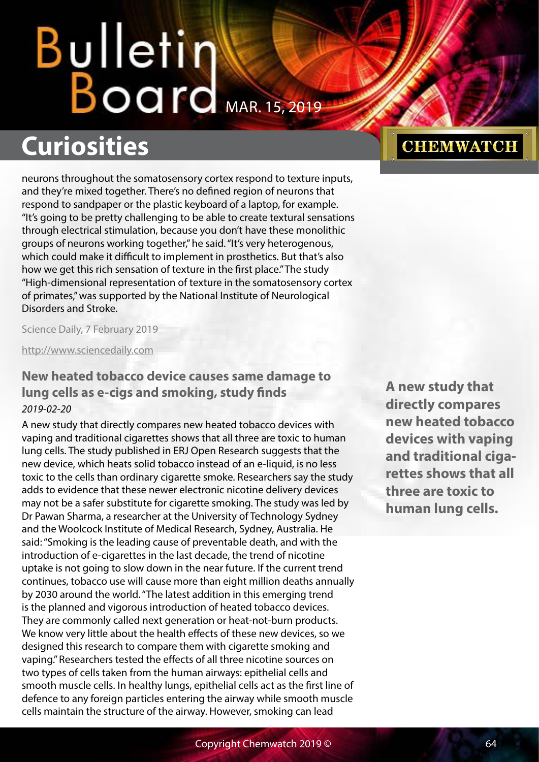# Bulletin Board MAR. 15, 2019

## **Curiosities**

neurons throughout the somatosensory cortex respond to texture inputs, and they're mixed together. There's no defined region of neurons that respond to sandpaper or the plastic keyboard of a laptop, for example. "It's going to be pretty challenging to be able to create textural sensations through electrical stimulation, because you don't have these monolithic groups of neurons working together," he said. "It's very heterogenous, which could make it difficult to implement in prosthetics. But that's also how we get this rich sensation of texture in the first place." The study "High-dimensional representation of texture in the somatosensory cortex of primates," was supported by the National Institute of Neurological Disorders and Stroke.

Science Daily, 7 February 2019

<http://www.sciencedaily.com>

#### **New heated tobacco device causes same damage to lung cells as e-cigs and smoking, study finds** *2019-02-20*

A new study that directly compares new heated tobacco devices with vaping and traditional cigarettes shows that all three are toxic to human lung cells. The study published in ERJ Open Research suggests that the new device, which heats solid tobacco instead of an e-liquid, is no less toxic to the cells than ordinary cigarette smoke. Researchers say the study adds to evidence that these newer electronic nicotine delivery devices may not be a safer substitute for cigarette smoking. The study was led by Dr Pawan Sharma, a researcher at the University of Technology Sydney and the Woolcock Institute of Medical Research, Sydney, Australia. He said: "Smoking is the leading cause of preventable death, and with the introduction of e-cigarettes in the last decade, the trend of nicotine uptake is not going to slow down in the near future. If the current trend continues, tobacco use will cause more than eight million deaths annually by 2030 around the world. "The latest addition in this emerging trend is the planned and vigorous introduction of heated tobacco devices. They are commonly called next generation or heat-not-burn products. We know very little about the health effects of these new devices, so we designed this research to compare them with cigarette smoking and vaping." Researchers tested the effects of all three nicotine sources on two types of cells taken from the human airways: epithelial cells and smooth muscle cells. In healthy lungs, epithelial cells act as the first line of defence to any foreign particles entering the airway while smooth muscle cells maintain the structure of the airway. However, smoking can lead

**A new study that directly compares new heated tobacco devices with vaping and traditional cigarettes shows that all three are toxic to human lung cells.**

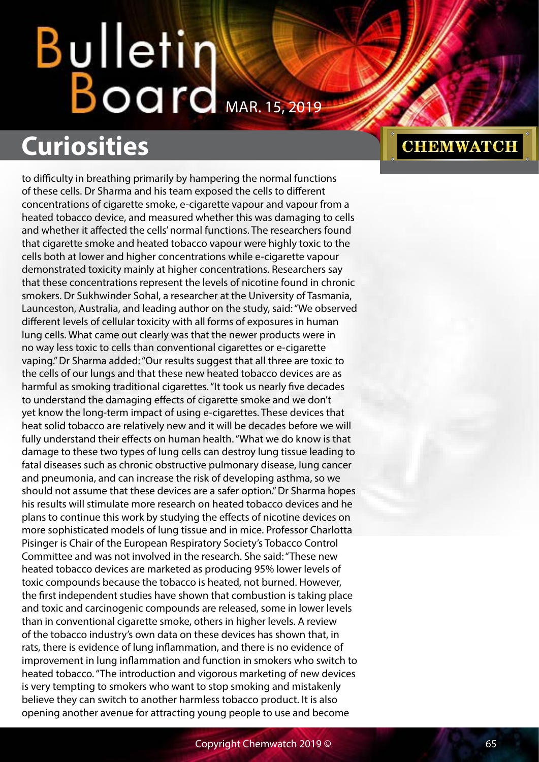# Bulletin Board MAR. 15, 2019

# **Curiosities**

to difficulty in breathing primarily by hampering the normal functions of these cells. Dr Sharma and his team exposed the cells to different concentrations of cigarette smoke, e-cigarette vapour and vapour from a heated tobacco device, and measured whether this was damaging to cells and whether it affected the cells' normal functions. The researchers found that cigarette smoke and heated tobacco vapour were highly toxic to the cells both at lower and higher concentrations while e-cigarette vapour demonstrated toxicity mainly at higher concentrations. Researchers say that these concentrations represent the levels of nicotine found in chronic smokers. Dr Sukhwinder Sohal, a researcher at the University of Tasmania, Launceston, Australia, and leading author on the study, said: "We observed different levels of cellular toxicity with all forms of exposures in human lung cells. What came out clearly was that the newer products were in no way less toxic to cells than conventional cigarettes or e-cigarette vaping." Dr Sharma added: "Our results suggest that all three are toxic to the cells of our lungs and that these new heated tobacco devices are as harmful as smoking traditional cigarettes. "It took us nearly five decades to understand the damaging effects of cigarette smoke and we don't yet know the long-term impact of using e-cigarettes. These devices that heat solid tobacco are relatively new and it will be decades before we will fully understand their effects on human health. "What we do know is that damage to these two types of lung cells can destroy lung tissue leading to fatal diseases such as chronic obstructive pulmonary disease, lung cancer and pneumonia, and can increase the risk of developing asthma, so we should not assume that these devices are a safer option." Dr Sharma hopes his results will stimulate more research on heated tobacco devices and he plans to continue this work by studying the effects of nicotine devices on more sophisticated models of lung tissue and in mice. Professor Charlotta Pisinger is Chair of the European Respiratory Society's Tobacco Control Committee and was not involved in the research. She said: "These new heated tobacco devices are marketed as producing 95% lower levels of toxic compounds because the tobacco is heated, not burned. However, the first independent studies have shown that combustion is taking place and toxic and carcinogenic compounds are released, some in lower levels than in conventional cigarette smoke, others in higher levels. A review of the tobacco industry's own data on these devices has shown that, in rats, there is evidence of lung inflammation, and there is no evidence of improvement in lung inflammation and function in smokers who switch to heated tobacco. "The introduction and vigorous marketing of new devices is very tempting to smokers who want to stop smoking and mistakenly believe they can switch to another harmless tobacco product. It is also opening another avenue for attracting young people to use and become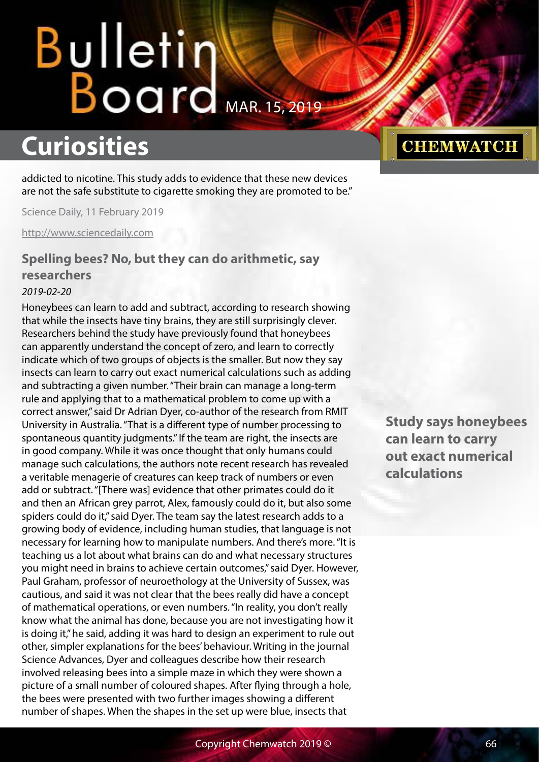### **Curiosities**

addicted to nicotine. This study adds to evidence that these new devices are not the safe substitute to cigarette smoking they are promoted to be."

Science Daily, 11 February 2019

<http://www.sciencedaily.com>

#### **Spelling bees? No, but they can do arithmetic, say researchers**

#### *2019-02-20*

Honeybees can learn to add and subtract, according to research showing that while the insects have tiny brains, they are still surprisingly clever. Researchers behind the study have previously found that honeybees can apparently understand the concept of zero, and learn to correctly indicate which of two groups of objects is the smaller. But now they say insects can learn to carry out exact numerical calculations such as adding and subtracting a given number. "Their brain can manage a long-term rule and applying that to a mathematical problem to come up with a correct answer," said Dr Adrian Dyer, co-author of the research from RMIT University in Australia. "That is a different type of number processing to spontaneous quantity judgments." If the team are right, the insects are in good company. While it was once thought that only humans could manage such calculations, the authors note recent research has revealed a veritable menagerie of creatures can keep track of numbers or even add or subtract. "[There was] evidence that other primates could do it and then an African grey parrot, Alex, famously could do it, but also some spiders could do it," said Dyer. The team say the latest research adds to a growing body of evidence, including human studies, that language is not necessary for learning how to manipulate numbers. And there's more. "It is teaching us a lot about what brains can do and what necessary structures you might need in brains to achieve certain outcomes," said Dyer. However, Paul Graham, professor of neuroethology at the University of Sussex, was cautious, and said it was not clear that the bees really did have a concept of mathematical operations, or even numbers. "In reality, you don't really know what the animal has done, because you are not investigating how it is doing it," he said, adding it was hard to design an experiment to rule out other, simpler explanations for the bees' behaviour. Writing in the journal Science Advances, Dyer and colleagues describe how their research involved releasing bees into a simple maze in which they were shown a picture of a small number of coloured shapes. After flying through a hole, the bees were presented with two further images showing a different number of shapes. When the shapes in the set up were blue, insects that

### **CHEMWATCH**

**Study says honeybees can learn to carry out exact numerical calculations**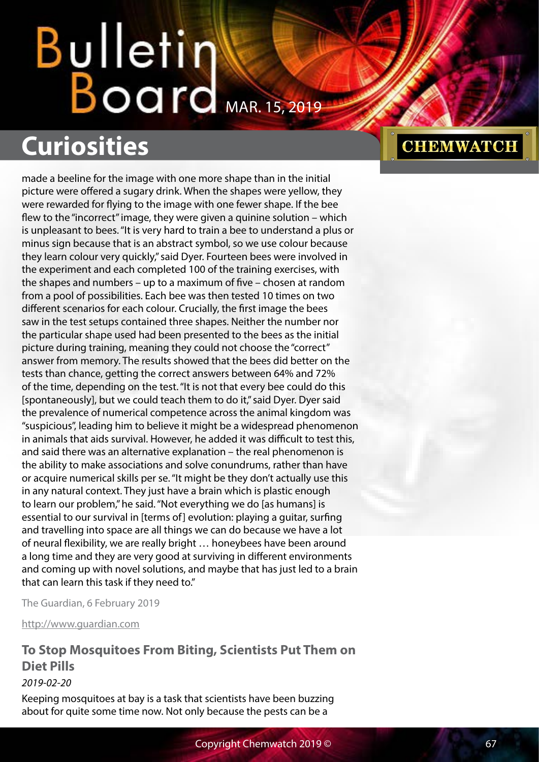# **Curiosities**

made a beeline for the image with one more shape than in the initial picture were offered a sugary drink. When the shapes were yellow, they were rewarded for flying to the image with one fewer shape. If the bee flew to the "incorrect" image, they were given a quinine solution – which is unpleasant to bees. "It is very hard to train a bee to understand a plus or minus sign because that is an abstract symbol, so we use colour because they learn colour very quickly," said Dyer. Fourteen bees were involved in the experiment and each completed 100 of the training exercises, with the shapes and numbers – up to a maximum of five – chosen at random from a pool of possibilities. Each bee was then tested 10 times on two different scenarios for each colour. Crucially, the first image the bees saw in the test setups contained three shapes. Neither the number nor the particular shape used had been presented to the bees as the initial picture during training, meaning they could not choose the "correct" answer from memory. The results showed that the bees did better on the tests than chance, getting the correct answers between 64% and 72% of the time, depending on the test. "It is not that every bee could do this [spontaneously], but we could teach them to do it," said Dyer. Dyer said the prevalence of numerical competence across the animal kingdom was "suspicious", leading him to believe it might be a widespread phenomenon in animals that aids survival. However, he added it was difficult to test this, and said there was an alternative explanation – the real phenomenon is the ability to make associations and solve conundrums, rather than have or acquire numerical skills per se. "It might be they don't actually use this in any natural context. They just have a brain which is plastic enough to learn our problem," he said. "Not everything we do [as humans] is essential to our survival in [terms of] evolution: playing a guitar, surfing and travelling into space are all things we can do because we have a lot of neural flexibility, we are really bright … honeybees have been around a long time and they are very good at surviving in different environments and coming up with novel solutions, and maybe that has just led to a brain that can learn this task if they need to."

The Guardian, 6 February 2019

<http://www.guardian.com>

#### **To Stop Mosquitoes From Biting, Scientists Put Them on Diet Pills** *2019-02-20*

Keeping mosquitoes at bay is a task that scientists have been buzzing about for quite some time now. Not only because the pests can be a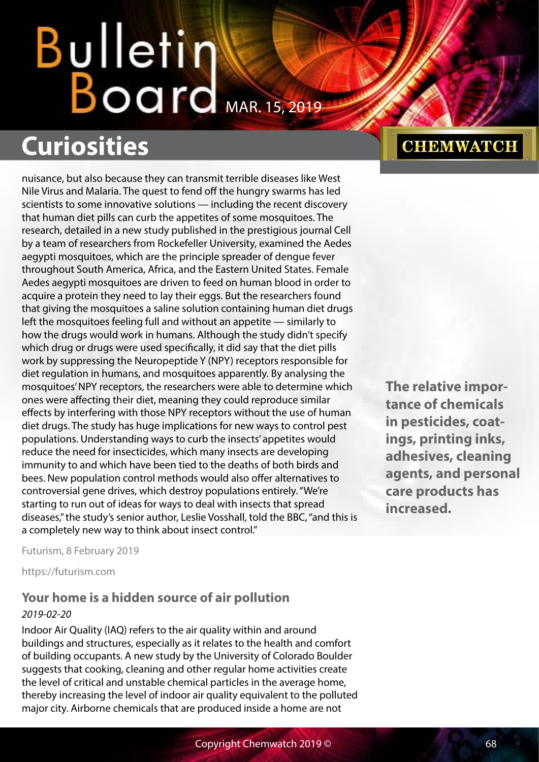# Bulletin  $B$  o ard  $MAR. 15, 2019$

# **Curiosities**

nuisance, but also because they can transmit terrible diseases like West Nile Virus and Malaria. The quest to fend off the hungry swarms has led scientists to some innovative solutions — including the recent discovery that human diet pills can curb the appetites of some mosquitoes. The research, detailed in a new study published in the prestigious journal Cell by a team of researchers from Rockefeller University, examined the Aedes aegypti mosquitoes, which are the principle spreader of dengue fever throughout South America, Africa, and the Eastern United States. Female Aedes aegypti mosquitoes are driven to feed on human blood in order to acquire a protein they need to lay their eggs. But the researchers found that giving the mosquitoes a saline solution containing human diet drugs left the mosquitoes feeling full and without an appetite — similarly to how the drugs would work in humans. Although the study didn't specify which drug or drugs were used specifically, it did say that the diet pills work by suppressing the Neuropeptide Y (NPY) receptors responsible for diet regulation in humans, and mosquitoes apparently. By analysing the mosquitoes' NPY receptors, the researchers were able to determine which ones were affecting their diet, meaning they could reproduce similar effects by interfering with those NPY receptors without the use of human diet drugs. The study has huge implications for new ways to control pest populations. Understanding ways to curb the insects' appetites would reduce the need for insecticides, which many insects are developing immunity to and which have been tied to the deaths of both birds and bees. New population control methods would also offer alternatives to controversial gene drives, which destroy populations entirely. "We're starting to run out of ideas for ways to deal with insects that spread diseases," the study's senior author, Leslie Vosshall, told the BBC, "and this is a completely new way to think about insect control."

Futurism, 8 February 2019

https://futurism.com

#### **Your home is a hidden source of air pollution**

#### *2019-02-20*

Indoor Air Quality (IAQ) refers to the air quality within and around buildings and structures, especially as it relates to the health and comfort of building occupants. A new study by the University of Colorado Boulder suggests that cooking, cleaning and other regular home activities create the level of critical and unstable chemical particles in the average home, thereby increasing the level of indoor air quality equivalent to the polluted major city. Airborne chemicals that are produced inside a home are not

#### **CHEMWATCH**

**The relative importance of chemicals in pesticides, coatings, printing inks, adhesives, cleaning agents, and personal care products has increased.**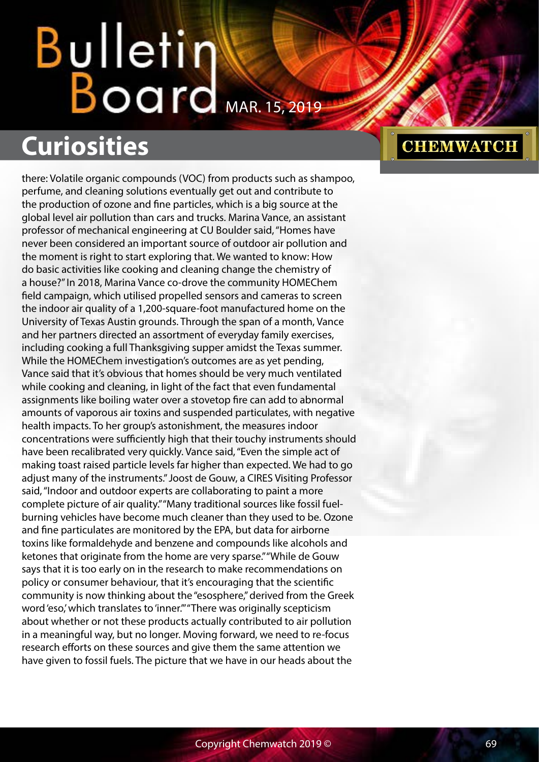# **Curiosities**

there: Volatile organic compounds (VOC) from products such as shampoo, perfume, and cleaning solutions eventually get out and contribute to the production of ozone and fine particles, which is a big source at the global level air pollution than cars and trucks. Marina Vance, an assistant professor of mechanical engineering at CU Boulder said, "Homes have never been considered an important source of outdoor air pollution and the moment is right to start exploring that. We wanted to know: How do basic activities like cooking and cleaning change the chemistry of a house?" In 2018, Marina Vance co-drove the community HOMEChem field campaign, which utilised propelled sensors and cameras to screen the indoor air quality of a 1,200-square-foot manufactured home on the University of Texas Austin grounds. Through the span of a month, Vance and her partners directed an assortment of everyday family exercises, including cooking a full Thanksgiving supper amidst the Texas summer. While the HOMEChem investigation's outcomes are as yet pending, Vance said that it's obvious that homes should be very much ventilated while cooking and cleaning, in light of the fact that even fundamental assignments like boiling water over a stovetop fire can add to abnormal amounts of vaporous air toxins and suspended particulates, with negative health impacts. To her group's astonishment, the measures indoor concentrations were sufficiently high that their touchy instruments should have been recalibrated very quickly. Vance said, "Even the simple act of making toast raised particle levels far higher than expected. We had to go adjust many of the instruments." Joost de Gouw, a CIRES Visiting Professor said, "Indoor and outdoor experts are collaborating to paint a more complete picture of air quality." "Many traditional sources like fossil fuelburning vehicles have become much cleaner than they used to be. Ozone and fine particulates are monitored by the EPA, but data for airborne toxins like formaldehyde and benzene and compounds like alcohols and ketones that originate from the home are very sparse." "While de Gouw says that it is too early on in the research to make recommendations on policy or consumer behaviour, that it's encouraging that the scientific community is now thinking about the "esosphere," derived from the Greek word 'eso,' which translates to 'inner.'" "There was originally scepticism about whether or not these products actually contributed to air pollution in a meaningful way, but no longer. Moving forward, we need to re-focus research efforts on these sources and give them the same attention we have given to fossil fuels. The picture that we have in our heads about the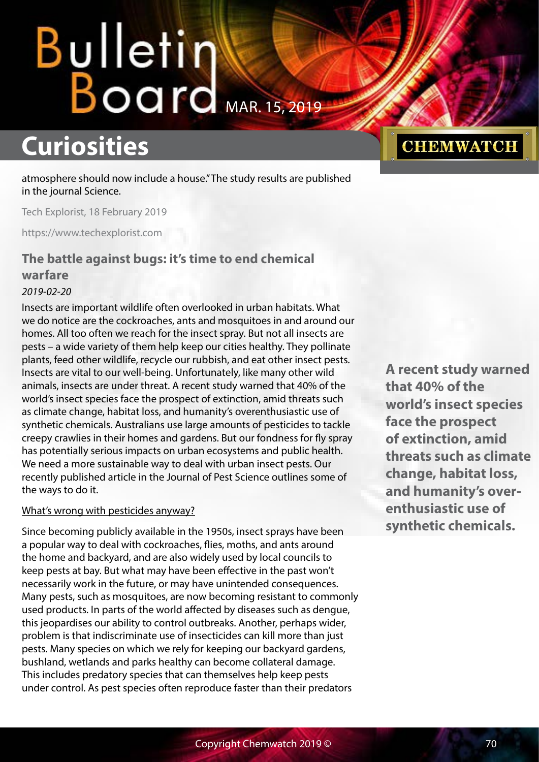# Bulletin Handburg<br>Board MAR. 15, 2019

## **Curiosities**

atmosphere should now include a house." The study results are published in the journal Science.

Tech Explorist, 18 February 2019

https://www.techexplorist.com

#### **The battle against bugs: it's time to end chemical warfare**

#### *2019-02-20*

Insects are important wildlife often overlooked in urban habitats. What we do notice are the cockroaches, ants and mosquitoes in and around our homes. All too often we reach for the insect spray. But not all insects are pests – a wide variety of them help keep our cities healthy. They pollinate plants, feed other wildlife, recycle our rubbish, and eat other insect pests. Insects are vital to our well-being. Unfortunately, like many other wild animals, insects are under threat. A recent study warned that 40% of the world's insect species face the prospect of extinction, amid threats such as climate change, habitat loss, and humanity's overenthusiastic use of synthetic chemicals. Australians use large amounts of pesticides to tackle creepy crawlies in their homes and gardens. But our fondness for fly spray has potentially serious impacts on urban ecosystems and public health. We need a more sustainable way to deal with urban insect pests. Our recently published article in the Journal of Pest Science outlines some of the ways to do it.

#### What's wrong with pesticides anyway?

Since becoming publicly available in the 1950s, insect sprays have been a popular way to deal with cockroaches, flies, moths, and ants around the home and backyard, and are also widely used by local councils to keep pests at bay. But what may have been effective in the past won't necessarily work in the future, or may have unintended consequences. Many pests, such as mosquitoes, are now becoming resistant to commonly used products. In parts of the world affected by diseases such as dengue, this jeopardises our ability to control outbreaks. Another, perhaps wider, problem is that indiscriminate use of insecticides can kill more than just pests. Many species on which we rely for keeping our backyard gardens, bushland, wetlands and parks healthy can become collateral damage. This includes predatory species that can themselves help keep pests under control. As pest species often reproduce faster than their predators

#### **CHEMWATCH**

**A recent study warned that 40% of the world's insect species face the prospect of extinction, amid threats such as climate change, habitat loss, and humanity's overenthusiastic use of synthetic chemicals.**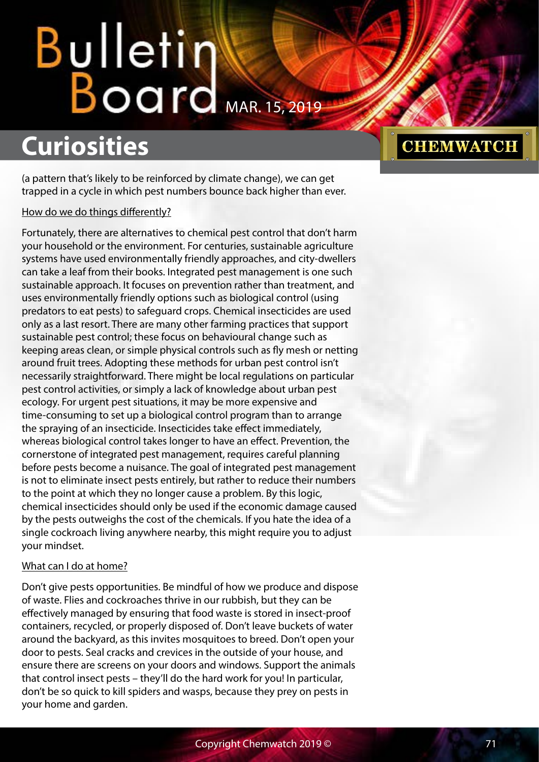## **Curiosities**

(a pattern that's likely to be reinforced by climate change), we can get trapped in a cycle in which pest numbers bounce back higher than ever.

#### How do we do things differently?

Fortunately, there are alternatives to chemical pest control that don't harm your household or the environment. For centuries, sustainable agriculture systems have used environmentally friendly approaches, and city-dwellers can take a leaf from their books. Integrated pest management is one such sustainable approach. It focuses on prevention rather than treatment, and uses environmentally friendly options such as biological control (using predators to eat pests) to safeguard crops. Chemical insecticides are used only as a last resort. There are many other farming practices that support sustainable pest control; these focus on behavioural change such as keeping areas clean, or simple physical controls such as fly mesh or netting around fruit trees. Adopting these methods for urban pest control isn't necessarily straightforward. There might be local regulations on particular pest control activities, or simply a lack of knowledge about urban pest ecology. For urgent pest situations, it may be more expensive and time-consuming to set up a biological control program than to arrange the spraying of an insecticide. Insecticides take effect immediately, whereas biological control takes longer to have an effect. Prevention, the cornerstone of integrated pest management, requires careful planning before pests become a nuisance. The goal of integrated pest management is not to eliminate insect pests entirely, but rather to reduce their numbers to the point at which they no longer cause a problem. By this logic, chemical insecticides should only be used if the economic damage caused by the pests outweighs the cost of the chemicals. If you hate the idea of a single cockroach living anywhere nearby, this might require you to adjust your mindset.

#### What can I do at home?

Don't give pests opportunities. Be mindful of how we produce and dispose of waste. Flies and cockroaches thrive in our rubbish, but they can be effectively managed by ensuring that food waste is stored in insect-proof containers, recycled, or properly disposed of. Don't leave buckets of water around the backyard, as this invites mosquitoes to breed. Don't open your door to pests. Seal cracks and crevices in the outside of your house, and ensure there are screens on your doors and windows. Support the animals that control insect pests – they'll do the hard work for you! In particular, don't be so quick to kill spiders and wasps, because they prey on pests in your home and garden.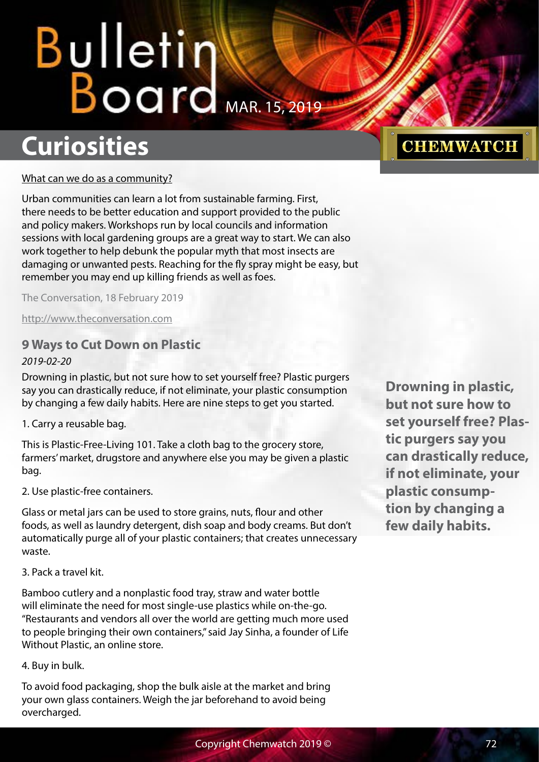# **Curiosities**

#### What can we do as a community?

Urban communities can learn a lot from sustainable farming. First, there needs to be better education and support provided to the public and policy makers. Workshops run by local councils and information sessions with local gardening groups are a great way to start. We can also work together to help debunk the popular myth that most insects are damaging or unwanted pests. Reaching for the fly spray might be easy, but remember you may end up killing friends as well as foes.

The Conversation, 18 February 2019

<http://www.theconversation.com>

#### **9 Ways to Cut Down on Plastic**

*2019-02-20*

Drowning in plastic, but not sure how to set yourself free? Plastic purgers say you can drastically reduce, if not eliminate, your plastic consumption by changing a few daily habits. Here are nine steps to get you started.

1. Carry a reusable bag.

This is Plastic-Free-Living 101. Take a cloth bag to the grocery store, farmers' market, drugstore and anywhere else you may be given a plastic bag.

2. Use plastic-free containers.

Glass or metal jars can be used to store grains, nuts, flour and other foods, as well as laundry detergent, dish soap and body creams. But don't automatically purge all of your plastic containers; that creates unnecessary waste.

3. Pack a travel kit.

Bamboo cutlery and a nonplastic food tray, straw and water bottle will eliminate the need for most single-use plastics while on-the-go. "Restaurants and vendors all over the world are getting much more used to people bringing their own containers," said Jay Sinha, a founder of Life Without Plastic, an online store.

#### 4. Buy in bulk.

To avoid food packaging, shop the bulk aisle at the market and bring your own glass containers. Weigh the jar beforehand to avoid being overcharged.

**Drowning in plastic, but not sure how to set yourself free? Plastic purgers say you can drastically reduce, if not eliminate, your plastic consumption by changing a few daily habits.**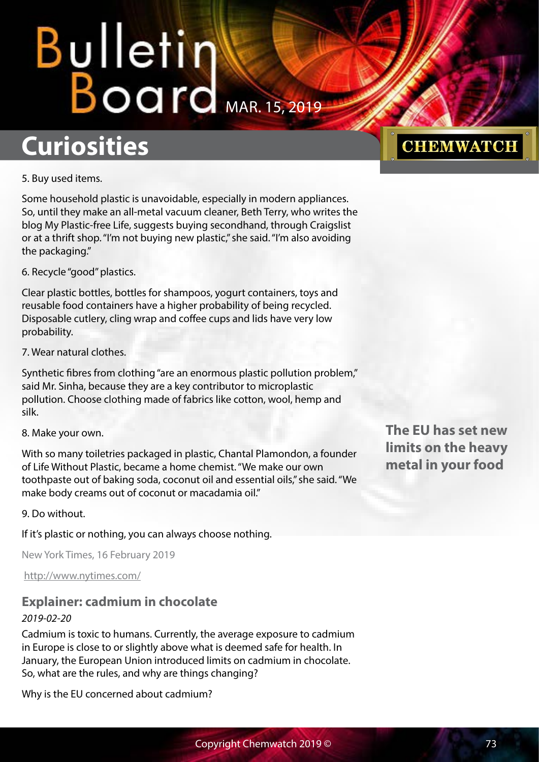## **Curiosities**

#### 5. Buy used items.

Some household plastic is unavoidable, especially in modern appliances. So, until they make an all-metal vacuum cleaner, Beth Terry, who writes the blog My Plastic-free Life, suggests buying secondhand, through Craigslist or at a thrift shop. "I'm not buying new plastic," she said. "I'm also avoiding the packaging."

6. Recycle "good" plastics.

Clear plastic bottles, bottles for shampoos, yogurt containers, toys and reusable food containers have a higher probability of being recycled. Disposable cutlery, cling wrap and coffee cups and lids have very low probability.

7. Wear natural clothes.

Synthetic fibres from clothing "are an enormous plastic pollution problem," said Mr. Sinha, because they are a key contributor to microplastic pollution. Choose clothing made of fabrics like cotton, wool, hemp and silk.

#### 8. Make your own.

With so many toiletries packaged in plastic, Chantal Plamondon, a founder of Life Without Plastic, became a home chemist. "We make our own toothpaste out of baking soda, coconut oil and essential oils," she said. "We make body creams out of coconut or macadamia oil."

9. Do without.

If it's plastic or nothing, you can always choose nothing.

New York Times, 16 February 2019

<http://www.nytimes.com/>

#### **Explainer: cadmium in chocolate**

#### *2019-02-20*

Cadmium is toxic to humans. Currently, the average exposure to cadmium in Europe is close to or slightly above what is deemed safe for health. In January, the European Union introduced limits on cadmium in chocolate. So, what are the rules, and why are things changing?

Why is the EU concerned about cadmium?

#### **CHEMWATCH**

**The EU has set new limits on the heavy metal in your food**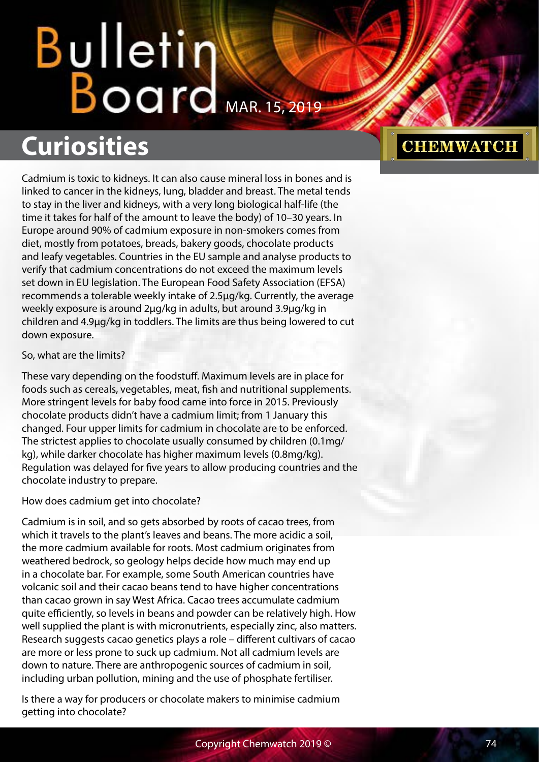## **Curiosities**

Cadmium is toxic to kidneys. It can also cause mineral loss in bones and is linked to cancer in the kidneys, lung, bladder and breast. The metal tends to stay in the liver and kidneys, with a very long biological half-life (the time it takes for half of the amount to leave the body) of 10–30 years. In Europe around 90% of cadmium exposure in non-smokers comes from diet, mostly from potatoes, breads, bakery goods, chocolate products and leafy vegetables. Countries in the EU sample and analyse products to verify that cadmium concentrations do not exceed the maximum levels set down in EU legislation. The European Food Safety Association (EFSA) recommends a tolerable weekly intake of 2.5μg/kg. Currently, the average weekly exposure is around 2μg/kg in adults, but around 3.9μg/kg in children and 4.9μg/kg in toddlers. The limits are thus being lowered to cut down exposure.

So, what are the limits?

These vary depending on the foodstuff. Maximum levels are in place for foods such as cereals, vegetables, meat, fish and nutritional supplements. More stringent levels for baby food came into force in 2015. Previously chocolate products didn't have a cadmium limit; from 1 January this changed. Four upper limits for cadmium in chocolate are to be enforced. The strictest applies to chocolate usually consumed by children (0.1mg/ kg), while darker chocolate has higher maximum levels (0.8mg/kg). Regulation was delayed for five years to allow producing countries and the chocolate industry to prepare.

How does cadmium get into chocolate?

Cadmium is in soil, and so gets absorbed by roots of cacao trees, from which it travels to the plant's leaves and beans. The more acidic a soil, the more cadmium available for roots. Most cadmium originates from weathered bedrock, so geology helps decide how much may end up in a chocolate bar. For example, some South American countries have volcanic soil and their cacao beans tend to have higher concentrations than cacao grown in say West Africa. Cacao trees accumulate cadmium quite efficiently, so levels in beans and powder can be relatively high. How well supplied the plant is with micronutrients, especially zinc, also matters. Research suggests cacao genetics plays a role – different cultivars of cacao are more or less prone to suck up cadmium. Not all cadmium levels are down to nature. There are anthropogenic sources of cadmium in soil, including urban pollution, mining and the use of phosphate fertiliser.

Is there a way for producers or chocolate makers to minimise cadmium getting into chocolate?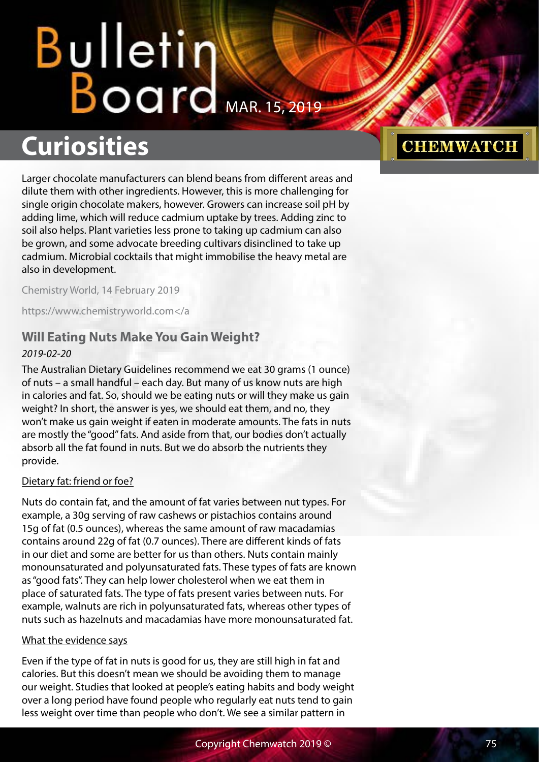## Bulletin War. 15, 2019

### **Curiosities**

Larger chocolate manufacturers can blend beans from different areas and dilute them with other ingredients. However, this is more challenging for single origin chocolate makers, however. Growers can increase soil pH by adding lime, which will reduce cadmium uptake by trees. Adding zinc to soil also helps. Plant varieties less prone to taking up cadmium can also be grown, and some advocate breeding cultivars disinclined to take up cadmium. Microbial cocktails that might immobilise the heavy metal are also in development.

Chemistry World, 14 February 2019

https://www.chemistryworld.com</a

#### **Will Eating Nuts Make You Gain Weight?**

#### *2019-02-20*

The Australian Dietary Guidelines recommend we eat 30 grams (1 ounce) of nuts – a small handful – each day. But many of us know nuts are high in calories and fat. So, should we be eating nuts or will they make us gain weight? In short, the answer is yes, we should eat them, and no, they won't make us gain weight if eaten in moderate amounts. The fats in nuts are mostly the "good" fats. And aside from that, our bodies don't actually absorb all the fat found in nuts. But we do absorb the nutrients they provide.

#### Dietary fat: friend or foe?

Nuts do contain fat, and the amount of fat varies between nut types. For example, a 30g serving of raw cashews or pistachios contains around 15g of fat (0.5 ounces), whereas the same amount of raw macadamias contains around 22g of fat (0.7 ounces). There are different kinds of fats in our diet and some are better for us than others. Nuts contain mainly monounsaturated and polyunsaturated fats. These types of fats are known as "good fats". They can help lower cholesterol when we eat them in place of saturated fats. The type of fats present varies between nuts. For example, walnuts are rich in polyunsaturated fats, whereas other types of nuts such as hazelnuts and macadamias have more monounsaturated fat.

#### What the evidence says

Even if the type of fat in nuts is good for us, they are still high in fat and calories. But this doesn't mean we should be avoiding them to manage our weight. Studies that looked at people's eating habits and body weight over a long period have found people who regularly eat nuts tend to gain less weight over time than people who don't. We see a similar pattern in

#### Copyright Chemwatch 2019 © 75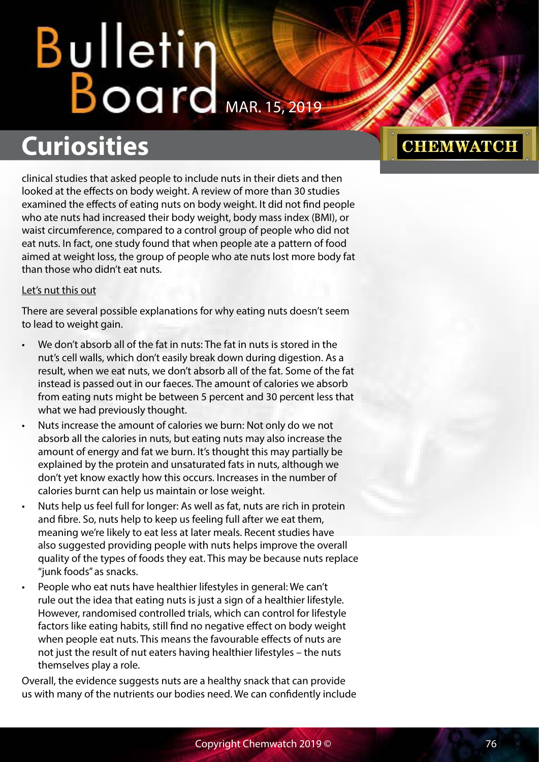## **Curiosities**

clinical studies that asked people to include nuts in their diets and then looked at the effects on body weight. A review of more than 30 studies examined the effects of eating nuts on body weight. It did not find people who ate nuts had increased their body weight, body mass index (BMI), or waist circumference, compared to a control group of people who did not eat nuts. In fact, one study found that when people ate a pattern of food aimed at weight loss, the group of people who ate nuts lost more body fat than those who didn't eat nuts.

#### Let's nut this out

There are several possible explanations for why eating nuts doesn't seem to lead to weight gain.

- We don't absorb all of the fat in nuts: The fat in nuts is stored in the nut's cell walls, which don't easily break down during digestion. As a result, when we eat nuts, we don't absorb all of the fat. Some of the fat instead is passed out in our faeces. The amount of calories we absorb from eating nuts might be between 5 percent and 30 percent less that what we had previously thought.
- Nuts increase the amount of calories we burn: Not only do we not absorb all the calories in nuts, but eating nuts may also increase the amount of energy and fat we burn. It's thought this may partially be explained by the protein and unsaturated fats in nuts, although we don't yet know exactly how this occurs. Increases in the number of calories burnt can help us maintain or lose weight.
- Nuts help us feel full for longer: As well as fat, nuts are rich in protein and fibre. So, nuts help to keep us feeling full after we eat them, meaning we're likely to eat less at later meals. Recent studies have also suggested providing people with nuts helps improve the overall quality of the types of foods they eat. This may be because nuts replace "junk foods" as snacks.
- People who eat nuts have healthier lifestyles in general: We can't rule out the idea that eating nuts is just a sign of a healthier lifestyle. However, randomised controlled trials, which can control for lifestyle factors like eating habits, still find no negative effect on body weight when people eat nuts. This means the favourable effects of nuts are not just the result of nut eaters having healthier lifestyles – the nuts themselves play a role.

Overall, the evidence suggests nuts are a healthy snack that can provide us with many of the nutrients our bodies need. We can confidently include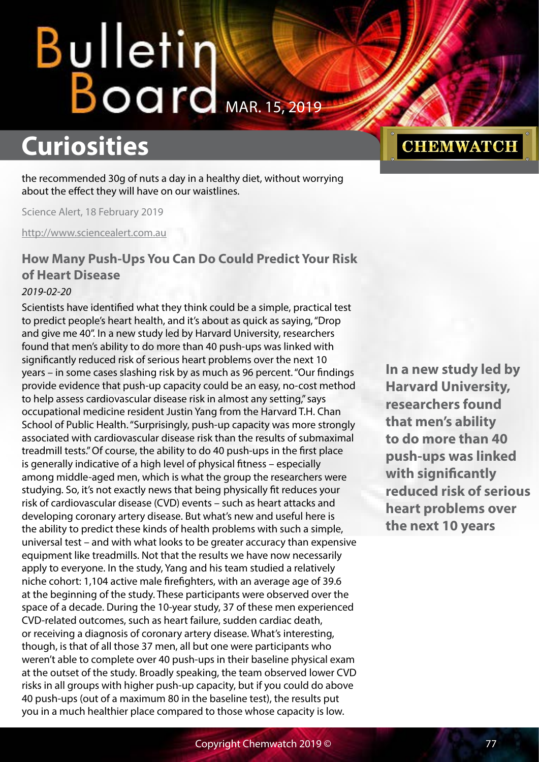### **Curiosities**

the recommended 30g of nuts a day in a healthy diet, without worrying about the effect they will have on our waistlines.

Science Alert, 18 February 2019

<http://www.sciencealert.com.au>

#### **How Many Push-Ups You Can Do Could Predict Your Risk of Heart Disease**

#### *2019-02-20*

Scientists have identified what they think could be a simple, practical test to predict people's heart health, and it's about as quick as saying, "Drop and give me 40". In a new study led by Harvard University, researchers found that men's ability to do more than 40 push-ups was linked with significantly reduced risk of serious heart problems over the next 10 years – in some cases slashing risk by as much as 96 percent. "Our findings provide evidence that push-up capacity could be an easy, no-cost method to help assess cardiovascular disease risk in almost any setting," says occupational medicine resident Justin Yang from the Harvard T.H. Chan School of Public Health. "Surprisingly, push-up capacity was more strongly associated with cardiovascular disease risk than the results of submaximal treadmill tests." Of course, the ability to do 40 push-ups in the first place is generally indicative of a high level of physical fitness – especially among middle-aged men, which is what the group the researchers were studying. So, it's not exactly news that being physically fit reduces your risk of cardiovascular disease (CVD) events – such as heart attacks and developing coronary artery disease. But what's new and useful here is the ability to predict these kinds of health problems with such a simple, universal test – and with what looks to be greater accuracy than expensive equipment like treadmills. Not that the results we have now necessarily apply to everyone. In the study, Yang and his team studied a relatively niche cohort: 1,104 active male firefighters, with an average age of 39.6 at the beginning of the study. These participants were observed over the space of a decade. During the 10-year study, 37 of these men experienced CVD-related outcomes, such as heart failure, sudden cardiac death, or receiving a diagnosis of coronary artery disease. What's interesting, though, is that of all those 37 men, all but one were participants who weren't able to complete over 40 push-ups in their baseline physical exam at the outset of the study. Broadly speaking, the team observed lower CVD risks in all groups with higher push-up capacity, but if you could do above 40 push-ups (out of a maximum 80 in the baseline test), the results put you in a much healthier place compared to those whose capacity is low.

#### **CHEMWATCH**

**In a new study led by Harvard University, researchers found that men's ability to do more than 40 push-ups was linked with significantly reduced risk of serious heart problems over the next 10 years**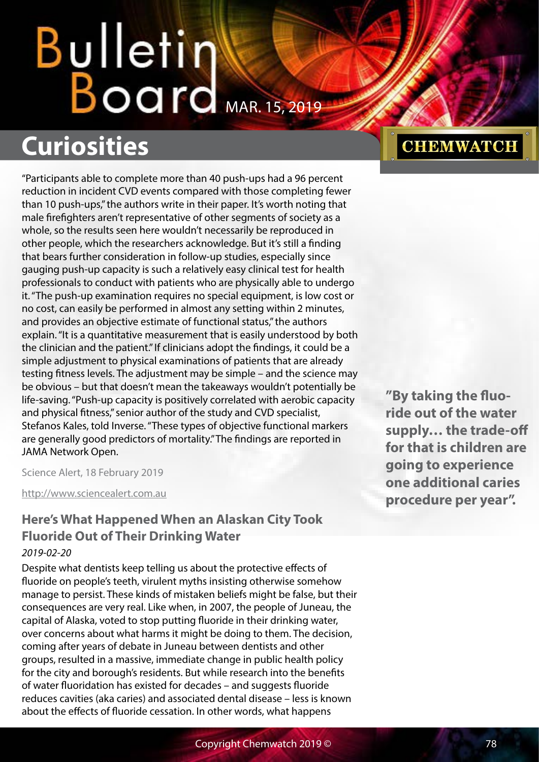## **Curiosities**

"Participants able to complete more than 40 push-ups had a 96 percent reduction in incident CVD events compared with those completing fewer than 10 push-ups," the authors write in their paper. It's worth noting that male firefighters aren't representative of other segments of society as a whole, so the results seen here wouldn't necessarily be reproduced in other people, which the researchers acknowledge. But it's still a finding that bears further consideration in follow-up studies, especially since gauging push-up capacity is such a relatively easy clinical test for health professionals to conduct with patients who are physically able to undergo it. "The push-up examination requires no special equipment, is low cost or no cost, can easily be performed in almost any setting within 2 minutes, and provides an objective estimate of functional status," the authors explain. "It is a quantitative measurement that is easily understood by both the clinician and the patient." If clinicians adopt the findings, it could be a simple adjustment to physical examinations of patients that are already testing fitness levels. The adjustment may be simple – and the science may be obvious – but that doesn't mean the takeaways wouldn't potentially be life-saving. "Push-up capacity is positively correlated with aerobic capacity and physical fitness," senior author of the study and CVD specialist, Stefanos Kales, told Inverse. "These types of objective functional markers are generally good predictors of mortality." The findings are reported in JAMA Network Open.

Science Alert, 18 February 2019

<http://www.sciencealert.com.au>

#### **Here's What Happened When an Alaskan City Took Fluoride Out of Their Drinking Water**

#### *2019-02-20*

Despite what dentists keep telling us about the protective effects of fluoride on people's teeth, virulent myths insisting otherwise somehow manage to persist. These kinds of mistaken beliefs might be false, but their consequences are very real. Like when, in 2007, the people of Juneau, the capital of Alaska, voted to stop putting fluoride in their drinking water, over concerns about what harms it might be doing to them. The decision, coming after years of debate in Juneau between dentists and other groups, resulted in a massive, immediate change in public health policy for the city and borough's residents. But while research into the benefits of water fluoridation has existed for decades – and suggests fluoride reduces cavities (aka caries) and associated dental disease – less is known about the effects of fluoride cessation. In other words, what happens

#### **CHEMWATCH**

**"By taking the fluoride out of the water supply… the trade-off for that is children are going to experience one additional caries procedure per year".**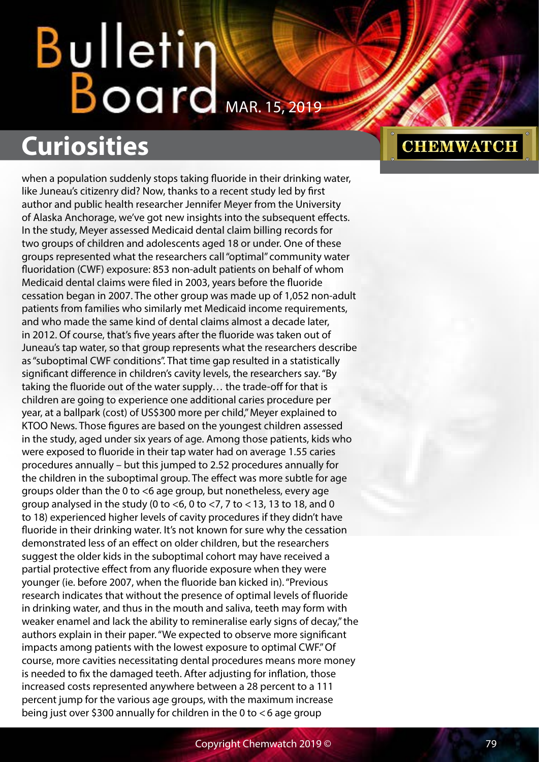## **Curiosities**

when a population suddenly stops taking fluoride in their drinking water, like Juneau's citizenry did? Now, thanks to a recent study led by first author and public health researcher Jennifer Meyer from the University of Alaska Anchorage, we've got new insights into the subsequent effects. In the study, Meyer assessed Medicaid dental claim billing records for two groups of children and adolescents aged 18 or under. One of these groups represented what the researchers call "optimal" community water fluoridation (CWF) exposure: 853 non-adult patients on behalf of whom Medicaid dental claims were filed in 2003, years before the fluoride cessation began in 2007. The other group was made up of 1,052 non-adult patients from families who similarly met Medicaid income requirements, and who made the same kind of dental claims almost a decade later, in 2012. Of course, that's five years after the fluoride was taken out of Juneau's tap water, so that group represents what the researchers describe as "suboptimal CWF conditions". That time gap resulted in a statistically significant difference in children's cavity levels, the researchers say. "By taking the fluoride out of the water supply… the trade-off for that is children are going to experience one additional caries procedure per year, at a ballpark (cost) of US\$300 more per child," Meyer explained to KTOO News. Those figures are based on the youngest children assessed in the study, aged under six years of age. Among those patients, kids who were exposed to fluoride in their tap water had on average 1.55 caries procedures annually – but this jumped to 2.52 procedures annually for the children in the suboptimal group. The effect was more subtle for age groups older than the 0 to <6 age group, but nonetheless, every age group analysed in the study (0 to  $<$  6, 0 to  $<$  7, 7 to  $<$  13, 13 to 18, and 0 to 18) experienced higher levels of cavity procedures if they didn't have fluoride in their drinking water. It's not known for sure why the cessation demonstrated less of an effect on older children, but the researchers suggest the older kids in the suboptimal cohort may have received a partial protective effect from any fluoride exposure when they were younger (ie. before 2007, when the fluoride ban kicked in). "Previous research indicates that without the presence of optimal levels of fluoride in drinking water, and thus in the mouth and saliva, teeth may form with weaker enamel and lack the ability to remineralise early signs of decay," the authors explain in their paper. "We expected to observe more significant impacts among patients with the lowest exposure to optimal CWF." Of course, more cavities necessitating dental procedures means more money is needed to fix the damaged teeth. After adjusting for inflation, those increased costs represented anywhere between a 28 percent to a 111 percent jump for the various age groups, with the maximum increase being just over \$300 annually for children in the 0 to <6 age group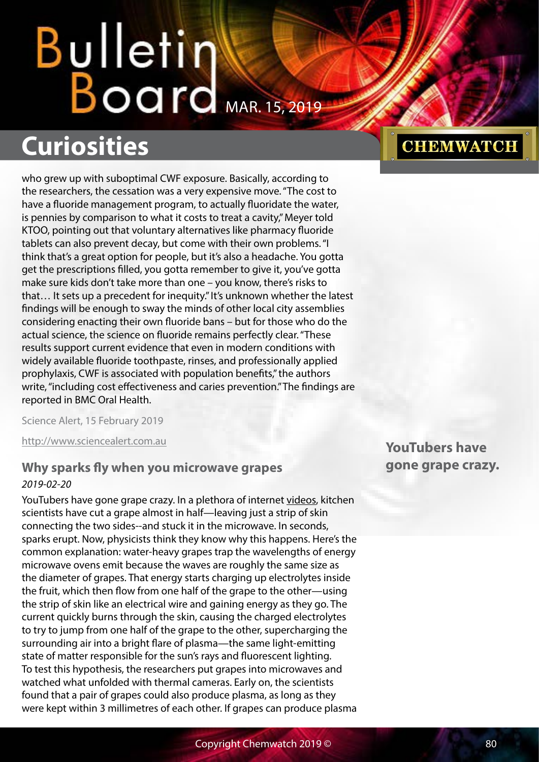## **Curiosities**

who grew up with suboptimal CWF exposure. Basically, according to the researchers, the cessation was a very expensive move. "The cost to have a fluoride management program, to actually fluoridate the water, is pennies by comparison to what it costs to treat a cavity," Meyer told KTOO, pointing out that voluntary alternatives like pharmacy fluoride tablets can also prevent decay, but come with their own problems. "I think that's a great option for people, but it's also a headache. You gotta get the prescriptions filled, you gotta remember to give it, you've gotta make sure kids don't take more than one – you know, there's risks to that… It sets up a precedent for inequity." It's unknown whether the latest findings will be enough to sway the minds of other local city assemblies considering enacting their own fluoride bans – but for those who do the actual science, the science on fluoride remains perfectly clear. "These results support current evidence that even in modern conditions with widely available fluoride toothpaste, rinses, and professionally applied prophylaxis, CWF is associated with population benefits," the authors write, "including cost effectiveness and caries prevention." The findings are reported in BMC Oral Health.

Science Alert, 15 February 2019

<http://www.sciencealert.com.au>

#### **Why sparks fly when you microwave grapes** *2019-02-20*

YouTubers have gone grape crazy. In a plethora of internet [videos](https://youtu.be/M56HtZwONaE), kitchen scientists have cut a grape almost in half—leaving just a strip of skin connecting the two sides--and stuck it in the microwave. In seconds, sparks erupt. Now, physicists think they know why this happens. Here's the common explanation: water-heavy grapes trap the wavelengths of energy microwave ovens emit because the waves are roughly the same size as the diameter of grapes. That energy starts charging up electrolytes inside the fruit, which then flow from one half of the grape to the other—using the strip of skin like an electrical wire and gaining energy as they go. The current quickly burns through the skin, causing the charged electrolytes to try to jump from one half of the grape to the other, supercharging the surrounding air into a bright flare of plasma—the same light-emitting state of matter responsible for the sun's rays and fluorescent lighting. To test this hypothesis, the researchers put grapes into microwaves and watched what unfolded with thermal cameras. Early on, the scientists found that a pair of grapes could also produce plasma, as long as they were kept within 3 millimetres of each other. If grapes can produce plasma

**YouTubers have gone grape crazy.**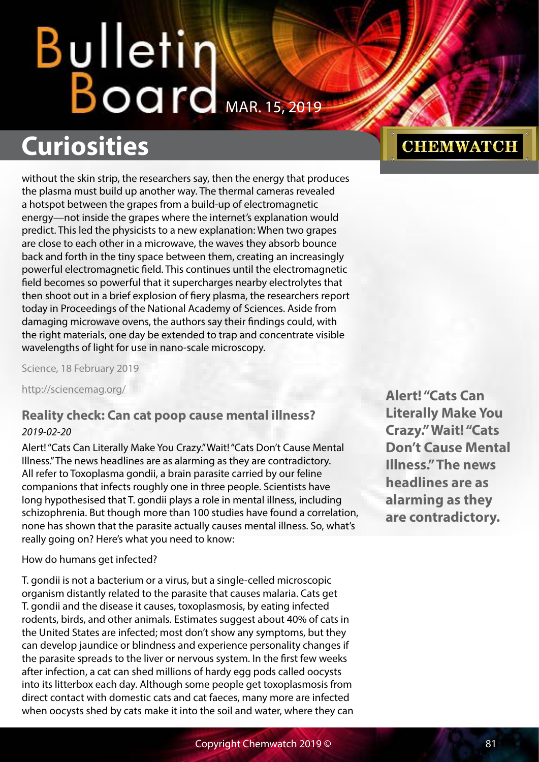### **Curiosities**

without the skin strip, the researchers say, then the energy that produces the plasma must build up another way. The thermal cameras revealed a hotspot between the grapes from a build-up of electromagnetic energy—not inside the grapes where the internet's explanation would predict. This led the physicists to a new explanation: When two grapes are close to each other in a microwave, the waves they absorb bounce back and forth in the tiny space between them, creating an increasingly powerful electromagnetic field. This continues until the electromagnetic field becomes so powerful that it supercharges nearby electrolytes that then shoot out in a brief explosion of fiery plasma, the researchers report today in Proceedings of the National Academy of Sciences. Aside from damaging microwave ovens, the authors say their findings could, with the right materials, one day be extended to trap and concentrate visible wavelengths of light for use in nano-scale microscopy.

Science, 18 February 2019

<http://sciencemag.org/>

#### **Reality check: Can cat poop cause mental illness?** *2019-02-20*

Alert! "Cats Can Literally Make You Crazy." Wait! "Cats Don't Cause Mental Illness." The news headlines are as alarming as they are contradictory. All refer to Toxoplasma gondii, a brain parasite carried by our feline companions that infects roughly one in three people. Scientists have long hypothesised that T. gondii plays a role in mental illness, including schizophrenia. But though more than 100 studies have found a correlation, none has shown that the parasite actually causes mental illness. So, what's really going on? Here's what you need to know:

How do humans get infected?

T. gondii is not a bacterium or a virus, but a single-celled microscopic organism distantly related to the parasite that causes malaria. Cats get T. gondii and the disease it causes, toxoplasmosis, by eating infected rodents, birds, and other animals. Estimates suggest about 40% of cats in the United States are infected; most don't show any symptoms, but they can develop jaundice or blindness and experience personality changes if the parasite spreads to the liver or nervous system. In the first few weeks after infection, a cat can shed millions of hardy egg pods called oocysts into its litterbox each day. Although some people get toxoplasmosis from direct contact with domestic cats and cat faeces, many more are infected when oocysts shed by cats make it into the soil and water, where they can **Alert! "Cats Can Literally Make You Crazy." Wait! "Cats Don't Cause Mental Illness." The news headlines are as alarming as they are contradictory.**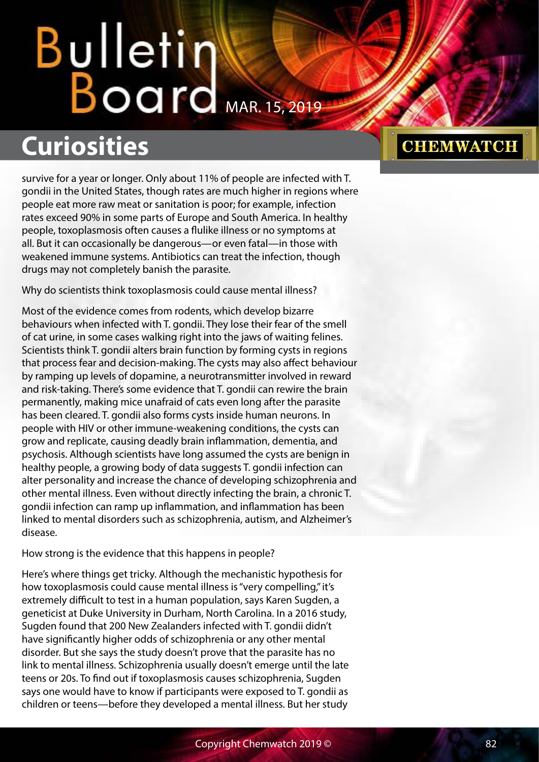### **Curiosities**

survive for a year or longer. Only about 11% of people are infected with T. gondii in the United States, though rates are much higher in regions where people eat more raw meat or sanitation is poor; for example, infection rates exceed 90% in some parts of Europe and South America. In healthy people, toxoplasmosis often causes a flulike illness or no symptoms at all. But it can occasionally be dangerous—or even fatal—in those with weakened immune systems. Antibiotics can treat the infection, though drugs may not completely banish the parasite.

Why do scientists think toxoplasmosis could cause mental illness?

Most of the evidence comes from rodents, which develop bizarre behaviours when infected with T. gondii. They lose their fear of the smell of cat urine, in some cases walking right into the jaws of waiting felines. Scientists think T. gondii alters brain function by forming cysts in regions that process fear and decision-making. The cysts may also affect behaviour by ramping up levels of dopamine, a neurotransmitter involved in reward and risk-taking. There's some evidence that T. gondii can rewire the brain permanently, making mice unafraid of cats even long after the parasite has been cleared. T. gondii also forms cysts inside human neurons. In people with HIV or other immune-weakening conditions, the cysts can grow and replicate, causing deadly brain inflammation, dementia, and psychosis. Although scientists have long assumed the cysts are benign in healthy people, a growing body of data suggests T. gondii infection can alter personality and increase the chance of developing schizophrenia and other mental illness. Even without directly infecting the brain, a chronic T. gondii infection can ramp up inflammation, and inflammation has been linked to mental disorders such as schizophrenia, autism, and Alzheimer's disease.

How strong is the evidence that this happens in people?

Here's where things get tricky. Although the mechanistic hypothesis for how toxoplasmosis could cause mental illness is "very compelling," it's extremely difficult to test in a human population, says Karen Sugden, a geneticist at Duke University in Durham, North Carolina. In a 2016 study, Sugden found that 200 New Zealanders infected with T. gondii didn't have significantly higher odds of schizophrenia or any other mental disorder. But she says the study doesn't prove that the parasite has no link to mental illness. Schizophrenia usually doesn't emerge until the late teens or 20s. To find out if toxoplasmosis causes schizophrenia, Sugden says one would have to know if participants were exposed to T. gondii as children or teens—before they developed a mental illness. But her study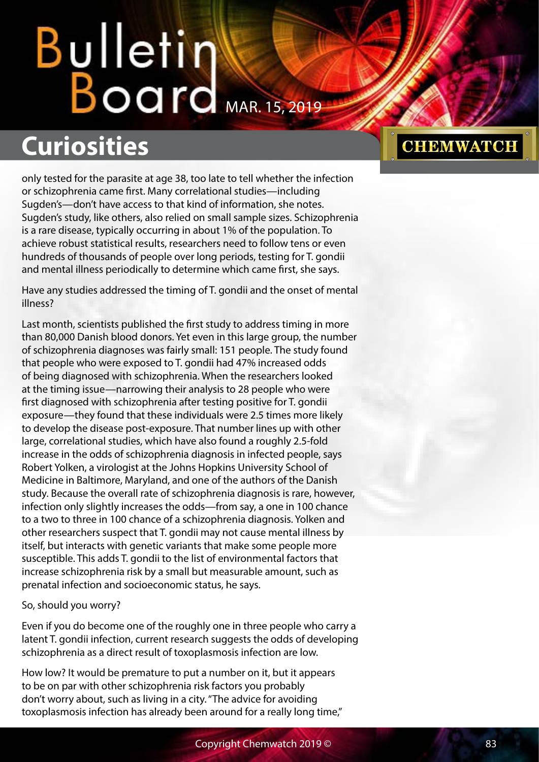### **Curiosities**

only tested for the parasite at age 38, too late to tell whether the infection or schizophrenia came first. Many correlational studies—including Sugden's—don't have access to that kind of information, she notes. Sugden's study, like others, also relied on small sample sizes. Schizophrenia is a rare disease, typically occurring in about 1% of the population. To achieve robust statistical results, researchers need to follow tens or even hundreds of thousands of people over long periods, testing for T. gondii and mental illness periodically to determine which came first, she says.

Have any studies addressed the timing of T. gondii and the onset of mental illness?

Last month, scientists published the first study to address timing in more than 80,000 Danish blood donors. Yet even in this large group, the number of schizophrenia diagnoses was fairly small: 151 people. The study found that people who were exposed to T. gondii had 47% increased odds of being diagnosed with schizophrenia. When the researchers looked at the timing issue—narrowing their analysis to 28 people who were first diagnosed with schizophrenia after testing positive for T. gondii exposure—they found that these individuals were 2.5 times more likely to develop the disease post-exposure. That number lines up with other large, correlational studies, which have also found a roughly 2.5-fold increase in the odds of schizophrenia diagnosis in infected people, says Robert Yolken, a virologist at the Johns Hopkins University School of Medicine in Baltimore, Maryland, and one of the authors of the Danish study. Because the overall rate of schizophrenia diagnosis is rare, however, infection only slightly increases the odds—from say, a one in 100 chance to a two to three in 100 chance of a schizophrenia diagnosis. Yolken and other researchers suspect that T. gondii may not cause mental illness by itself, but interacts with genetic variants that make some people more susceptible. This adds T. gondii to the list of environmental factors that increase schizophrenia risk by a small but measurable amount, such as prenatal infection and socioeconomic status, he says.

#### So, should you worry?

Even if you do become one of the roughly one in three people who carry a latent T. gondii infection, current research suggests the odds of developing schizophrenia as a direct result of toxoplasmosis infection are low.

How low? It would be premature to put a number on it, but it appears to be on par with other schizophrenia risk factors you probably don't worry about, such as living in a city. "The advice for avoiding toxoplasmosis infection has already been around for a really long time,"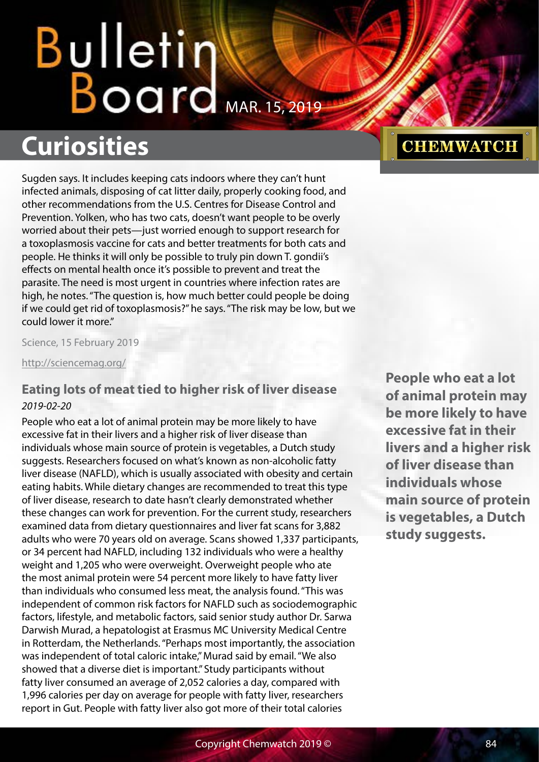### **Curiosities**

Sugden says. It includes keeping cats indoors where they can't hunt infected animals, disposing of cat litter daily, properly cooking food, and other recommendations from the U.S. Centres for Disease Control and Prevention. Yolken, who has two cats, doesn't want people to be overly worried about their pets—just worried enough to support research for a toxoplasmosis vaccine for cats and better treatments for both cats and people. He thinks it will only be possible to truly pin down T. gondii's effects on mental health once it's possible to prevent and treat the parasite. The need is most urgent in countries where infection rates are high, he notes. "The question is, how much better could people be doing if we could get rid of toxoplasmosis?" he says. "The risk may be low, but we could lower it more."

Science, 15 February 2019

<http://sciencemag.org/>

#### **Eating lots of meat tied to higher risk of liver disease** *2019-02-20*

People who eat a lot of animal protein may be more likely to have excessive fat in their livers and a higher risk of liver disease than individuals whose main source of protein is vegetables, a Dutch study suggests. Researchers focused on what's known as non-alcoholic fatty liver disease (NAFLD), which is usually associated with obesity and certain eating habits. While dietary changes are recommended to treat this type of liver disease, research to date hasn't clearly demonstrated whether these changes can work for prevention. For the current study, researchers examined data from dietary questionnaires and liver fat scans for 3,882 adults who were 70 years old on average. Scans showed 1,337 participants, or 34 percent had NAFLD, including 132 individuals who were a healthy weight and 1,205 who were overweight. Overweight people who ate the most animal protein were 54 percent more likely to have fatty liver than individuals who consumed less meat, the analysis found. "This was independent of common risk factors for NAFLD such as sociodemographic factors, lifestyle, and metabolic factors, said senior study author Dr. Sarwa Darwish Murad, a hepatologist at Erasmus MC University Medical Centre in Rotterdam, the Netherlands. "Perhaps most importantly, the association was independent of total caloric intake," Murad said by email. "We also showed that a diverse diet is important." Study participants without fatty liver consumed an average of 2,052 calories a day, compared with 1,996 calories per day on average for people with fatty liver, researchers report in Gut. People with fatty liver also got more of their total calories

**People who eat a lot of animal protein may be more likely to have excessive fat in their livers and a higher risk of liver disease than individuals whose main source of protein is vegetables, a Dutch study suggests.**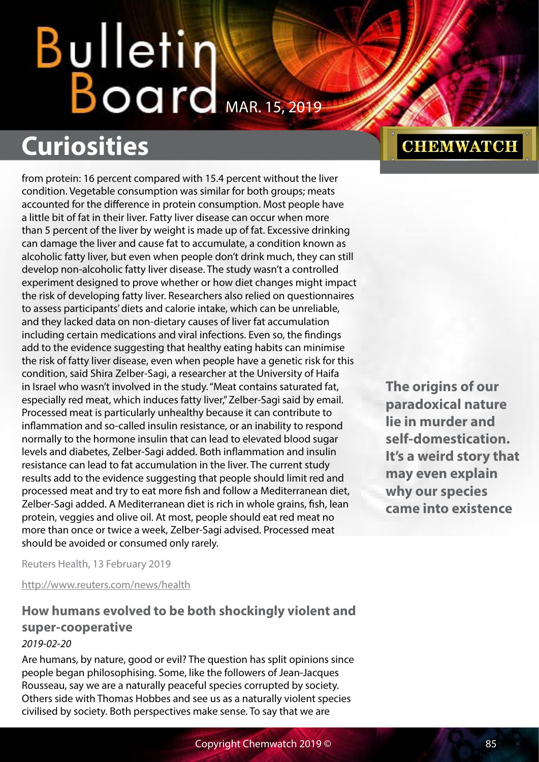# Bulletin War. 15, 2019

## **Curiosities**

from protein: 16 percent compared with 15.4 percent without the liver condition. Vegetable consumption was similar for both groups; meats accounted for the difference in protein consumption. Most people have a little bit of fat in their liver. Fatty liver disease can occur when more than 5 percent of the liver by weight is made up of fat. Excessive drinking can damage the liver and cause fat to accumulate, a condition known as alcoholic fatty liver, but even when people don't drink much, they can still develop non-alcoholic fatty liver disease. The study wasn't a controlled experiment designed to prove whether or how diet changes might impact the risk of developing fatty liver. Researchers also relied on questionnaires to assess participants' diets and calorie intake, which can be unreliable, and they lacked data on non-dietary causes of liver fat accumulation including certain medications and viral infections. Even so, the findings add to the evidence suggesting that healthy eating habits can minimise the risk of fatty liver disease, even when people have a genetic risk for this condition, said Shira Zelber-Sagi, a researcher at the University of Haifa in Israel who wasn't involved in the study. "Meat contains saturated fat, especially red meat, which induces fatty liver," Zelber-Sagi said by email. Processed meat is particularly unhealthy because it can contribute to inflammation and so-called insulin resistance, or an inability to respond normally to the hormone insulin that can lead to elevated blood sugar levels and diabetes, Zelber-Sagi added. Both inflammation and insulin resistance can lead to fat accumulation in the liver. The current study results add to the evidence suggesting that people should limit red and processed meat and try to eat more fish and follow a Mediterranean diet, Zelber-Sagi added. A Mediterranean diet is rich in whole grains, fish, lean protein, veggies and olive oil. At most, people should eat red meat no more than once or twice a week, Zelber-Sagi advised. Processed meat should be avoided or consumed only rarely.

**CHEMWATCH** 

**The origins of our paradoxical nature lie in murder and self-domestication. It's a weird story that may even explain why our species came into existence**

Reuters Health, 13 February 2019

<http://www.reuters.com/news/health>

#### **How humans evolved to be both shockingly violent and super-cooperative**

#### *2019-02-20*

Are humans, by nature, good or evil? The question has split opinions since people began philosophising. Some, like the followers of Jean-Jacques Rousseau, say we are a naturally peaceful species corrupted by society. Others side with Thomas Hobbes and see us as a naturally violent species civilised by society. Both perspectives make sense. To say that we are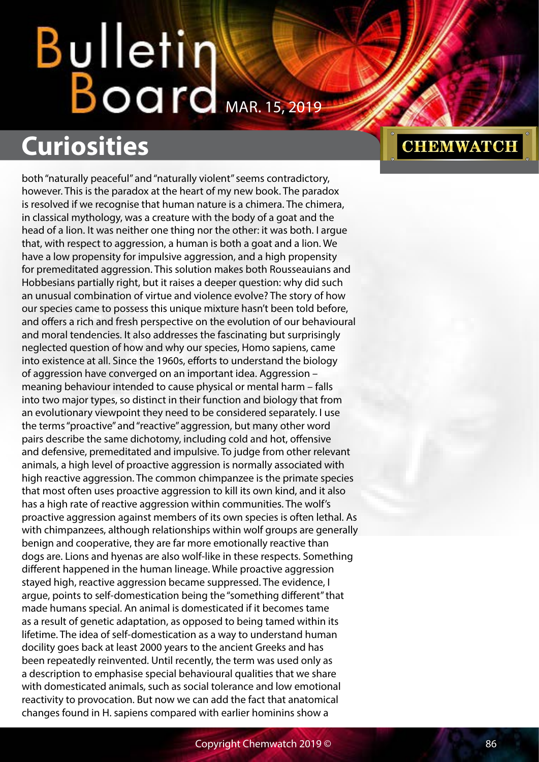## **Curiosities**

both "naturally peaceful" and "naturally violent" seems contradictory, however. This is the paradox at the heart of my new book. The paradox is resolved if we recognise that human nature is a chimera. The chimera, in classical mythology, was a creature with the body of a goat and the head of a lion. It was neither one thing nor the other: it was both. I argue that, with respect to aggression, a human is both a goat and a lion. We have a low propensity for impulsive aggression, and a high propensity for premeditated aggression. This solution makes both Rousseauians and Hobbesians partially right, but it raises a deeper question: why did such an unusual combination of virtue and violence evolve? The story of how our species came to possess this unique mixture hasn't been told before, and offers a rich and fresh perspective on the evolution of our behavioural and moral tendencies. It also addresses the fascinating but surprisingly neglected question of how and why our species, Homo sapiens, came into existence at all. Since the 1960s, efforts to understand the biology of aggression have converged on an important idea. Aggression – meaning behaviour intended to cause physical or mental harm – falls into two major types, so distinct in their function and biology that from an evolutionary viewpoint they need to be considered separately. I use the terms "proactive" and "reactive" aggression, but many other word pairs describe the same dichotomy, including cold and hot, offensive and defensive, premeditated and impulsive. To judge from other relevant animals, a high level of proactive aggression is normally associated with high reactive aggression. The common chimpanzee is the primate species that most often uses proactive aggression to kill its own kind, and it also has a high rate of reactive aggression within communities. The wolf's proactive aggression against members of its own species is often lethal. As with chimpanzees, although relationships within wolf groups are generally benign and cooperative, they are far more emotionally reactive than dogs are. Lions and hyenas are also wolf-like in these respects. Something different happened in the human lineage. While proactive aggression stayed high, reactive aggression became suppressed. The evidence, I argue, points to self-domestication being the "something different" that made humans special. An animal is domesticated if it becomes tame as a result of genetic adaptation, as opposed to being tamed within its lifetime. The idea of self-domestication as a way to understand human docility goes back at least 2000 years to the ancient Greeks and has been repeatedly reinvented. Until recently, the term was used only as a description to emphasise special behavioural qualities that we share with domesticated animals, such as social tolerance and low emotional reactivity to provocation. But now we can add the fact that anatomical changes found in H. sapiens compared with earlier hominins show a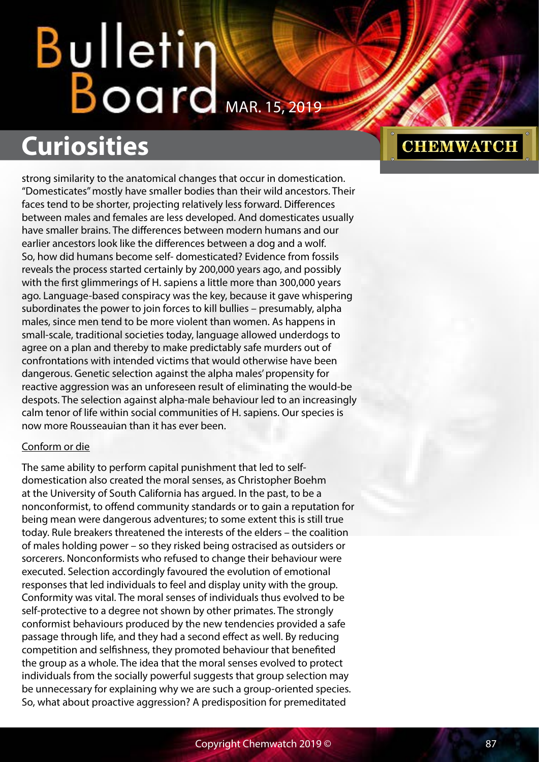### **Curiosities**

strong similarity to the anatomical changes that occur in domestication. "Domesticates" mostly have smaller bodies than their wild ancestors. Their faces tend to be shorter, projecting relatively less forward. Differences between males and females are less developed. And domesticates usually have smaller brains. The differences between modern humans and our earlier ancestors look like the differences between a dog and a wolf. So, how did humans become self- domesticated? Evidence from fossils reveals the process started certainly by 200,000 years ago, and possibly with the first glimmerings of H. sapiens a little more than 300,000 years ago. Language-based conspiracy was the key, because it gave whispering subordinates the power to join forces to kill bullies – presumably, alpha males, since men tend to be more violent than women. As happens in small-scale, traditional societies today, language allowed underdogs to agree on a plan and thereby to make predictably safe murders out of confrontations with intended victims that would otherwise have been dangerous. Genetic selection against the alpha males' propensity for reactive aggression was an unforeseen result of eliminating the would-be despots. The selection against alpha-male behaviour led to an increasingly calm tenor of life within social communities of H. sapiens. Our species is now more Rousseauian than it has ever been.

#### Conform or die

The same ability to perform capital punishment that led to selfdomestication also created the moral senses, as Christopher Boehm at the University of South California has argued. In the past, to be a nonconformist, to offend community standards or to gain a reputation for being mean were dangerous adventures; to some extent this is still true today. Rule breakers threatened the interests of the elders – the coalition of males holding power – so they risked being ostracised as outsiders or sorcerers. Nonconformists who refused to change their behaviour were executed. Selection accordingly favoured the evolution of emotional responses that led individuals to feel and display unity with the group. Conformity was vital. The moral senses of individuals thus evolved to be self-protective to a degree not shown by other primates. The strongly conformist behaviours produced by the new tendencies provided a safe passage through life, and they had a second effect as well. By reducing competition and selfishness, they promoted behaviour that benefited the group as a whole. The idea that the moral senses evolved to protect individuals from the socially powerful suggests that group selection may be unnecessary for explaining why we are such a group-oriented species. So, what about proactive aggression? A predisposition for premeditated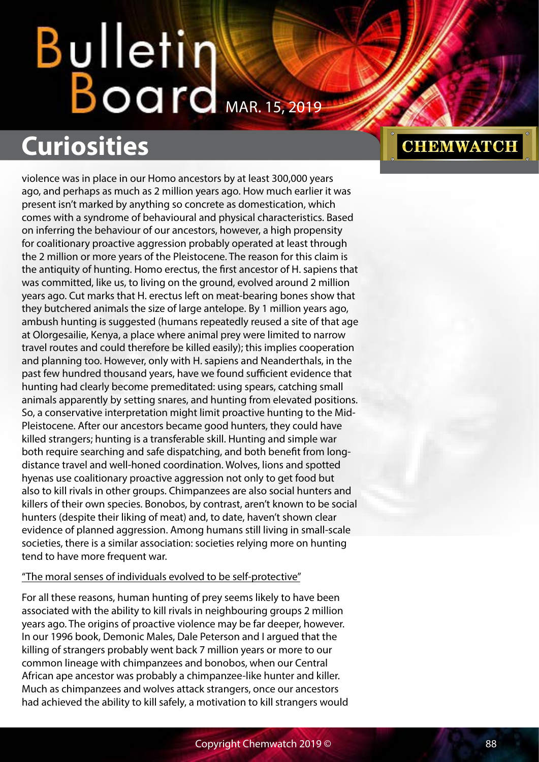## **Curiosities**

violence was in place in our Homo ancestors by at least 300,000 years ago, and perhaps as much as 2 million years ago. How much earlier it was present isn't marked by anything so concrete as domestication, which comes with a syndrome of behavioural and physical characteristics. Based on inferring the behaviour of our ancestors, however, a high propensity for coalitionary proactive aggression probably operated at least through the 2 million or more years of the Pleistocene. The reason for this claim is the antiquity of hunting. Homo erectus, the first ancestor of H. sapiens that was committed, like us, to living on the ground, evolved around 2 million years ago. Cut marks that H. erectus left on meat-bearing bones show that they butchered animals the size of large antelope. By 1 million years ago, ambush hunting is suggested (humans repeatedly reused a site of that age at Olorgesailie, Kenya, a place where animal prey were limited to narrow travel routes and could therefore be killed easily); this implies cooperation and planning too. However, only with H. sapiens and Neanderthals, in the past few hundred thousand years, have we found sufficient evidence that hunting had clearly become premeditated: using spears, catching small animals apparently by setting snares, and hunting from elevated positions. So, a conservative interpretation might limit proactive hunting to the Mid-Pleistocene. After our ancestors became good hunters, they could have killed strangers; hunting is a transferable skill. Hunting and simple war both require searching and safe dispatching, and both benefit from longdistance travel and well-honed coordination. Wolves, lions and spotted hyenas use coalitionary proactive aggression not only to get food but also to kill rivals in other groups. Chimpanzees are also social hunters and killers of their own species. Bonobos, by contrast, aren't known to be social hunters (despite their liking of meat) and, to date, haven't shown clear evidence of planned aggression. Among humans still living in small-scale societies, there is a similar association: societies relying more on hunting tend to have more frequent war.

#### "The moral senses of individuals evolved to be self-protective"

For all these reasons, human hunting of prey seems likely to have been associated with the ability to kill rivals in neighbouring groups 2 million years ago. The origins of proactive violence may be far deeper, however. In our 1996 book, Demonic Males, Dale Peterson and I argued that the killing of strangers probably went back 7 million years or more to our common lineage with chimpanzees and bonobos, when our Central African ape ancestor was probably a chimpanzee-like hunter and killer. Much as chimpanzees and wolves attack strangers, once our ancestors had achieved the ability to kill safely, a motivation to kill strangers would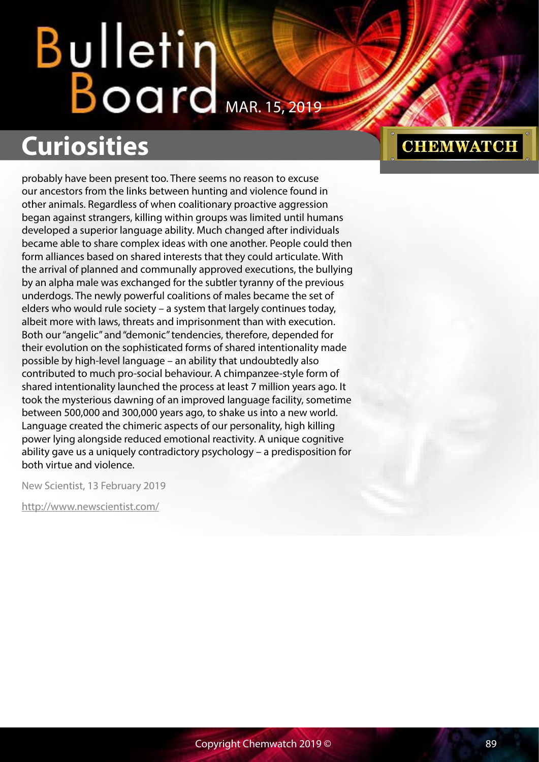### **Curiosities**

probably have been present too. There seems no reason to excuse our ancestors from the links between hunting and violence found in other animals. Regardless of when coalitionary proactive aggression began against strangers, killing within groups was limited until humans developed a superior language ability. Much changed after individuals became able to share complex ideas with one another. People could then form alliances based on shared interests that they could articulate. With the arrival of planned and communally approved executions, the bullying by an alpha male was exchanged for the subtler tyranny of the previous underdogs. The newly powerful coalitions of males became the set of elders who would rule society – a system that largely continues today, albeit more with laws, threats and imprisonment than with execution. Both our "angelic" and "demonic" tendencies, therefore, depended for their evolution on the sophisticated forms of shared intentionality made possible by high-level language – an ability that undoubtedly also contributed to much pro-social behaviour. A chimpanzee-style form of shared intentionality launched the process at least 7 million years ago. It took the mysterious dawning of an improved language facility, sometime between 500,000 and 300,000 years ago, to shake us into a new world. Language created the chimeric aspects of our personality, high killing power lying alongside reduced emotional reactivity. A unique cognitive ability gave us a uniquely contradictory psychology – a predisposition for both virtue and violence.

New Scientist, 13 February 2019

<http://www.newscientist.com/>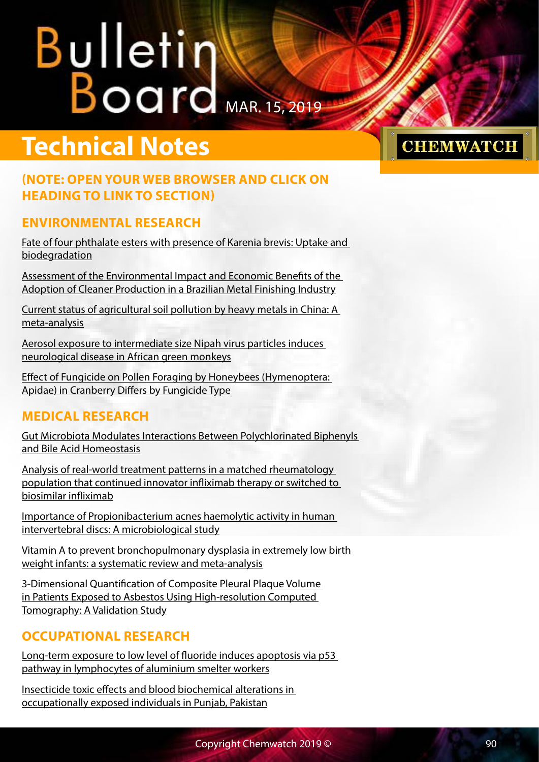### **Technical Notes**

#### **(NOTE: OPEN YOUR WEB BROWSER AND CLICK ON HEADING TO LINK TO SECTION)**

#### **ENVIRONMENTAL RESEARCH**

[Fate of four phthalate esters with presence of Karenia brevis: Uptake and](ftp://ftp.chemwatch.net/pub/chemwatch/Bulletin/2019/03/150319/190315-Technical.pdf)  [biodegradation](ftp://ftp.chemwatch.net/pub/chemwatch/Bulletin/2019/03/150319/190315-Technical.pdf)

[Assessment of the Environmental Impact and Economic Benefits of the](ftp://ftp.chemwatch.net/pub/chemwatch/Bulletin/2019/03/150319/190315-Technical.pdf)  [Adoption of Cleaner Production in a Brazilian Metal Finishing Industry](ftp://ftp.chemwatch.net/pub/chemwatch/Bulletin/2019/03/150319/190315-Technical.pdf)

[Current status of agricultural soil pollution by heavy metals in China: A](ftp://ftp.chemwatch.net/pub/chemwatch/Bulletin/2019/03/150319/190315-Technical.pdf) [meta-analysis](ftp://ftp.chemwatch.net/pub/chemwatch/Bulletin/2019/03/150319/190315-Technical.pdf)

[Aerosol exposure to intermediate size Nipah virus particles induces](ftp://ftp.chemwatch.net/pub/chemwatch/Bulletin/2019/03/150319/190315-Technical.pdf)  [neurological disease in African green monkeys](ftp://ftp.chemwatch.net/pub/chemwatch/Bulletin/2019/03/150319/190315-Technical.pdf)

[Effect of Fungicide on Pollen Foraging by Honeybees \(Hymenoptera:](ftp://ftp.chemwatch.net/pub/chemwatch/Bulletin/2019/03/150319/190315-Technical.pdf)  [Apidae\) in Cranberry Differs by Fungicide Type](ftp://ftp.chemwatch.net/pub/chemwatch/Bulletin/2019/03/150319/190315-Technical.pdf)

#### **MEDICAL RESEARCH**

[Gut Microbiota Modulates Interactions Between Polychlorinated Biphenyls](ftp://ftp.chemwatch.net/pub/chemwatch/Bulletin/2019/03/150319/190315-Technical.pdf)  [and Bile Acid Homeostasis](ftp://ftp.chemwatch.net/pub/chemwatch/Bulletin/2019/03/150319/190315-Technical.pdf)

[Analysis of real-world treatment patterns in a matched rheumatology](ftp://ftp.chemwatch.net/pub/chemwatch/Bulletin/2019/03/150319/190315-Technical.pdf)  [population that continued innovator infliximab therapy or switched to](ftp://ftp.chemwatch.net/pub/chemwatch/Bulletin/2019/03/150319/190315-Technical.pdf)  [biosimilar infliximab](ftp://ftp.chemwatch.net/pub/chemwatch/Bulletin/2019/03/150319/190315-Technical.pdf)

[Importance of Propionibacterium acnes haemolytic activity in human](ftp://ftp.chemwatch.net/pub/chemwatch/Bulletin/2019/03/150319/190315-Technical.pdf)  [intervertebral discs: A microbiological study](ftp://ftp.chemwatch.net/pub/chemwatch/Bulletin/2019/03/150319/190315-Technical.pdf)

[Vitamin A to prevent bronchopulmonary dysplasia in extremely low birth](ftp://ftp.chemwatch.net/pub/chemwatch/Bulletin/2019/03/150319/190315-Technical.pdf)  [weight infants: a systematic review and meta-analysis](ftp://ftp.chemwatch.net/pub/chemwatch/Bulletin/2019/03/150319/190315-Technical.pdf)

[3-Dimensional Quantification of Composite Pleural Plaque Volume](ftp://ftp.chemwatch.net/pub/chemwatch/Bulletin/2019/03/150319/190315-Technical.pdf)  [in Patients Exposed to Asbestos Using High-resolution Computed](ftp://ftp.chemwatch.net/pub/chemwatch/Bulletin/2019/03/150319/190315-Technical.pdf)  [Tomography: A Validation Study](ftp://ftp.chemwatch.net/pub/chemwatch/Bulletin/2019/03/150319/190315-Technical.pdf)

#### **OCCUPATIONAL RESEARCH**

Long-term exposure to low level of fluoride induces apoptosis via p53 [pathway in lymphocytes of aluminium smelter workers](ftp://ftp.chemwatch.net/pub/chemwatch/Bulletin/2019/03/150319/190315-Technical.pdf)

[Insecticide toxic effects and blood biochemical alterations in](ftp://ftp.chemwatch.net/pub/chemwatch/Bulletin/2019/03/150319/190315-Technical.pdf)  [occupationally exposed individuals in Punjab, Pakistan](ftp://ftp.chemwatch.net/pub/chemwatch/Bulletin/2019/03/150319/190315-Technical.pdf)